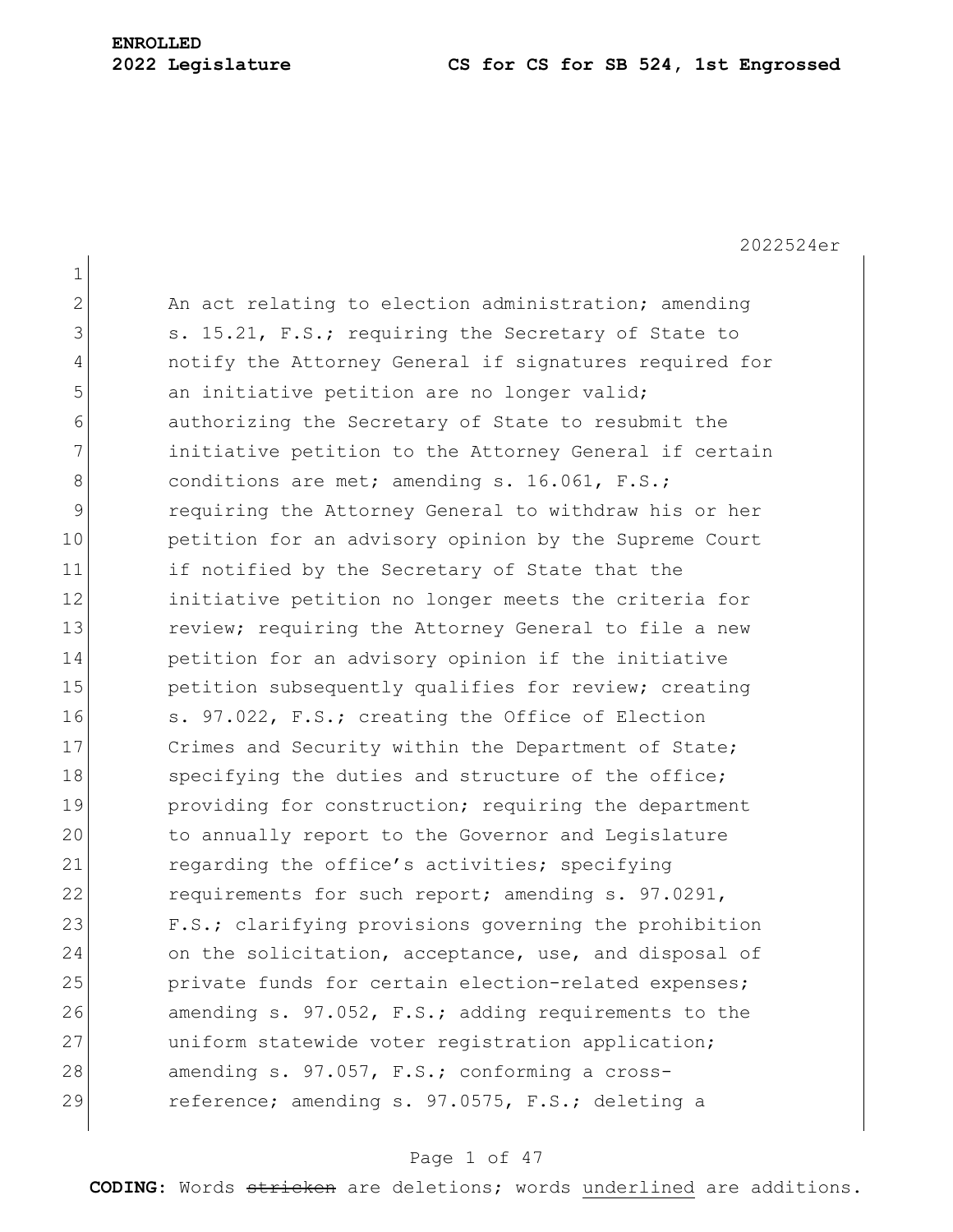# **ENROLLED**

#### **2022 Legislature CS for CS for SB 524, 1st Engrossed**

2022524er 1 2 An act relating to election administration; amending 3 s. 15.21, F.S.; requiring the Secretary of State to 4 notify the Attorney General if signatures required for 5 an initiative petition are no longer valid; 6 authorizing the Secretary of State to resubmit the 7 **initiative petition to the Attorney General if certain** 8 conditions are met; amending s. 16.061, F.S.; 9 requiring the Attorney General to withdraw his or her 10 **petition for an advisory opinion by the Supreme Court** 11 if notified by the Secretary of State that the 12 initiative petition no longer meets the criteria for 13 13 review; requiring the Attorney General to file a new 14 **petition for an advisory opinion if the initiative** 15 **petition** subsequently qualifies for review; creating 16 S. 97.022, F.S.; creating the Office of Election 17 Crimes and Security within the Department of State; 18 Specifying the duties and structure of the office; 19 **providing for construction;** requiring the department 20 to annually report to the Governor and Legislature 21 regarding the office's activities; specifying 22 requirements for such report; amending s. 97.0291, 23 F.S.; clarifying provisions governing the prohibition 24 on the solicitation, acceptance, use, and disposal of 25 private funds for certain election-related expenses; 26 amending s. 97.052, F.S.; adding requirements to the 27 uniform statewide voter registration application; 28 amending s. 97.057, F.S.; conforming a cross-29 reference; amending s. 97.0575, F.S.; deleting a

### Page 1 of 47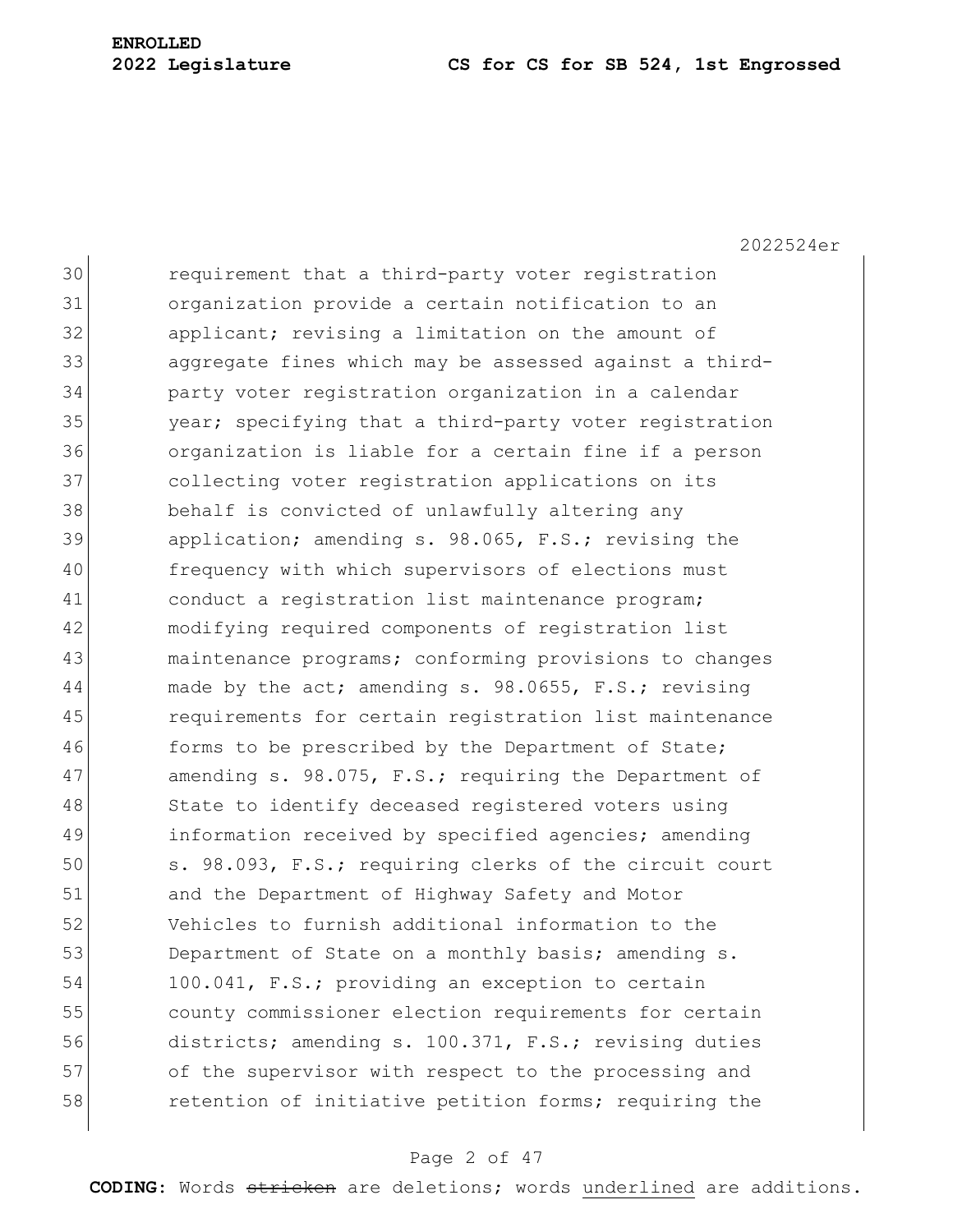2022524er

30 requirement that a third-party voter registration 31 organization provide a certain notification to an 32 applicant; revising a limitation on the amount of 33 aggregate fines which may be assessed against a third-34 party voter registration organization in a calendar 35 year; specifying that a third-party voter registration 36 organization is liable for a certain fine if a person 37 collecting voter registration applications on its 38 behalf is convicted of unlawfully altering any 39 application; amending s. 98.065, F.S.; revising the 40 frequency with which supervisors of elections must 41 conduct a registration list maintenance program; 42 modifying required components of registration list 43 maintenance programs; conforming provisions to changes 44 made by the act; amending s. 98.0655, F.S.; revising 45 requirements for certain registration list maintenance 46 forms to be prescribed by the Department of State; 47 amending s. 98.075, F.S.; requiring the Department of 48 State to identify deceased registered voters using 49 information received by specified agencies; amending 50 s. 98.093, F.S.; requiring clerks of the circuit court 51 and the Department of Highway Safety and Motor 52 Vehicles to furnish additional information to the 53 Department of State on a monthly basis; amending s. 54 100.041, F.S.; providing an exception to certain 55 county commissioner election requirements for certain 56 districts; amending s. 100.371, F.S.; revising duties 57 of the supervisor with respect to the processing and 58 retention of initiative petition forms; requiring the

### Page 2 of 47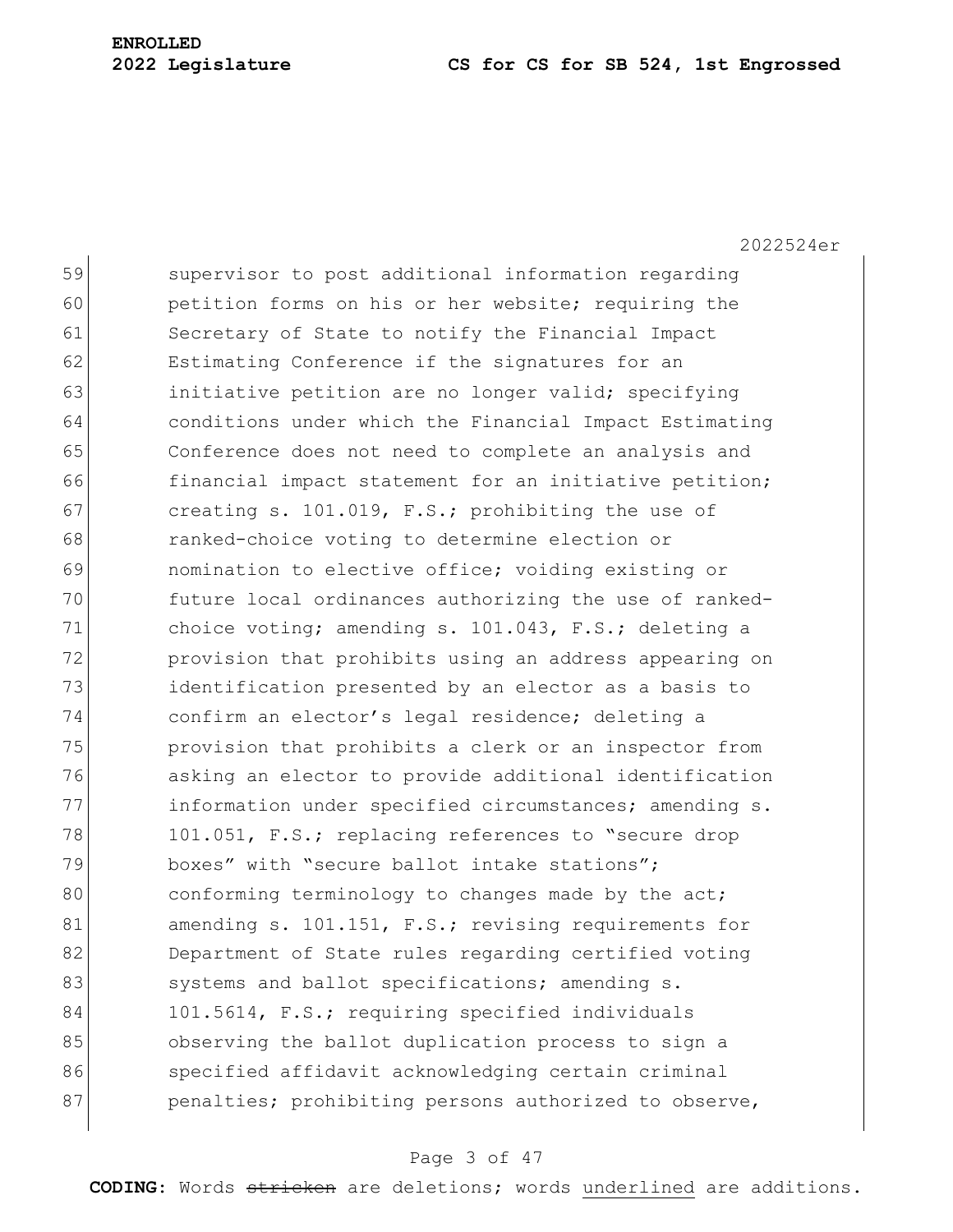2022524er

59 supervisor to post additional information regarding 60 petition forms on his or her website; requiring the 61 Secretary of State to notify the Financial Impact 62 Estimating Conference if the signatures for an 63 initiative petition are no longer valid; specifying 64 conditions under which the Financial Impact Estimating 65 Conference does not need to complete an analysis and 66 financial impact statement for an initiative petition; 67 creating s. 101.019, F.S.; prohibiting the use of 68 ranked-choice voting to determine election or 69 nomination to elective office; voiding existing or 70 future local ordinances authorizing the use of ranked-71 choice voting; amending s. 101.043, F.S.; deleting a 72 **provision that prohibits using an address appearing on** 73 identification presented by an elector as a basis to 74 confirm an elector's legal residence; deleting a 75 provision that prohibits a clerk or an inspector from 76 asking an elector to provide additional identification 77 information under specified circumstances; amending s. 78 101.051, F.S.; replacing references to "secure drop 79 boxes" with "secure ballot intake stations"; 80 conforming terminology to changes made by the act; 81 amending s. 101.151, F.S.; revising requirements for 82 Department of State rules regarding certified voting 83 systems and ballot specifications; amending s. 84 101.5614, F.S.; requiring specified individuals 85 observing the ballot duplication process to sign a 86 specified affidavit acknowledging certain criminal 87 penalties; prohibiting persons authorized to observe,

### Page 3 of 47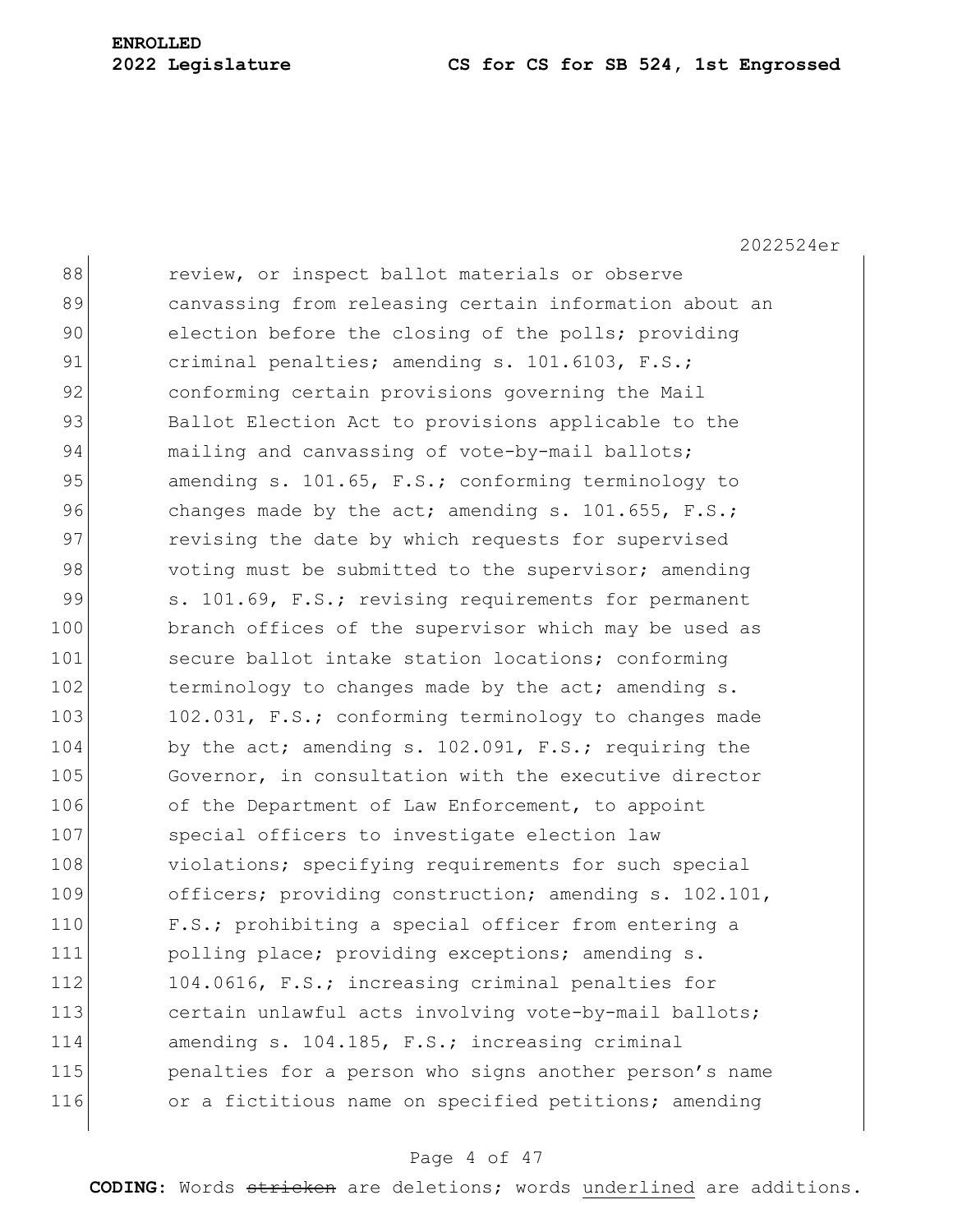2022524er

| 88  | review, or inspect ballot materials or observe         |
|-----|--------------------------------------------------------|
| 89  | canvassing from releasing certain information about an |
| 90  | election before the closing of the polls; providing    |
| 91  | criminal penalties; amending s. 101.6103, F.S.;        |
| 92  | conforming certain provisions governing the Mail       |
| 93  | Ballot Election Act to provisions applicable to the    |
| 94  | mailing and canvassing of vote-by-mail ballots;        |
| 95  | amending s. 101.65, F.S.; conforming terminology to    |
| 96  | changes made by the act; amending s. 101.655, F.S.;    |
| 97  | revising the date by which requests for supervised     |
| 98  | voting must be submitted to the supervisor; amending   |
| 99  | s. 101.69, F.S.; revising requirements for permanent   |
| 100 | branch offices of the supervisor which may be used as  |
| 101 | secure ballot intake station locations; conforming     |
| 102 | terminology to changes made by the act; amending s.    |
| 103 | 102.031, F.S.; conforming terminology to changes made  |
| 104 | by the act; amending s. 102.091, F.S.; requiring the   |
| 105 | Governor, in consultation with the executive director  |
| 106 | of the Department of Law Enforcement, to appoint       |
| 107 | special officers to investigate election law           |
| 108 | violations; specifying requirements for such special   |
| 109 | officers; providing construction; amending s. 102.101, |
| 110 | F.S.; prohibiting a special officer from entering a    |
| 111 | polling place; providing exceptions; amending s.       |
| 112 | 104.0616, F.S.; increasing criminal penalties for      |
| 113 | certain unlawful acts involving vote-by-mail ballots;  |
| 114 | amending s. 104.185, F.S.; increasing criminal         |
| 115 | penalties for a person who signs another person's name |
| 116 | or a fictitious name on specified petitions; amending  |
|     |                                                        |

### Page 4 of 47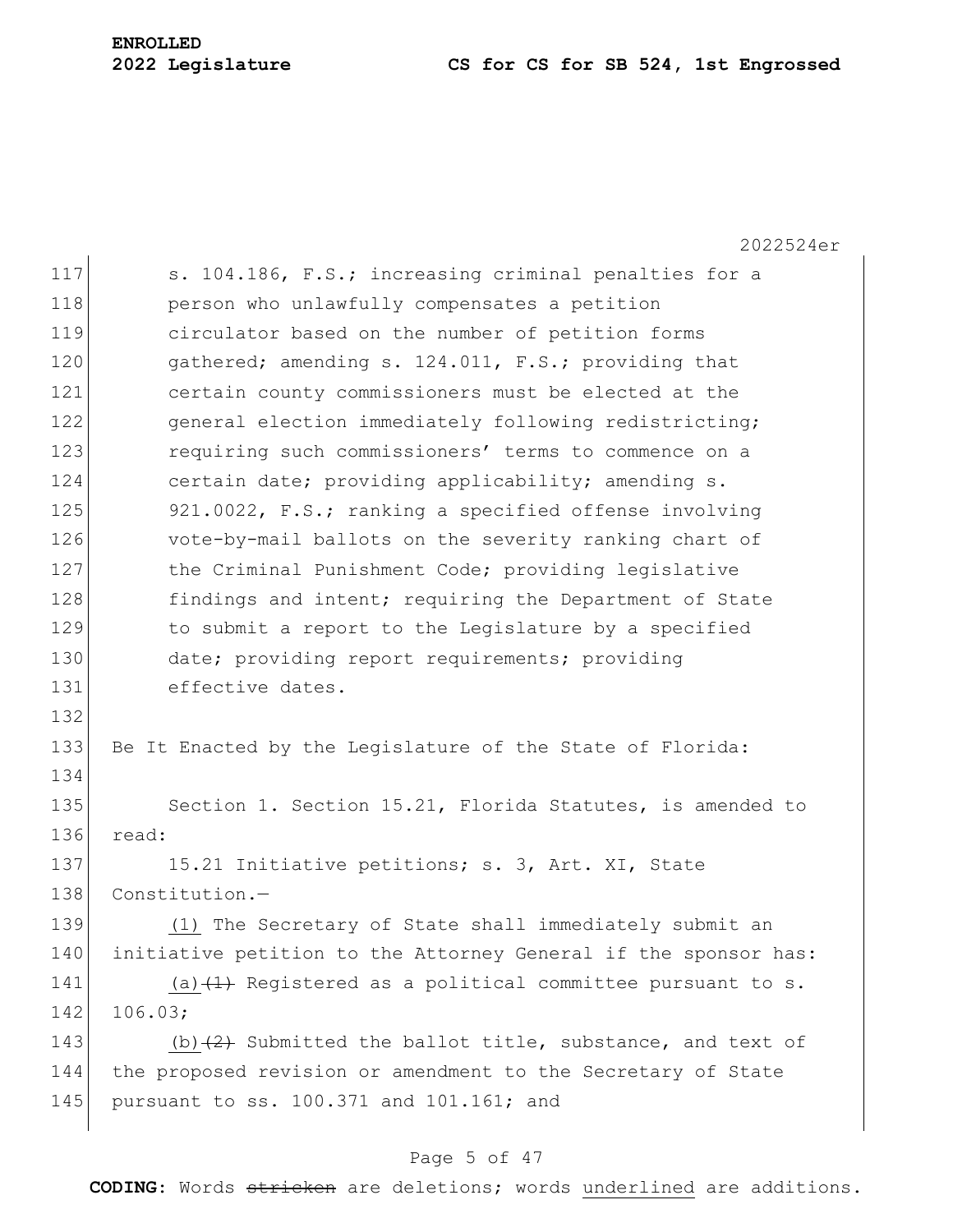2022524er 117 S. 104.186, F.S.; increasing criminal penalties for a 118 **person who unlawfully compensates a petition** 119 circulator based on the number of petition forms 120 gathered; amending s. 124.011, F.S.; providing that 121 certain county commissioners must be elected at the 122 general election immediately following redistricting; 123 **requiring such commissioners' terms to commence on a** 124 certain date; providing applicability; amending s. 125 921.0022, F.S.; ranking a specified offense involving 126 vote-by-mail ballots on the severity ranking chart of 127 the Criminal Punishment Code; providing legislative 128 findings and intent; requiring the Department of State 129 to submit a report to the Legislature by a specified 130 date; providing report requirements; providing 131 effective dates. 132 133 Be It Enacted by the Legislature of the State of Florida: 134 135 Section 1. Section 15.21, Florida Statutes, is amended to 136 read: 137 15.21 Initiative petitions; s. 3, Art. XI, State 138 Constitution.— 139 (1) The Secretary of State shall immediately submit an 140 initiative petition to the Attorney General if the sponsor has: 141 (a)  $(1)$  Registered as a political committee pursuant to s. 142 106.03; 143 (b) $(2)$  Submitted the ballot title, substance, and text of 144 the proposed revision or amendment to the Secretary of State 145 pursuant to ss. 100.371 and 101.161; and

### Page 5 of 47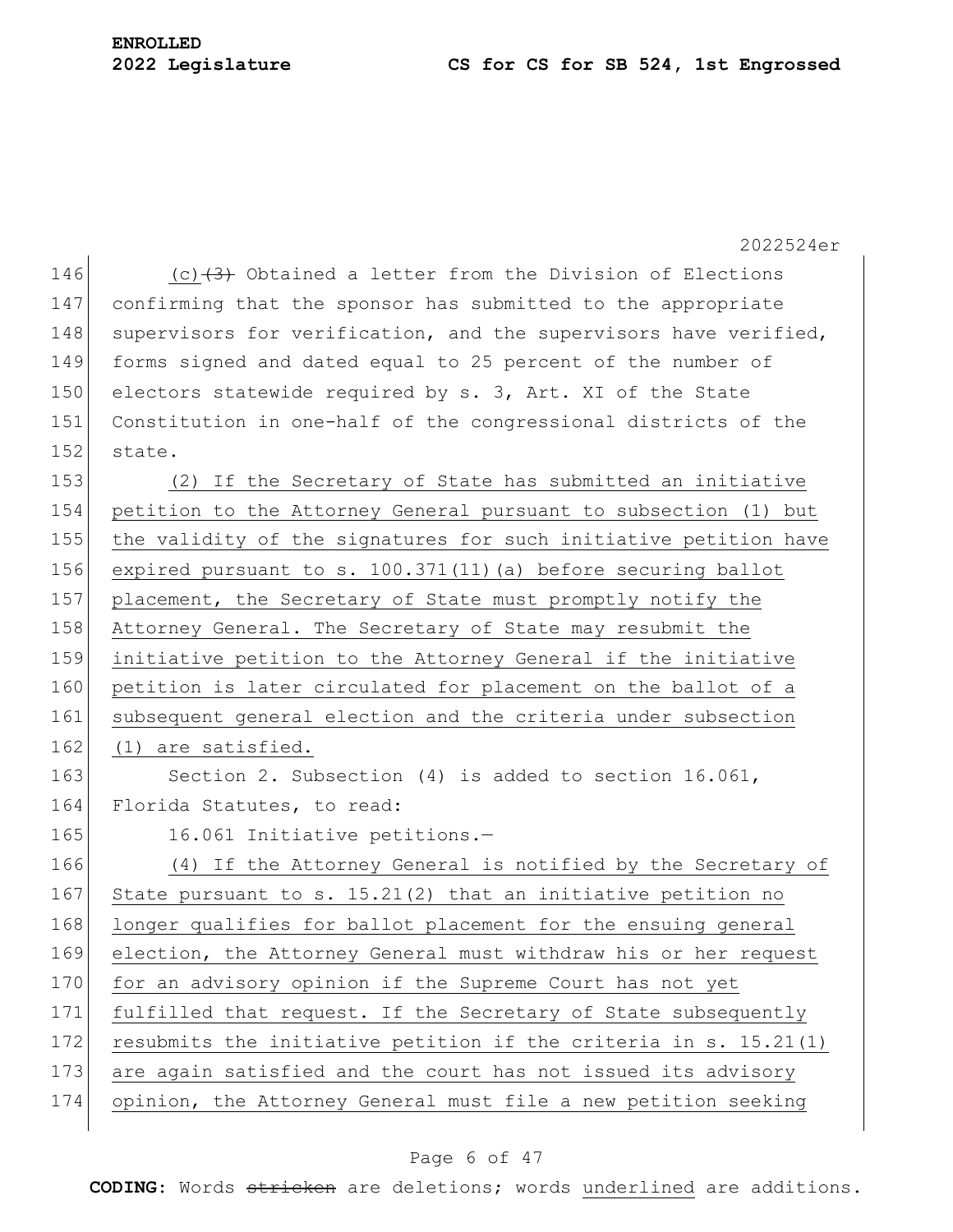|     | 2022524er                                                        |
|-----|------------------------------------------------------------------|
| 146 | (c) $(3)$ Obtained a letter from the Division of Elections       |
| 147 | confirming that the sponsor has submitted to the appropriate     |
| 148 | supervisors for verification, and the supervisors have verified, |
| 149 | forms signed and dated equal to 25 percent of the number of      |
| 150 | electors statewide required by s. 3, Art. XI of the State        |
| 151 | Constitution in one-half of the congressional districts of the   |
| 152 | state.                                                           |
| 153 | (2) If the Secretary of State has submitted an initiative        |
| 154 | petition to the Attorney General pursuant to subsection (1) but  |
| 155 | the validity of the signatures for such initiative petition have |
| 156 | expired pursuant to s. 100.371(11) (a) before securing ballot    |
| 157 | placement, the Secretary of State must promptly notify the       |
| 158 | Attorney General. The Secretary of State may resubmit the        |
| 159 | initiative petition to the Attorney General if the initiative    |
| 160 | petition is later circulated for placement on the ballot of a    |
| 161 | subsequent general election and the criteria under subsection    |
| 162 | (1) are satisfied.                                               |
| 163 | Section 2. Subsection $(4)$ is added to section 16.061,          |
| 164 | Florida Statutes, to read:                                       |
| 165 | 16.061 Initiative petitions.-                                    |
| 166 | (4) If the Attorney General is notified by the Secretary of      |
| 167 | State pursuant to s. $15.21(2)$ that an initiative petition no   |
| 168 | longer qualifies for ballot placement for the ensuing general    |
| 169 | election, the Attorney General must withdraw his or her request  |
| 170 | for an advisory opinion if the Supreme Court has not yet         |
| 171 | fulfilled that request. If the Secretary of State subsequently   |
| 172 | resubmits the initiative petition if the criteria in s. 15.21(1) |
| 173 | are again satisfied and the court has not issued its advisory    |
| 174 | opinion, the Attorney General must file a new petition seeking   |
|     |                                                                  |

### Page 6 of 47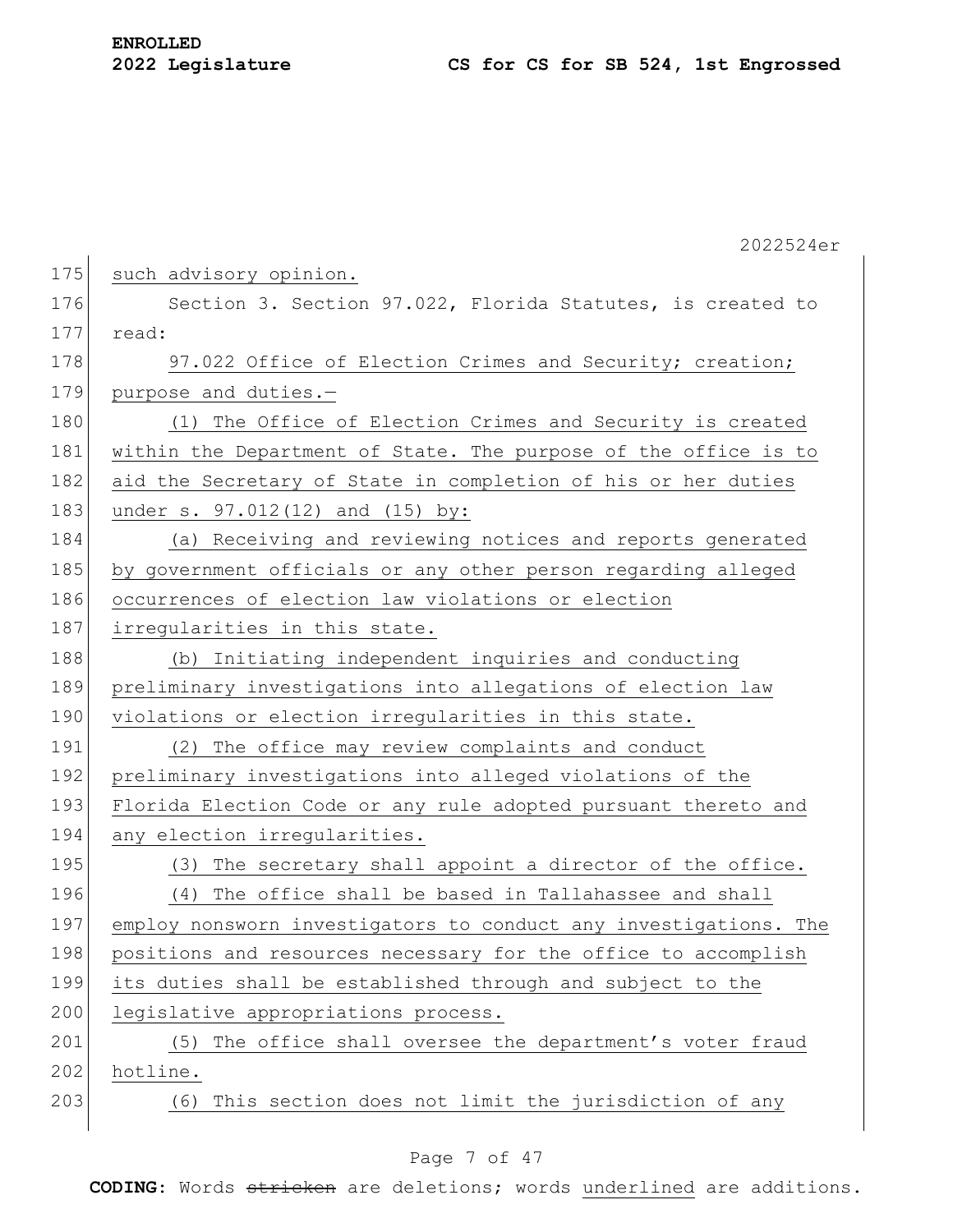|     | 2022524er                                                        |
|-----|------------------------------------------------------------------|
| 175 | such advisory opinion.                                           |
| 176 | Section 3. Section 97.022, Florida Statutes, is created to       |
| 177 | read:                                                            |
| 178 | 97.022 Office of Election Crimes and Security; creation;         |
| 179 | purpose and duties.-                                             |
| 180 | The Office of Election Crimes and Security is created<br>(1)     |
| 181 | within the Department of State. The purpose of the office is to  |
| 182 | aid the Secretary of State in completion of his or her duties    |
| 183 | under s. 97.012(12) and (15) by:                                 |
| 184 | (a) Receiving and reviewing notices and reports generated        |
| 185 | by government officials or any other person regarding alleged    |
| 186 | occurrences of election law violations or election               |
| 187 | irregularities in this state.                                    |
| 188 | (b) Initiating independent inquiries and conducting              |
| 189 | preliminary investigations into allegations of election law      |
| 190 | violations or election irregularities in this state.             |
| 191 | (2) The office may review complaints and conduct                 |
| 192 | preliminary investigations into alleged violations of the        |
| 193 | Florida Election Code or any rule adopted pursuant thereto and   |
| 194 | any election irregularities.                                     |
| 195 | The secretary shall appoint a director of the office.<br>(3)     |
| 196 | The office shall be based in Tallahassee and shall<br>(4)        |
| 197 | employ nonsworn investigators to conduct any investigations. The |
| 198 | positions and resources necessary for the office to accomplish   |
| 199 | its duties shall be established through and subject to the       |
| 200 | legislative appropriations process.                              |
| 201 | The office shall oversee the department's voter fraud<br>(5)     |
| 202 | hotline.                                                         |
| 203 | This section does not limit the jurisdiction of any<br>(6)       |
|     |                                                                  |

### Page 7 of 47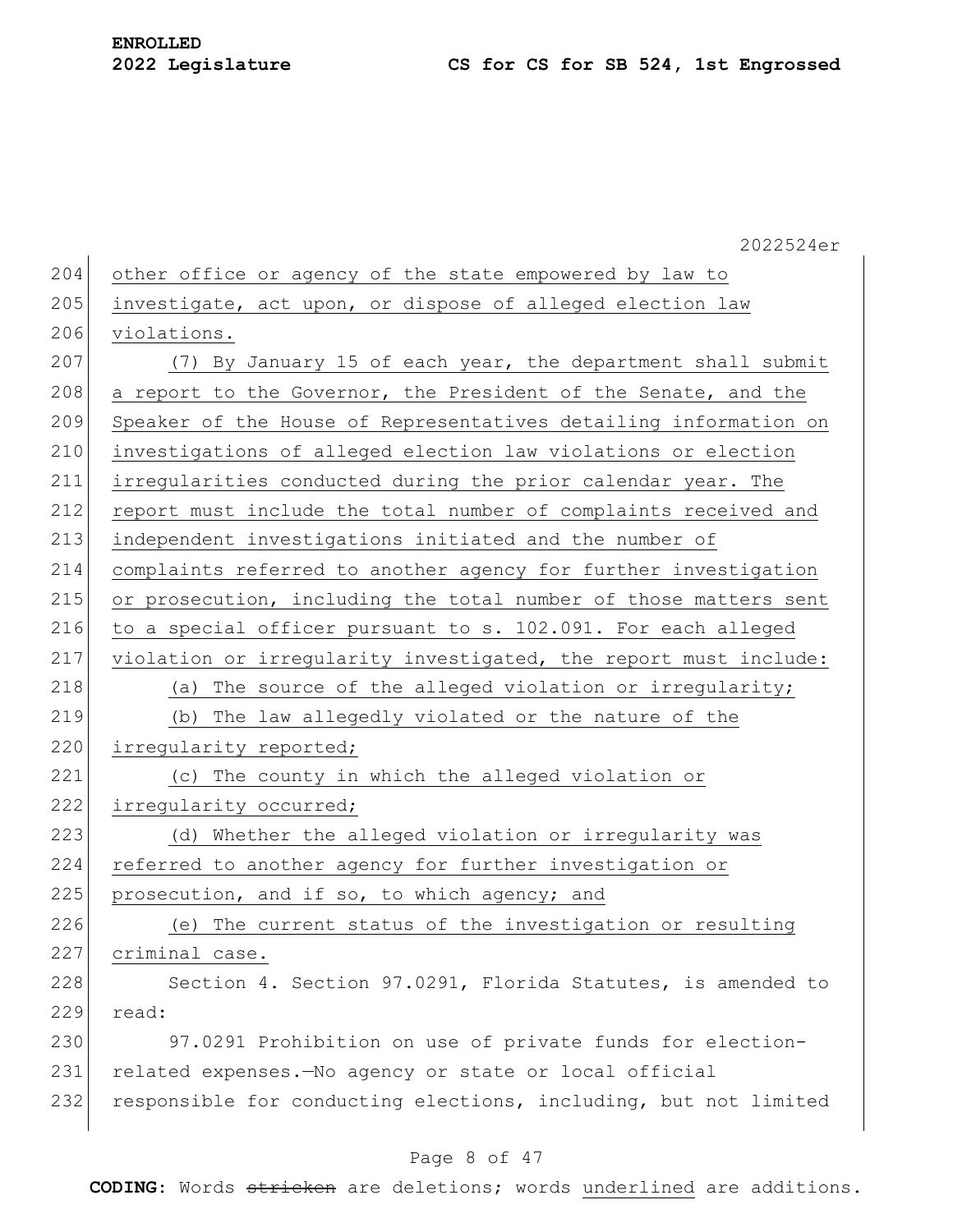2022524er 204 other office or agency of the state empowered by law to  $205$  investigate, act upon, or dispose of alleged election law 206 violations. 207  $(7)$  By January 15 of each year, the department shall submit 208 a report to the Governor, the President of the Senate, and the 209 Speaker of the House of Representatives detailing information on 210 investigations of alleged election law violations or election 211 irregularities conducted during the prior calendar year. The 212 report must include the total number of complaints received and 213 independent investigations initiated and the number of 214 complaints referred to another agency for further investigation 215 or prosecution, including the total number of those matters sent 216 to a special officer pursuant to s. 102.091. For each alleged 217 violation or irregularity investigated, the report must include: 218  $\vert$  (a) The source of the alleged violation or irregularity; 219 (b) The law allegedly violated or the nature of the 220 irregularity reported; 221 (c) The county in which the alleged violation or 222 irregularity occurred; 223 (d) Whether the alleged violation or irregularity was 224 referred to another agency for further investigation or 225 prosecution, and if so, to which agency; and 226 (e) The current status of the investigation or resulting 227 criminal case. 228 Section 4. Section 97.0291, Florida Statutes, is amended to 229 read: 230 97.0291 Prohibition on use of private funds for election-231 related expenses.—No agency or state or local official 232 responsible for conducting elections, including, but not limited

### Page 8 of 47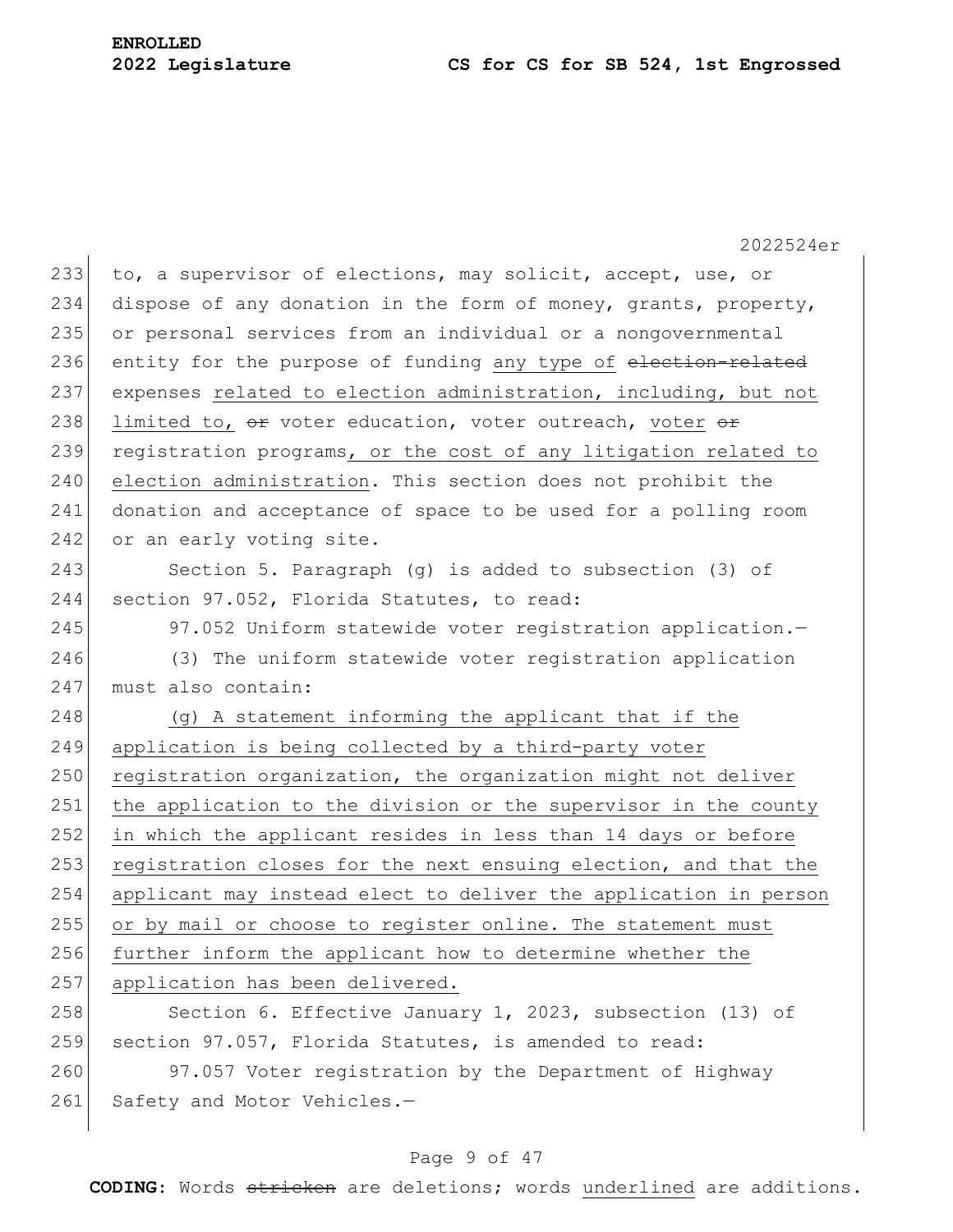2022524er 233 to, a supervisor of elections, may solicit, accept, use, or 234 dispose of any donation in the form of money, grants, property, 235 or personal services from an individual or a nongovernmental 236 entity for the purpose of funding any type of election-related 237 expenses related to election administration, including, but not 238 limited to,  $\Theta$  voter education, voter outreach, voter  $\Theta$ <del>r</del> 239 registration programs, or the cost of any litigation related to 240 election administration. This section does not prohibit the 241 donation and acceptance of space to be used for a polling room 242 or an early voting site. 243 Section 5. Paragraph (g) is added to subsection (3) of 244 section 97.052, Florida Statutes, to read: 245 97.052 Uniform statewide voter registration application. 246 (3) The uniform statewide voter registration application 247 must also contain: 248 (g) A statement informing the applicant that if the 249 application is being collected by a third-party voter 250 registration organization, the organization might not deliver 251 the application to the division or the supervisor in the county 252 in which the applicant resides in less than 14 days or before 253 registration closes for the next ensuing election, and that the 254 applicant may instead elect to deliver the application in person 255 or by mail or choose to register online. The statement must 256 further inform the applicant how to determine whether the 257 application has been delivered. 258 Section 6. Effective January 1, 2023, subsection (13) of 259 section 97.057, Florida Statutes, is amended to read: 260 97.057 Voter registration by the Department of Highway 261 Safety and Motor Vehicles.-

### Page 9 of 47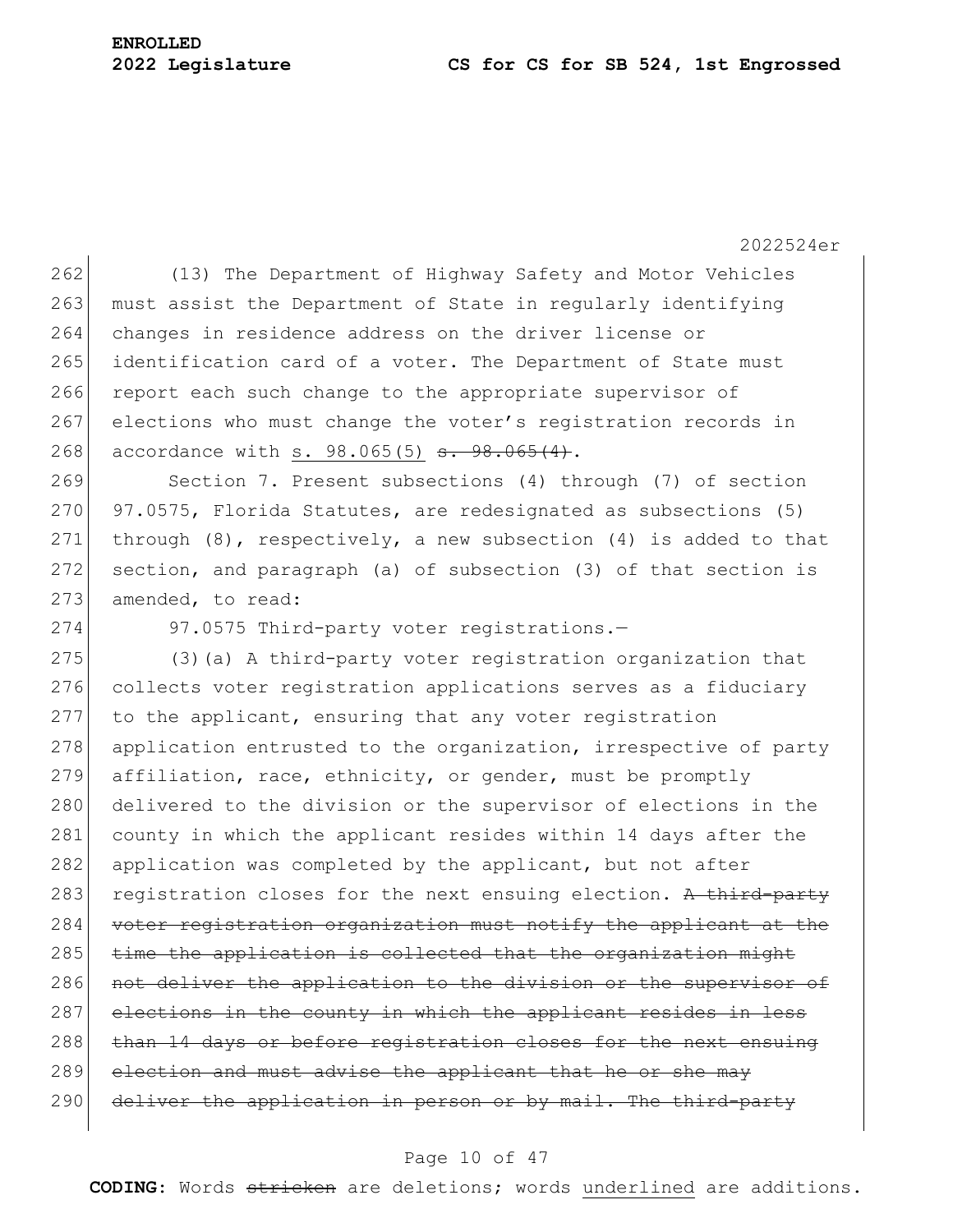2022524er 262 (13) The Department of Highway Safety and Motor Vehicles 263 must assist the Department of State in regularly identifying 264 changes in residence address on the driver license or 265 identification card of a voter. The Department of State must 266 report each such change to the appropriate supervisor of 267 elections who must change the voter's registration records in 268 accordance with s. 98.065(5) <del>s. 98.065(4)</del>. 269 Section 7. Present subsections (4) through (7) of section 270 97.0575, Florida Statutes, are redesignated as subsections (5) 271 through  $(8)$ , respectively, a new subsection  $(4)$  is added to that 272 section, and paragraph (a) of subsection (3) of that section is 273 amended, to read: 274 97.0575 Third-party voter registrations.-275  $(3)(a)$  A third-party voter registration organization that 276 collects voter registration applications serves as a fiduciary 277 to the applicant, ensuring that any voter registration  $278$  application entrusted to the organization, irrespective of party 279 affiliation, race, ethnicity, or gender, must be promptly 280 delivered to the division or the supervisor of elections in the 281 county in which the applicant resides within 14 days after the 282 application was completed by the applicant, but not after 283 registration closes for the next ensuing election. A third-party 284 voter registration organization must notify the applicant at the 285 time the application is collected that the organization might 286 not deliver the application to the division or the supervisor of 287 elections in the county in which the applicant resides in less 288 than 14 days or before registration closes for the next ensuing 289 election and must advise the applicant that he or she may

290 deliver the application in person or by mail. The third-party

#### Page 10 of 47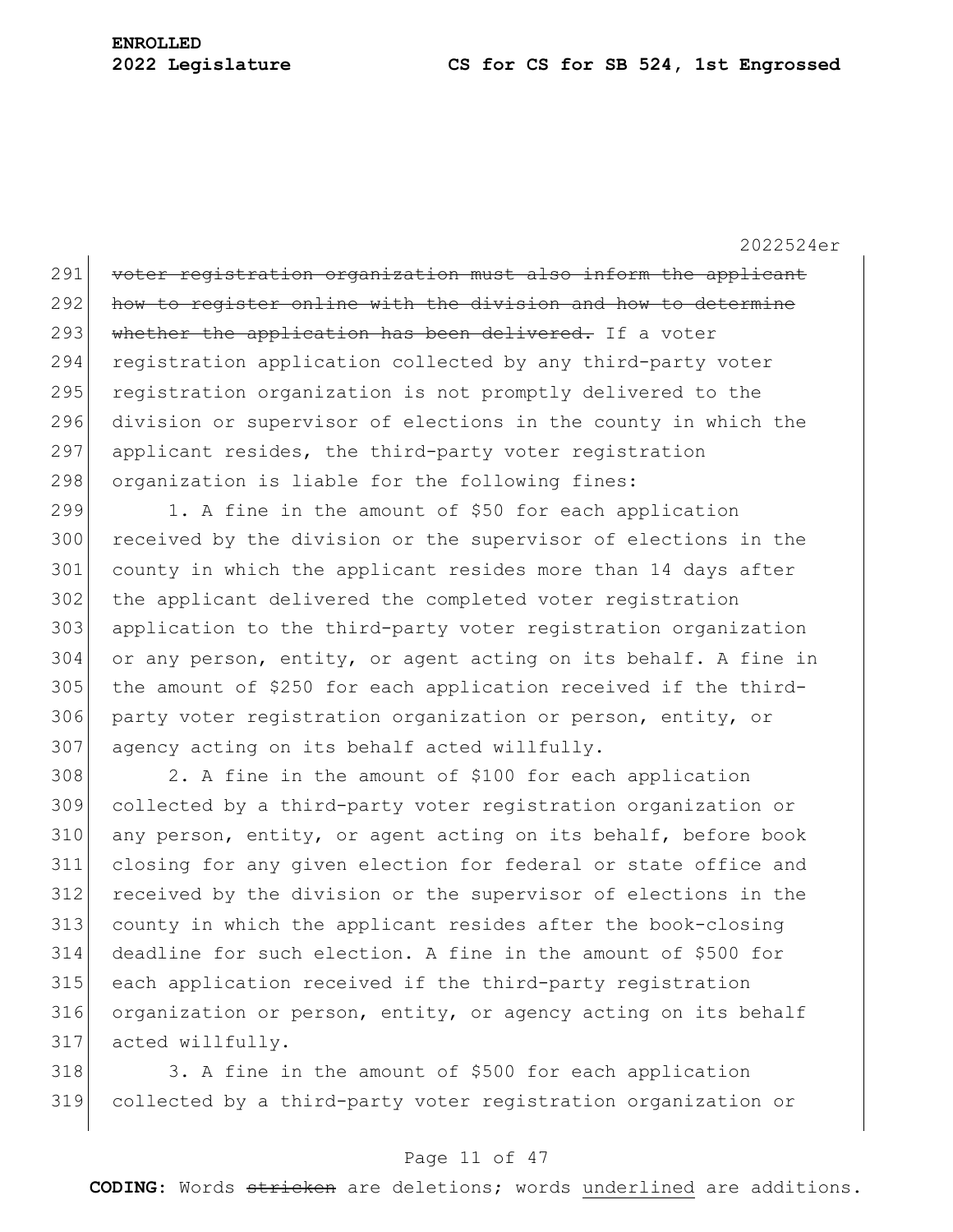2022524er

291 voter registration organization must also inform the applicant 292 how to register online with the division and how to determine 293 whether the application has been delivered. If a voter 294 registration application collected by any third-party voter 295 registration organization is not promptly delivered to the 296 division or supervisor of elections in the county in which the 297 applicant resides, the third-party voter registration 298 organization is liable for the following fines:

299 1. A fine in the amount of \$50 for each application 300 received by the division or the supervisor of elections in the 301 county in which the applicant resides more than 14 days after 302 the applicant delivered the completed voter registration 303 application to the third-party voter registration organization 304 or any person, entity, or agent acting on its behalf. A fine in 305 the amount of \$250 for each application received if the third-306 party voter registration organization or person, entity, or 307 agency acting on its behalf acted willfully.

 2. A fine in the amount of \$100 for each application collected by a third-party voter registration organization or 310 any person, entity, or agent acting on its behalf, before book closing for any given election for federal or state office and received by the division or the supervisor of elections in the county in which the applicant resides after the book-closing deadline for such election. A fine in the amount of \$500 for each application received if the third-party registration 316 organization or person, entity, or agency acting on its behalf acted willfully.

318 3. A fine in the amount of \$500 for each application 319 collected by a third-party voter registration organization or

### Page 11 of 47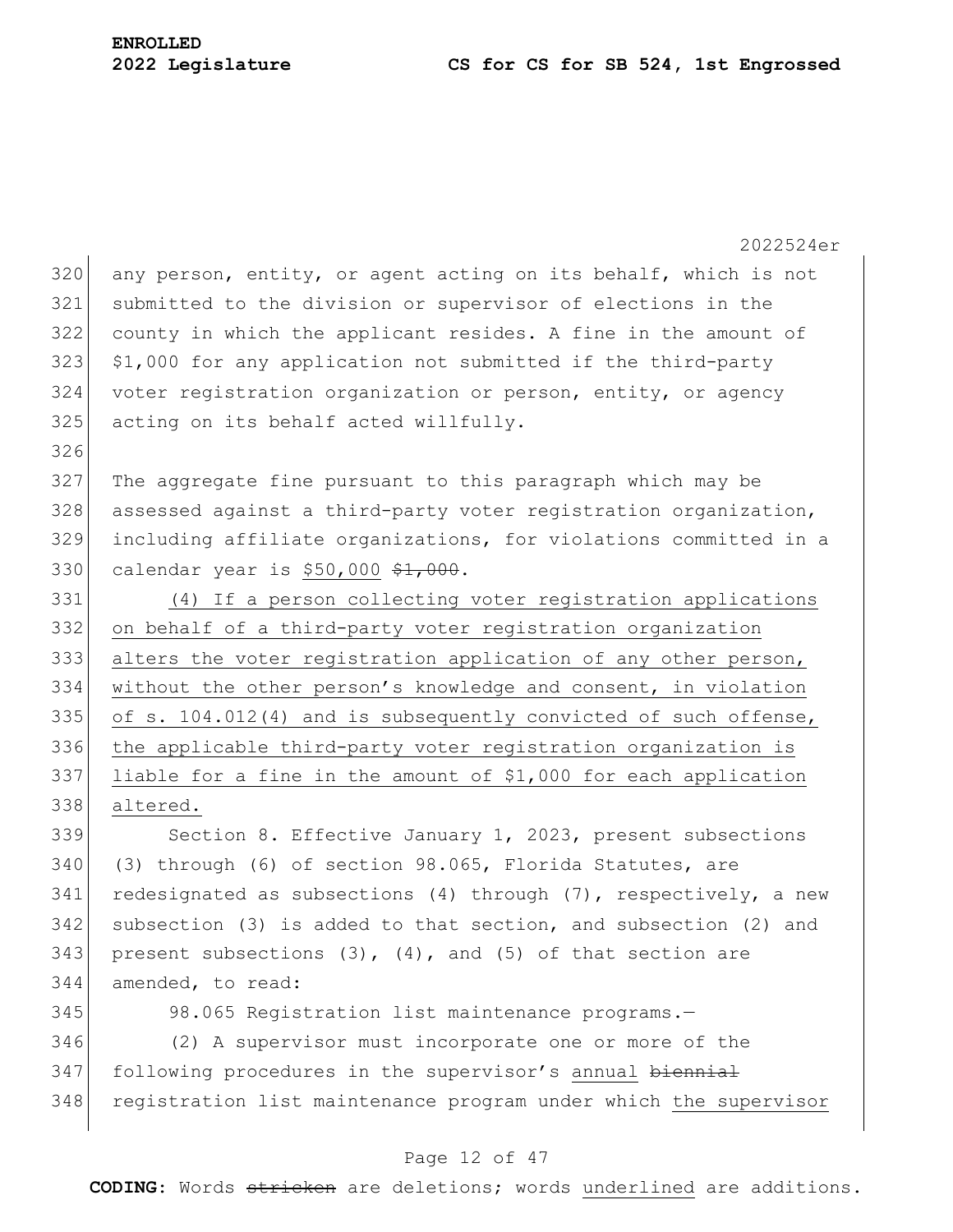2022524er  $320$  any person, entity, or agent acting on its behalf, which is not 321 submitted to the division or supervisor of elections in the 322 county in which the applicant resides. A fine in the amount of  $323$  \$1,000 for any application not submitted if the third-party 324 voter registration organization or person, entity, or agency 325 acting on its behalf acted willfully. 326 327 The aggregate fine pursuant to this paragraph which may be 328 assessed against a third-party voter registration organization, 329 including affiliate organizations, for violations committed in a 330 calendar year is \$50,000 \$1,000. 331 (4) If a person collecting voter registration applications 332 on behalf of a third-party voter registration organization 333 alters the voter registration application of any other person, 334 without the other person's knowledge and consent, in violation 335 of s. 104.012(4) and is subsequently convicted of such offense, 336 the applicable third-party voter registration organization is 337 liable for a fine in the amount of \$1,000 for each application 338 altered. 339 Section 8. Effective January 1, 2023, present subsections 340 (3) through (6) of section 98.065, Florida Statutes, are 341 redesignated as subsections (4) through  $(7)$ , respectively, a new 342 subsection (3) is added to that section, and subsection (2) and 343 present subsections  $(3)$ ,  $(4)$ , and  $(5)$  of that section are 344 amended, to read: 345 98.065 Registration list maintenance programs. 346 (2) A supervisor must incorporate one or more of the

347 following procedures in the supervisor's annual biennial 348 registration list maintenance program under which the supervisor

#### Page 12 of 47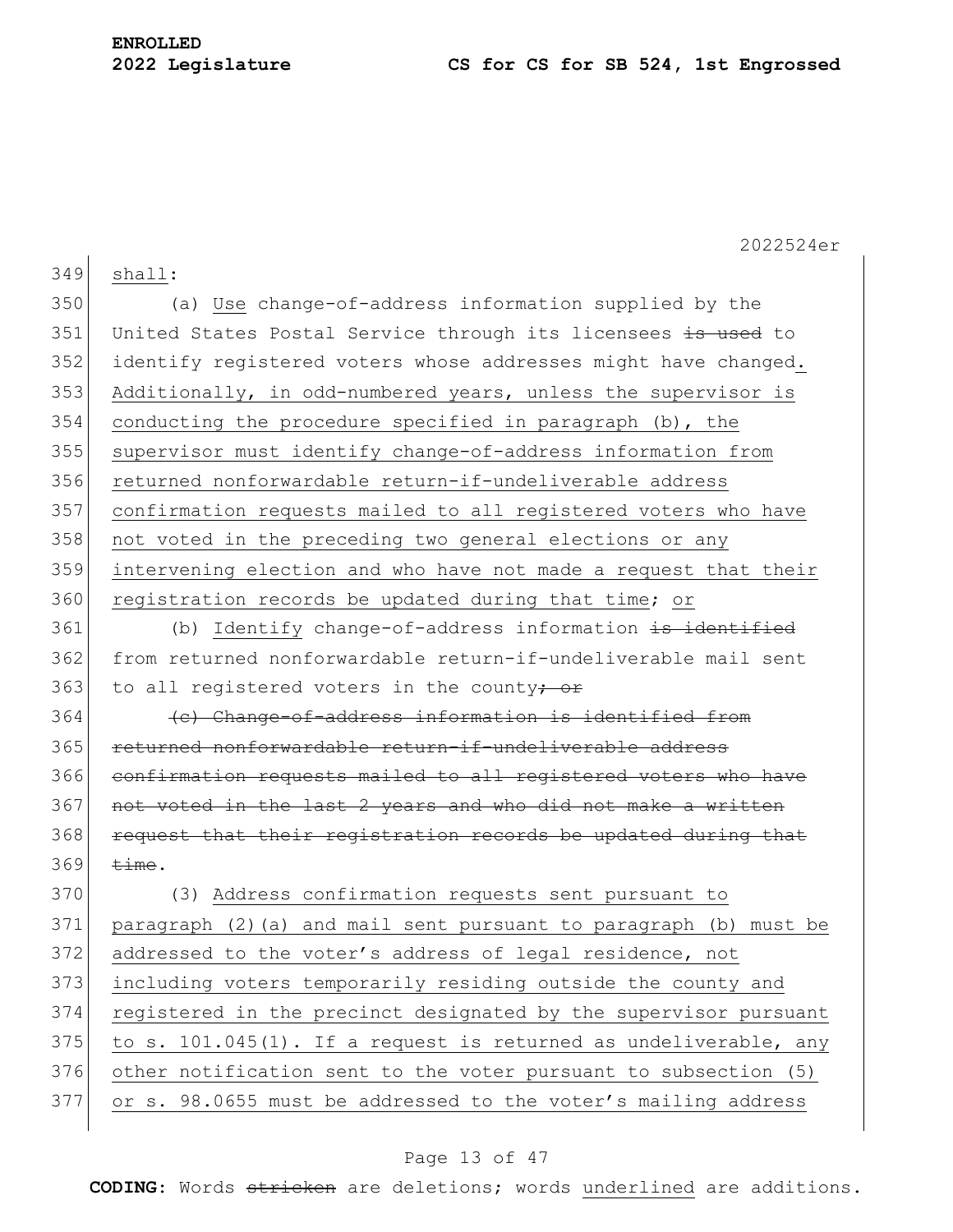349 shall:

2022524er

350 (a) Use change-of-address information supplied by the 351 United States Postal Service through its licensees is used to 352 identify registered voters whose addresses might have changed. 353 Additionally, in odd-numbered years, unless the supervisor is 354 conducting the procedure specified in paragraph (b), the 355 supervisor must identify change-of-address information from 356 returned nonforwardable return-if-undeliverable address 357 confirmation requests mailed to all registered voters who have 358 not voted in the preceding two general elections or any 359 intervening election and who have not made a request that their 360 registration records be updated during that time; or 361 (b) Identify change-of-address information is identified 362 from returned nonforwardable return-if-undeliverable mail sent 363 to all registered voters in the county<del>; or</del> 364 (c) Change-of-address information is identified from 365 returned nonforwardable return-if-undeliverable address 366 confirmation requests mailed to all registered voters who have 367 not voted in the last 2 years and who did not make a written 368 request that their registration records be updated during that  $369$   $\overline{\text{time}}$ . 370 (3) Address confirmation requests sent pursuant to 371 paragraph (2)(a) and mail sent pursuant to paragraph (b) must be 372 addressed to the voter's address of legal residence, not 373 including voters temporarily residing outside the county and 374 registered in the precinct designated by the supervisor pursuant  $375$  to s. 101.045(1). If a request is returned as undeliverable, any 376 other notification sent to the voter pursuant to subsection (5) 377 or s. 98.0655 must be addressed to the voter's mailing address

### Page 13 of 47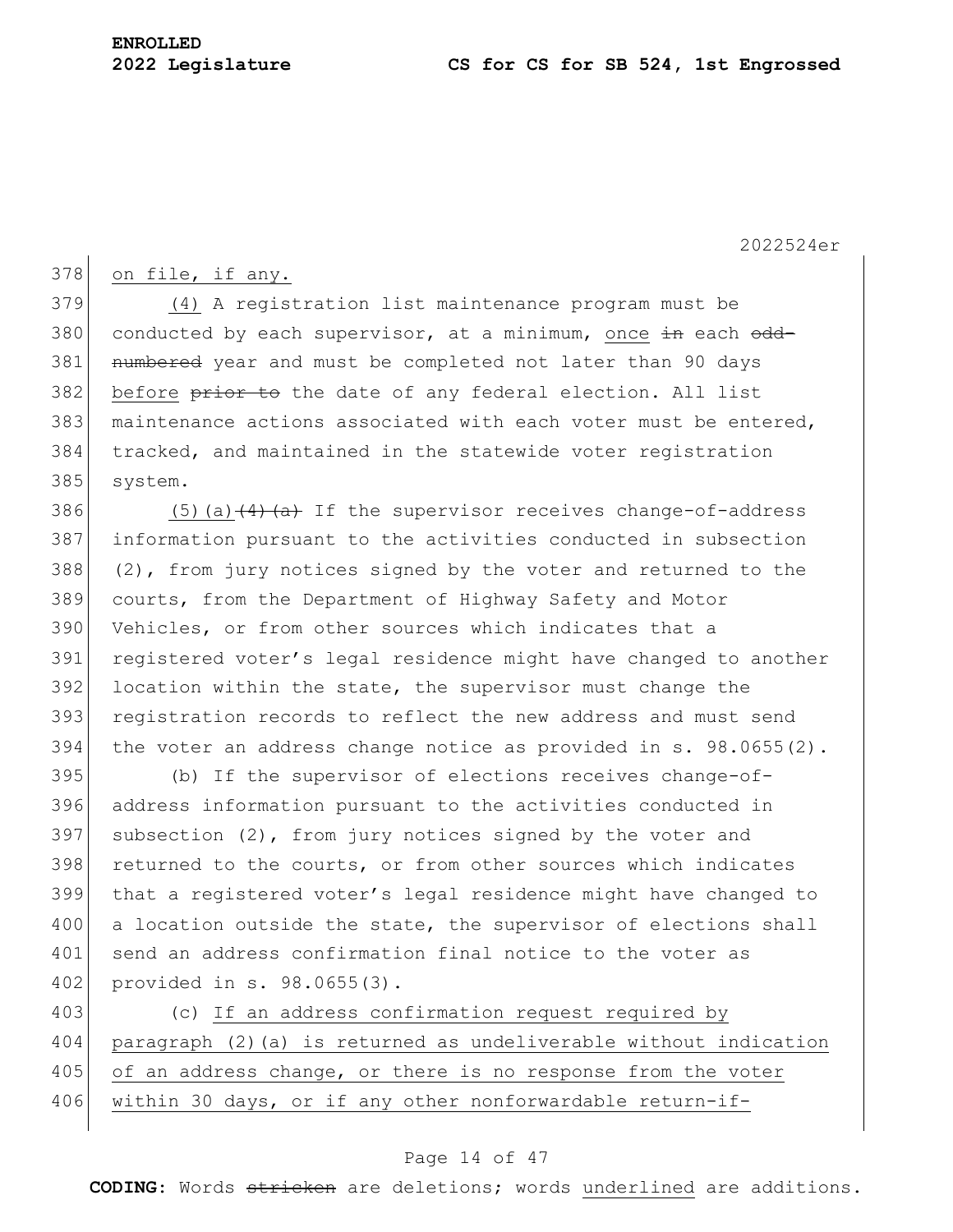### $378$  on file, if any.

379 (4) A registration list maintenance program must be 380 conducted by each supervisor, at a minimum, once  $\pm n$  each  $\theta$ dd-381 numbered year and must be completed not later than 90 days 382 before prior to the date of any federal election. All list 383 maintenance actions associated with each voter must be entered, 384 tracked, and maintained in the statewide voter registration 385 system.

 $(5)(a)$  (4)  $(a)$  If the supervisor receives change-of-address information pursuant to the activities conducted in subsection  $(2)$ , from jury notices signed by the voter and returned to the courts, from the Department of Highway Safety and Motor Vehicles, or from other sources which indicates that a 391 registered voter's legal residence might have changed to another 392 location within the state, the supervisor must change the registration records to reflect the new address and must send 394 | the voter an address change notice as provided in s. 98.0655(2).

395 (b) If the supervisor of elections receives change-of-396 address information pursuant to the activities conducted in 397 subsection  $(2)$ , from jury notices signed by the voter and 398 returned to the courts, or from other sources which indicates 399 that a registered voter's legal residence might have changed to 400 a location outside the state, the supervisor of elections shall 401 send an address confirmation final notice to the voter as 402 provided in s. 98.0655(3).

403 (c) If an address confirmation request required by 404 paragraph (2)(a) is returned as undeliverable without indication 405 of an address change, or there is no response from the voter 406 within 30 days, or if any other nonforwardable return-if-

### Page 14 of 47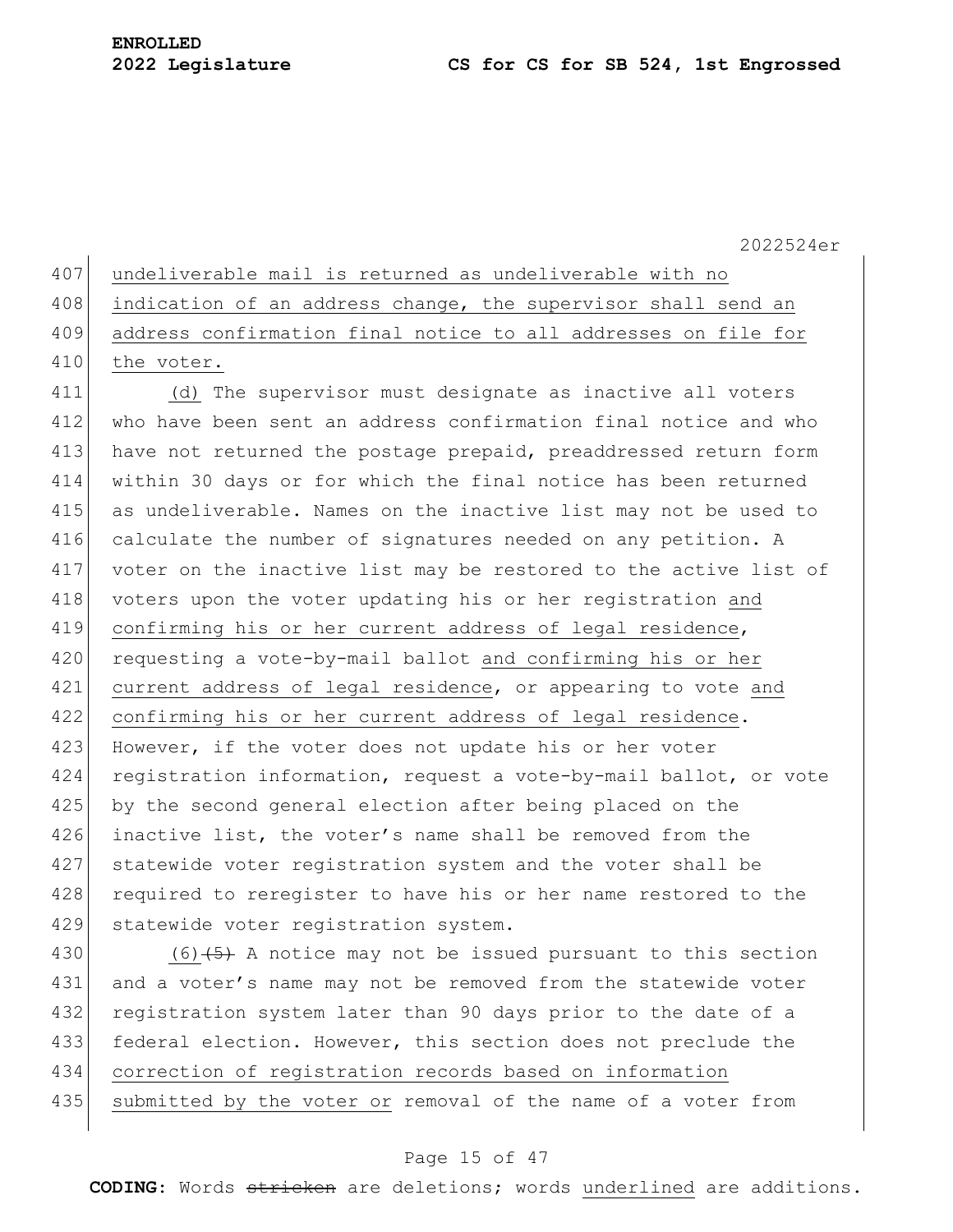|  | 407 undeliverable mail is returned as undeliverable with no |  |  |  |  |  |  |  |
|--|-------------------------------------------------------------|--|--|--|--|--|--|--|
|--|-------------------------------------------------------------|--|--|--|--|--|--|--|

- 408 indication of an address change, the supervisor shall send an
- 409 address confirmation final notice to all addresses on file for
- 410 the voter.

411 (d) The supervisor must designate as inactive all voters 412 who have been sent an address confirmation final notice and who 413 have not returned the postage prepaid, preaddressed return form 414 within 30 days or for which the final notice has been returned 415 as undeliverable. Names on the inactive list may not be used to 416 calculate the number of signatures needed on any petition. A 417 voter on the inactive list may be restored to the active list of 418 voters upon the voter updating his or her registration and 419 confirming his or her current address of legal residence, 420 requesting a vote-by-mail ballot and confirming his or her 421 current address of legal residence, or appearing to vote and 422 confirming his or her current address of legal residence. 423 However, if the voter does not update his or her voter 424 registration information, request a vote-by-mail ballot, or vote 425 by the second general election after being placed on the 426 inactive list, the voter's name shall be removed from the 427 statewide voter registration system and the voter shall be 428 required to reregister to have his or her name restored to the 429 statewide voter registration system.

430 (6) $(5)$  A notice may not be issued pursuant to this section 431 and a voter's name may not be removed from the statewide voter 432 registration system later than 90 days prior to the date of a 433 federal election. However, this section does not preclude the 434 correction of registration records based on information 435 submitted by the voter or removal of the name of a voter from

### Page 15 of 47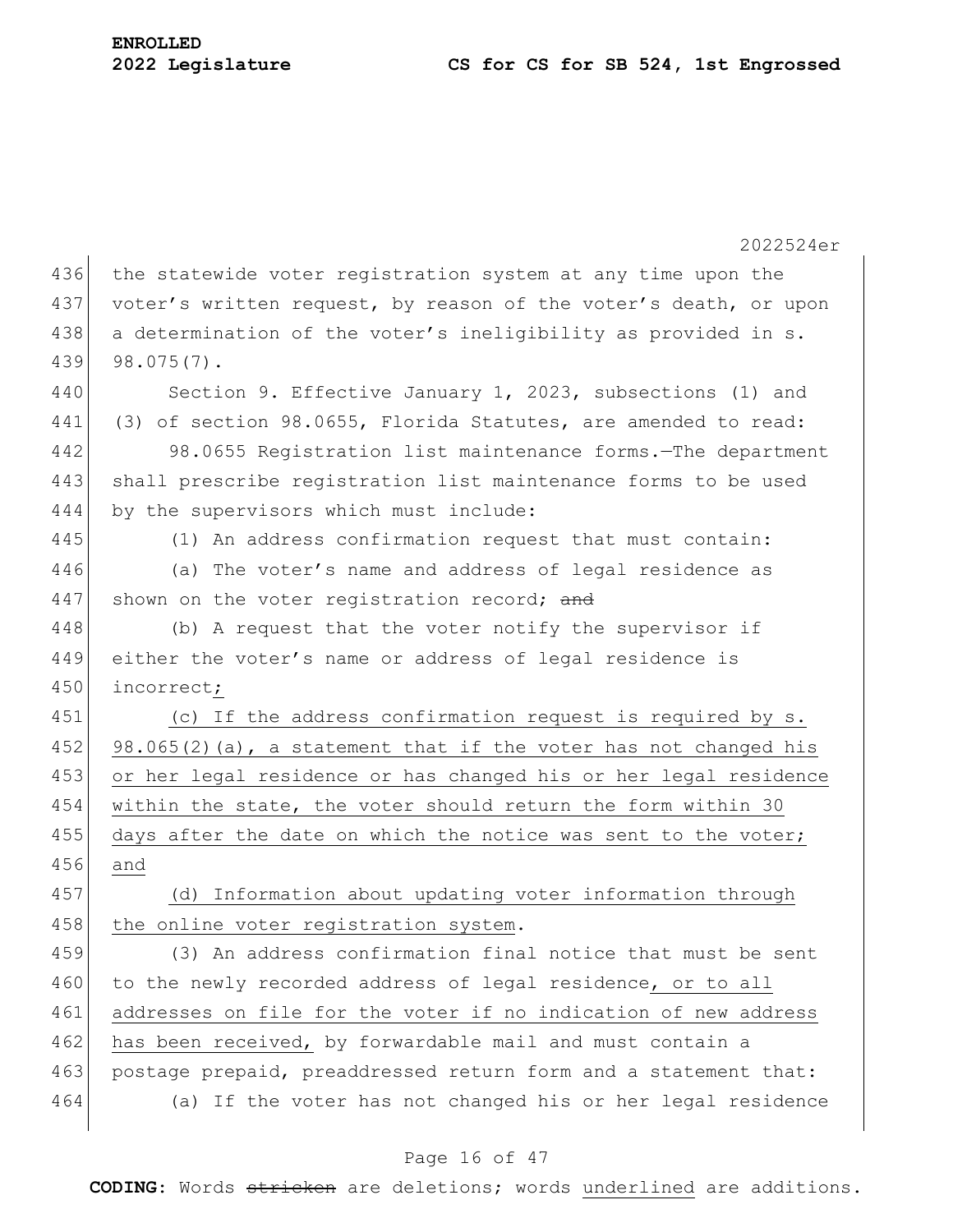2022524er 436 the statewide voter registration system at any time upon the 437 voter's written request, by reason of the voter's death, or upon 438 a determination of the voter's ineligibility as provided in s. 439 98.075(7). 440 Section 9. Effective January 1, 2023, subsections (1) and 441 (3) of section 98.0655, Florida Statutes, are amended to read: 442 98.0655 Registration list maintenance forms.—The department 443 shall prescribe registration list maintenance forms to be used 444 by the supervisors which must include: 445 (1) An address confirmation request that must contain: 446 (a) The voter's name and address of legal residence as 447 shown on the voter registration record; and 448 (b) A request that the voter notify the supervisor if 449 either the voter's name or address of legal residence is 450 incorrect; 451 (c) If the address confirmation request is required by s. 452 98.065(2)(a), a statement that if the voter has not changed his 453 or her legal residence or has changed his or her legal residence 454 within the state, the voter should return the form within 30 455 days after the date on which the notice was sent to the voter; 456 and 457 (d) Information about updating voter information through 458 the online voter registration system. 459 (3) An address confirmation final notice that must be sent 460 to the newly recorded address of legal residence, or to all 461 addresses on file for the voter if no indication of new address 462 has been received, by forwardable mail and must contain a 463 postage prepaid, preaddressed return form and a statement that: 464 (a) If the voter has not changed his or her legal residence

### Page 16 of 47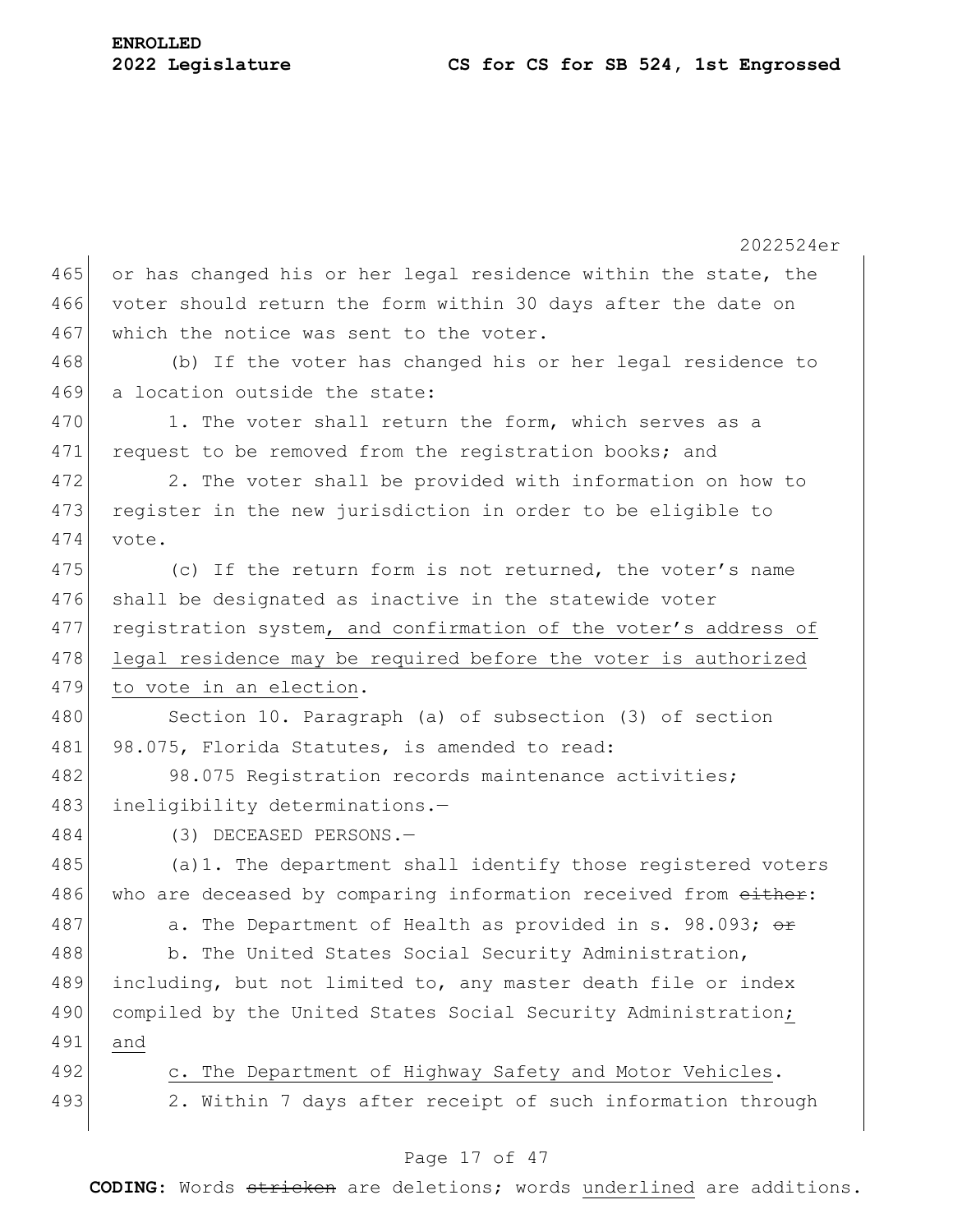2022524er 465 or has changed his or her legal residence within the state, the 466 voter should return the form within 30 days after the date on 467 which the notice was sent to the voter. 468 (b) If the voter has changed his or her legal residence to 469 a location outside the state: 470 1. The voter shall return the form, which serves as a 471 request to be removed from the registration books; and 472 2. The voter shall be provided with information on how to 473 register in the new jurisdiction in order to be eligible to 474 vote. 475 (c) If the return form is not returned, the voter's name 476 shall be designated as inactive in the statewide voter 477 registration system, and confirmation of the voter's address of 478 legal residence may be required before the voter is authorized 479 to vote in an election. 480 Section 10. Paragraph (a) of subsection (3) of section 481 98.075, Florida Statutes, is amended to read: 482 98.075 Registration records maintenance activities; 483 ineligibility determinations.-484 (3) DECEASED PERSONS.— 485 (a)1. The department shall identify those registered voters 486 who are deceased by comparing information received from either: 487 a. The Department of Health as provided in s. 98.093;  $\theta$ r 488 b. The United States Social Security Administration, 489 including, but not limited to, any master death file or index 490 compiled by the United States Social Security Administration; 491 and 492 c. The Department of Highway Safety and Motor Vehicles. 493 2. Within 7 days after receipt of such information through

### Page 17 of 47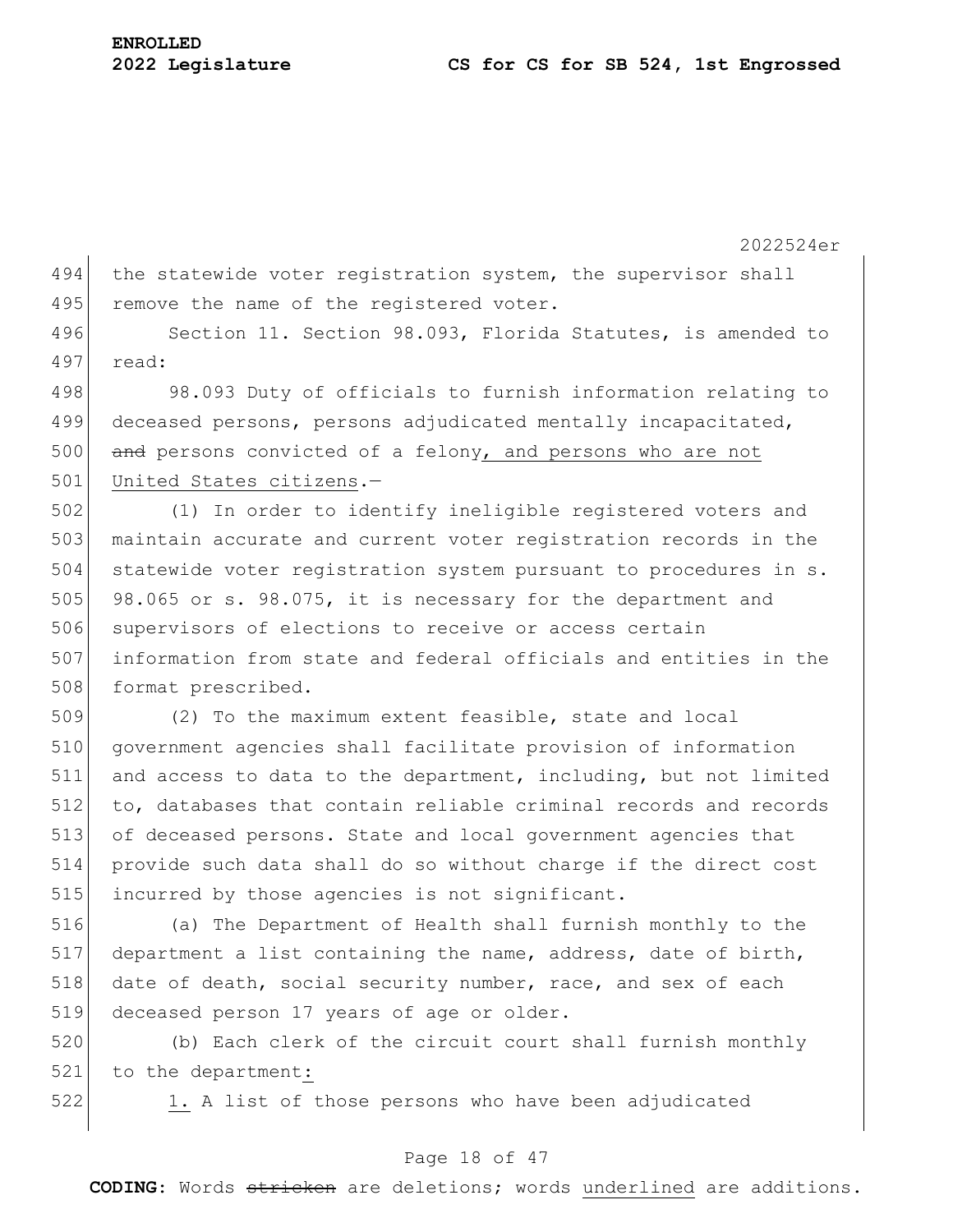494 the statewide voter registration system, the supervisor shall 495 remove the name of the registered voter.

496 Section 11. Section 98.093, Florida Statutes, is amended to 497 read:

498 98.093 Duty of officials to furnish information relating to 499 deceased persons, persons adjudicated mentally incapacitated, 500 and persons convicted of a felony, and persons who are not 501 United States citizens.-

502 (1) In order to identify ineligible registered voters and 503 maintain accurate and current voter registration records in the 504 statewide voter registration system pursuant to procedures in s. 505 98.065 or s. 98.075, it is necessary for the department and 506 supervisors of elections to receive or access certain 507 information from state and federal officials and entities in the 508 format prescribed.

 (2) To the maximum extent feasible, state and local government agencies shall facilitate provision of information and access to data to the department, including, but not limited to, databases that contain reliable criminal records and records of deceased persons. State and local government agencies that provide such data shall do so without charge if the direct cost 515 incurred by those agencies is not significant.

516 (a) The Department of Health shall furnish monthly to the 517 department a list containing the name, address, date of birth, 518 date of death, social security number, race, and sex of each 519 deceased person 17 years of age or older.

520 (b) Each clerk of the circuit court shall furnish monthly 521 to the department:

522 1. A list of those persons who have been adjudicated

### Page 18 of 47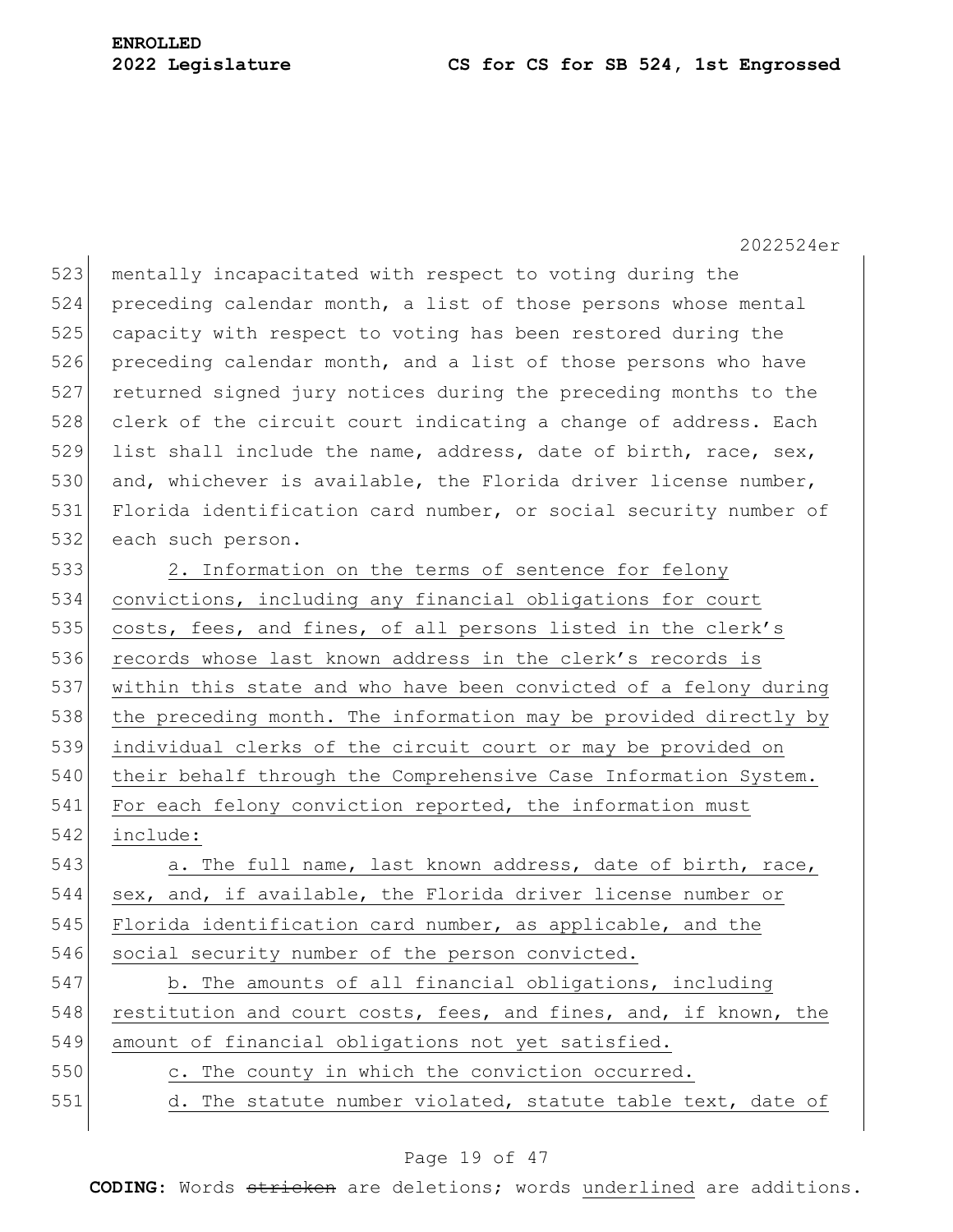523 mentally incapacitated with respect to voting during the 524 preceding calendar month, a list of those persons whose mental 525 capacity with respect to voting has been restored during the 526 preceding calendar month, and a list of those persons who have 527 returned signed jury notices during the preceding months to the 528 clerk of the circuit court indicating a change of address. Each 529 list shall include the name, address, date of birth, race, sex, 530 and, whichever is available, the Florida driver license number, 531 Florida identification card number, or social security number of 532 each such person.

533 2. Information on the terms of sentence for felony 534 convictions, including any financial obligations for court 535 costs, fees, and fines, of all persons listed in the clerk's 536 records whose last known address in the clerk's records is 537 within this state and who have been convicted of a felony during 538 the preceding month. The information may be provided directly by 539 individual clerks of the circuit court or may be provided on 540 their behalf through the Comprehensive Case Information System. 541 For each felony conviction reported, the information must 542 include:

543 a. The full name, last known address, date of birth, race, 544 sex, and, if available, the Florida driver license number or 545 Florida identification card number, as applicable, and the 546 social security number of the person convicted.

547 b. The amounts of all financial obligations, including 548 restitution and court costs, fees, and fines, and, if known, the 549 amount of financial obligations not yet satisfied.

550 c. The county in which the conviction occurred. 551 d. The statute number violated, statute table text, date of

### Page 19 of 47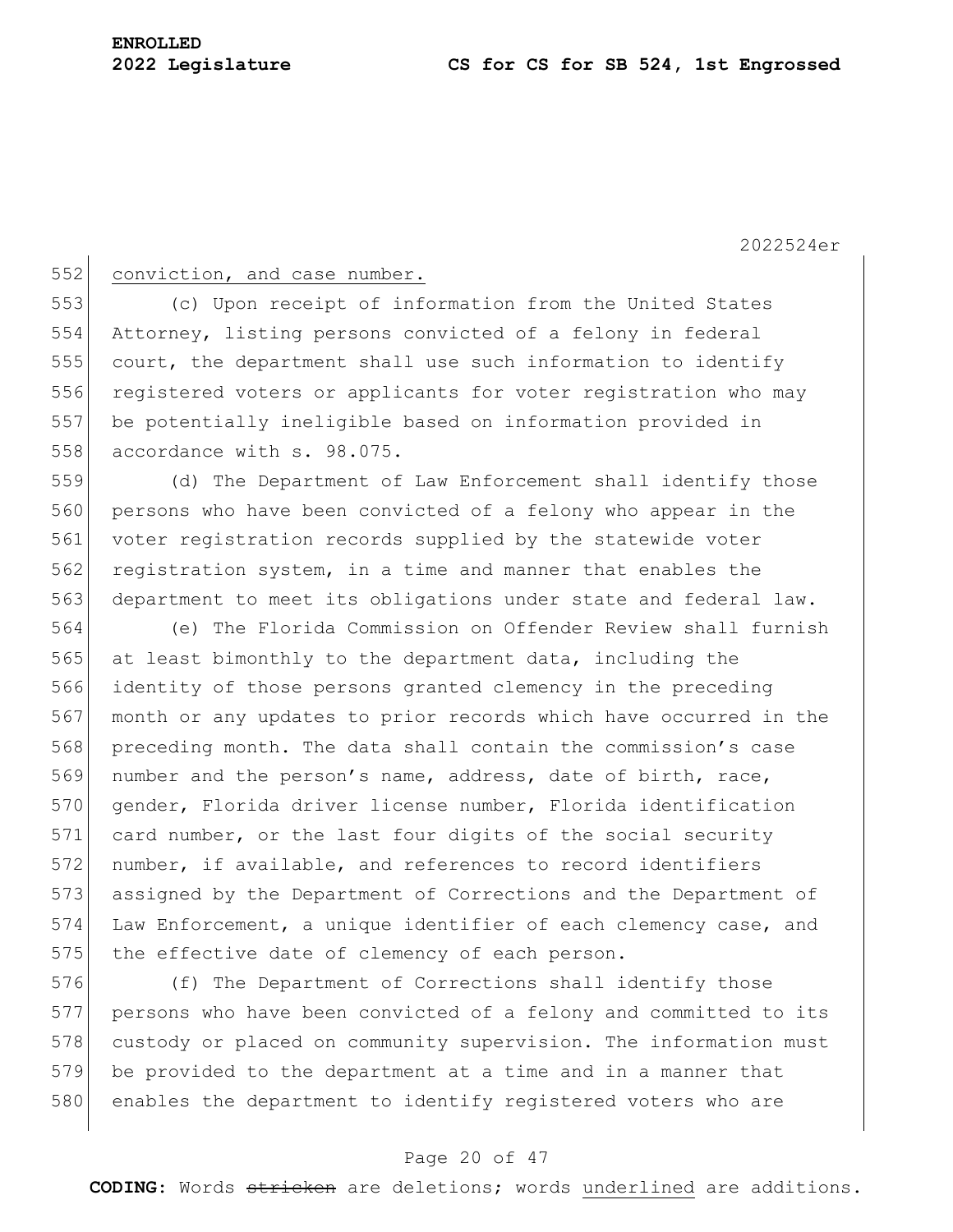### 552 conviction, and case number.

553 (c) Upon receipt of information from the United States 554 Attorney, listing persons convicted of a felony in federal 555 court, the department shall use such information to identify 556 registered voters or applicants for voter registration who may 557 be potentially ineligible based on information provided in 558 accordance with s. 98.075.

559 (d) The Department of Law Enforcement shall identify those 560 persons who have been convicted of a felony who appear in the 561 voter registration records supplied by the statewide voter 562 registration system, in a time and manner that enables the 563 department to meet its obligations under state and federal law.

564 (e) The Florida Commission on Offender Review shall furnish 565 at least bimonthly to the department data, including the 566 identity of those persons granted clemency in the preceding 567 month or any updates to prior records which have occurred in the 568 preceding month. The data shall contain the commission's case 569 number and the person's name, address, date of birth, race, 570 gender, Florida driver license number, Florida identification 571 card number, or the last four digits of the social security 572 number, if available, and references to record identifiers 573 assigned by the Department of Corrections and the Department of 574 Law Enforcement, a unique identifier of each clemency case, and 575 the effective date of clemency of each person.

576 (f) The Department of Corrections shall identify those 577 persons who have been convicted of a felony and committed to its 578 custody or placed on community supervision. The information must 579 be provided to the department at a time and in a manner that 580 enables the department to identify registered voters who are

### Page 20 of 47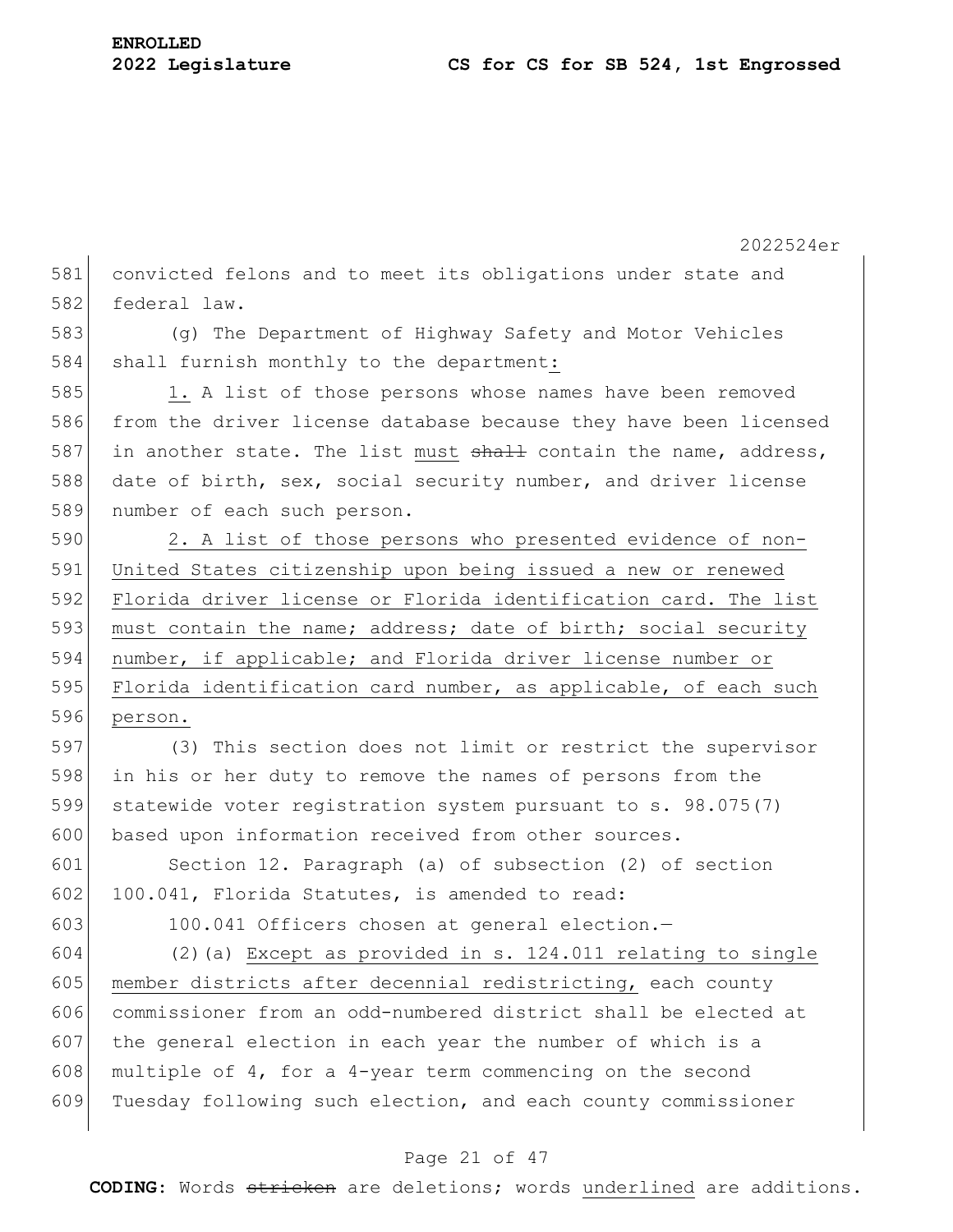2022524er 581 convicted felons and to meet its obligations under state and 582 federal law. 583 (g) The Department of Highway Safety and Motor Vehicles 584 shall furnish monthly to the department: 585 1. A list of those persons whose names have been removed 586 from the driver license database because they have been licensed 587 in another state. The list must shall contain the name, address, 588 date of birth, sex, social security number, and driver license 589 number of each such person. 590 2. A list of those persons who presented evidence of non-591 United States citizenship upon being issued a new or renewed 592 Florida driver license or Florida identification card. The list 593 must contain the name; address; date of birth; social security 594 number, if applicable; and Florida driver license number or 595 Florida identification card number, as applicable, of each such 596 person. 597 (3) This section does not limit or restrict the supervisor 598 in his or her duty to remove the names of persons from the 599 statewide voter registration system pursuant to s. 98.075(7) 600 based upon information received from other sources. 601 Section 12. Paragraph (a) of subsection (2) of section 602 100.041, Florida Statutes, is amended to read: 603 100.041 Officers chosen at general election. 604 (2)(a) Except as provided in s. 124.011 relating to single 605 member districts after decennial redistricting, each county 606 commissioner from an odd-numbered district shall be elected at 607 the general election in each year the number of which is a 608 multiple of 4, for a 4-year term commencing on the second 609 Tuesday following such election, and each county commissioner

### Page 21 of 47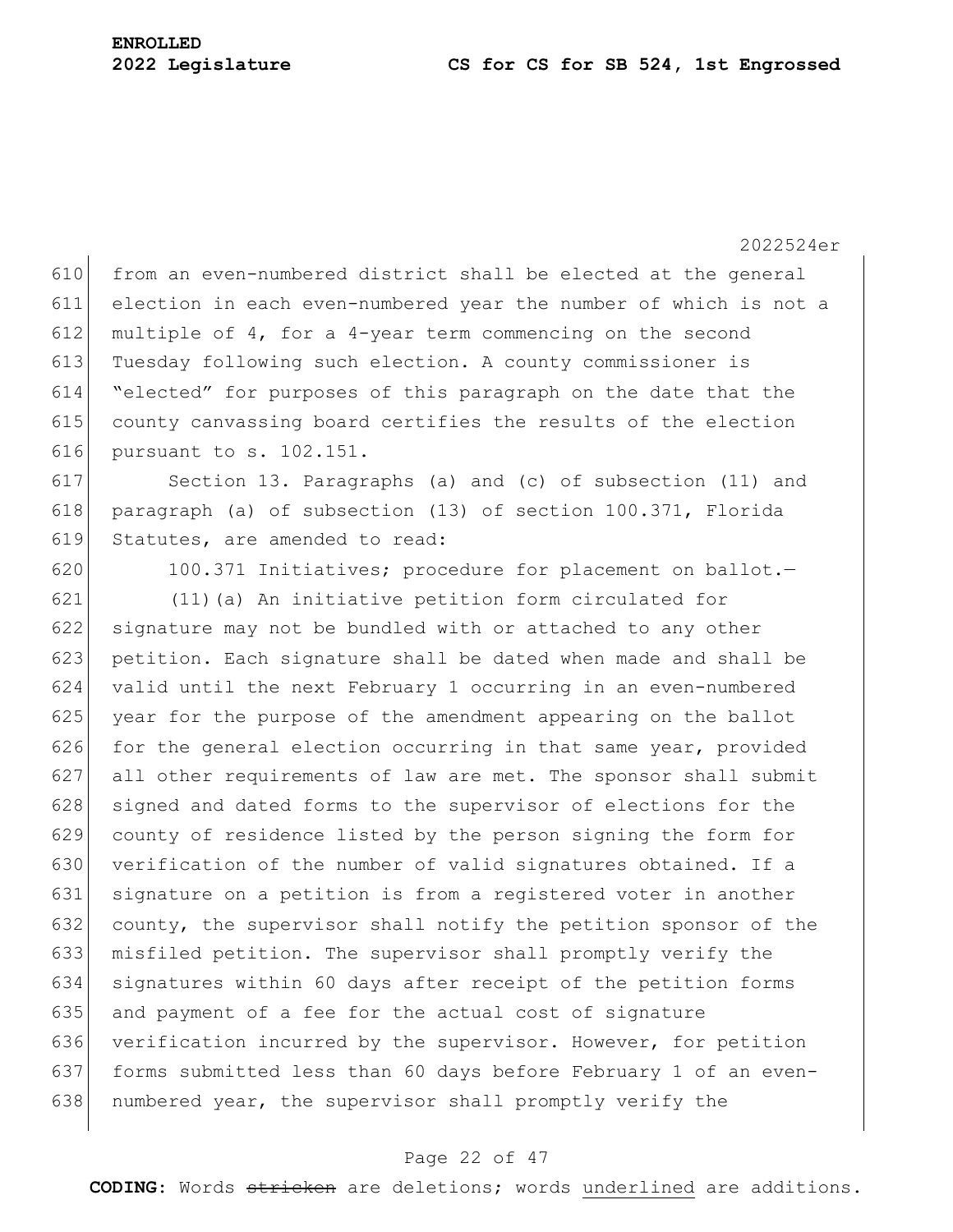619 Statutes, are amended to read:

610 from an even-numbered district shall be elected at the general election in each even-numbered year the number of which is not a 612 multiple of 4, for a 4-year term commencing on the second 613 Tuesday following such election. A county commissioner is "elected" for purposes of this paragraph on the date that the county canvassing board certifies the results of the election pursuant to s. 102.151. Section 13. Paragraphs (a) and (c) of subsection (11) and

618 paragraph (a) of subsection (13) of section 100.371, Florida

620 100.371 Initiatives; procedure for placement on ballot.

 (11)(a) An initiative petition form circulated for signature may not be bundled with or attached to any other 623 petition. Each signature shall be dated when made and shall be valid until the next February 1 occurring in an even-numbered year for the purpose of the amendment appearing on the ballot 626 for the general election occurring in that same year, provided all other requirements of law are met. The sponsor shall submit 628 signed and dated forms to the supervisor of elections for the county of residence listed by the person signing the form for 630 verification of the number of valid signatures obtained. If a signature on a petition is from a registered voter in another 632 county, the supervisor shall notify the petition sponsor of the misfiled petition. The supervisor shall promptly verify the signatures within 60 days after receipt of the petition forms and payment of a fee for the actual cost of signature 636 verification incurred by the supervisor. However, for petition forms submitted less than 60 days before February 1 of an even-638 numbered year, the supervisor shall promptly verify the

### Page 22 of 47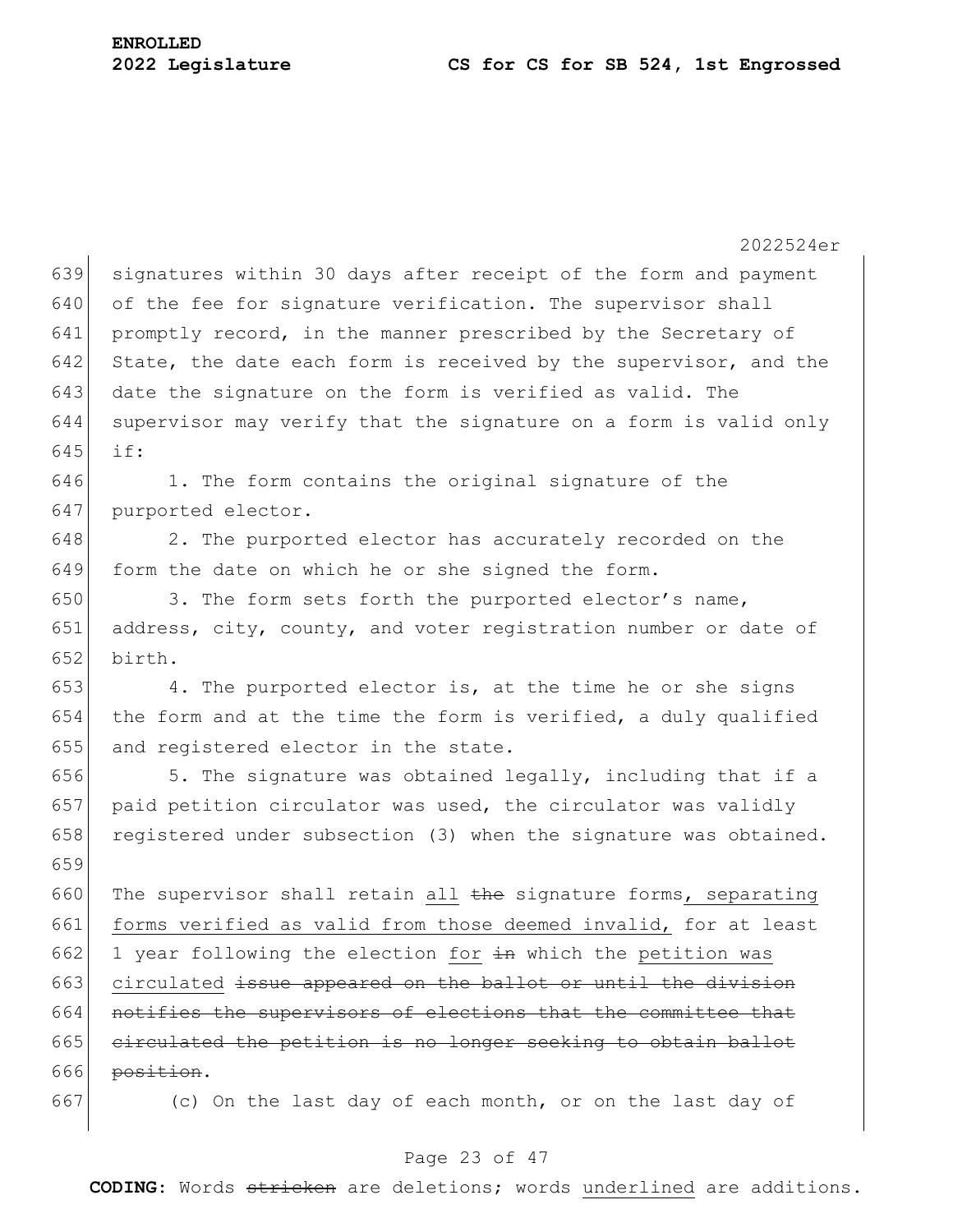2022524er 639 signatures within 30 days after receipt of the form and payment  $640$  of the fee for signature verification. The supervisor shall 641 promptly record, in the manner prescribed by the Secretary of 642 State, the date each form is received by the supervisor, and the 643 date the signature on the form is verified as valid. The 644 supervisor may verify that the signature on a form is valid only 645 if: 646 1. The form contains the original signature of the 647 purported elector. 648 2. The purported elector has accurately recorded on the 649 form the date on which he or she signed the form. 650 3. The form sets forth the purported elector's name, 651 address, city, county, and voter registration number or date of 652 birth. 653 4. The purported elector is, at the time he or she signs 654 the form and at the time the form is verified, a duly qualified 655 and registered elector in the state. 656  $\vert$  5. The signature was obtained legally, including that if a 657 paid petition circulator was used, the circulator was validly 658 registered under subsection (3) when the signature was obtained. 659 660 The supervisor shall retain all  $\theta$  the signature forms, separating 661 forms verified as valid from those deemed invalid, for at least 662 1 year following the election for  $\pm$ n which the petition was 663 circulated issue appeared on the ballot or until the division 664 notifies the supervisors of elections that the committee that  $665$  circulated the petition is no longer seeking to obtain ballot  $666$  position. 667 (c) On the last day of each month, or on the last day of

### Page 23 of 47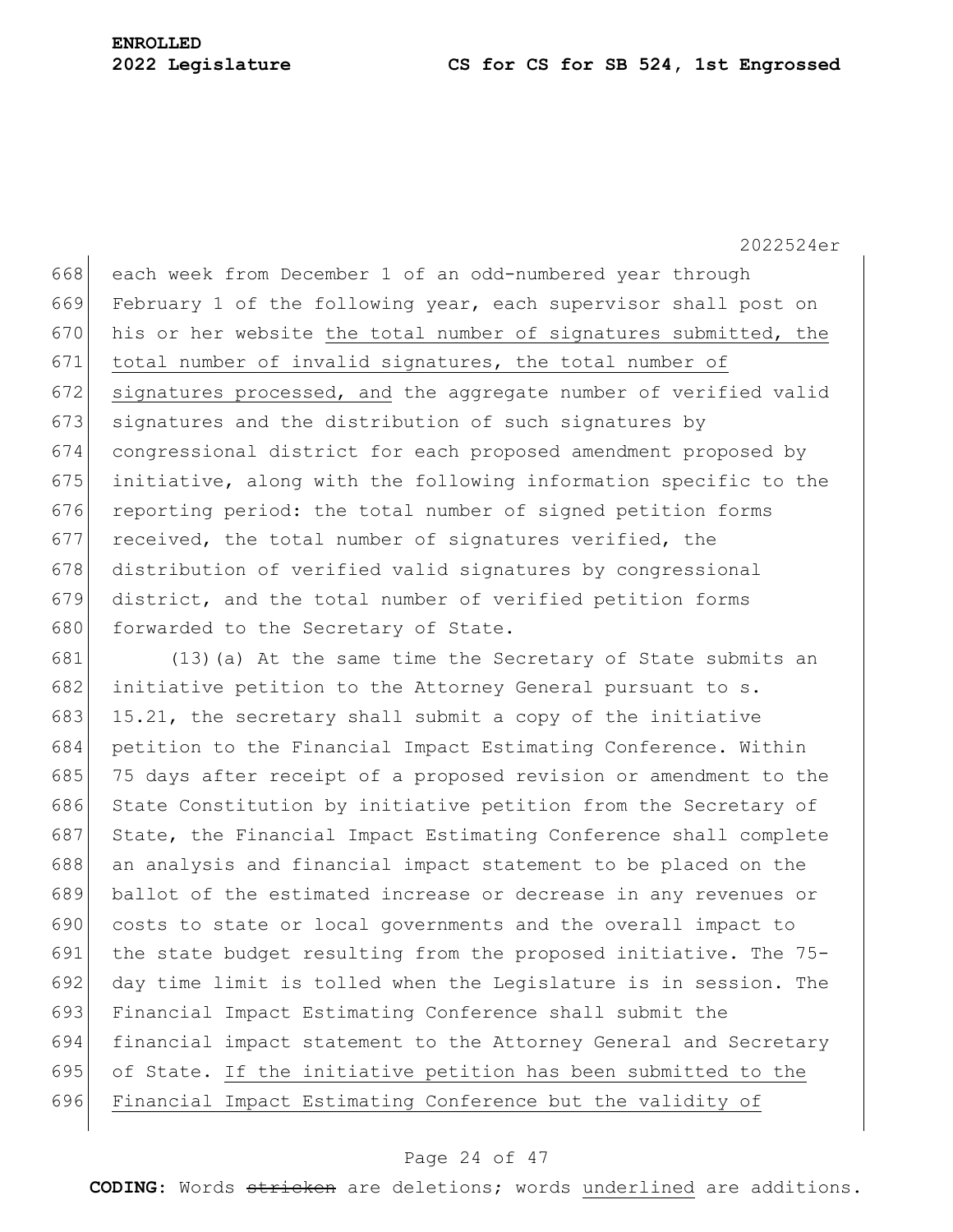668 each week from December 1 of an odd-numbered year through 669 February 1 of the following year, each supervisor shall post on  $670$  his or her website the total number of signatures submitted, the 671 total number of invalid signatures, the total number of 672 signatures processed, and the aggregate number of verified valid 673 signatures and the distribution of such signatures by 674 congressional district for each proposed amendment proposed by 675 initiative, along with the following information specific to the 676 reporting period: the total number of signed petition forms 677 received, the total number of signatures verified, the 678 distribution of verified valid signatures by congressional 679 district, and the total number of verified petition forms 680 forwarded to the Secretary of State.

681 (13)(a) At the same time the Secretary of State submits an 682 initiative petition to the Attorney General pursuant to s. 683 15.21, the secretary shall submit a copy of the initiative petition to the Financial Impact Estimating Conference. Within 75 days after receipt of a proposed revision or amendment to the 686 State Constitution by initiative petition from the Secretary of 687 State, the Financial Impact Estimating Conference shall complete 688 an analysis and financial impact statement to be placed on the ballot of the estimated increase or decrease in any revenues or costs to state or local governments and the overall impact to the state budget resulting from the proposed initiative. The 75- day time limit is tolled when the Legislature is in session. The Financial Impact Estimating Conference shall submit the financial impact statement to the Attorney General and Secretary of State. If the initiative petition has been submitted to the Financial Impact Estimating Conference but the validity of

### Page 24 of 47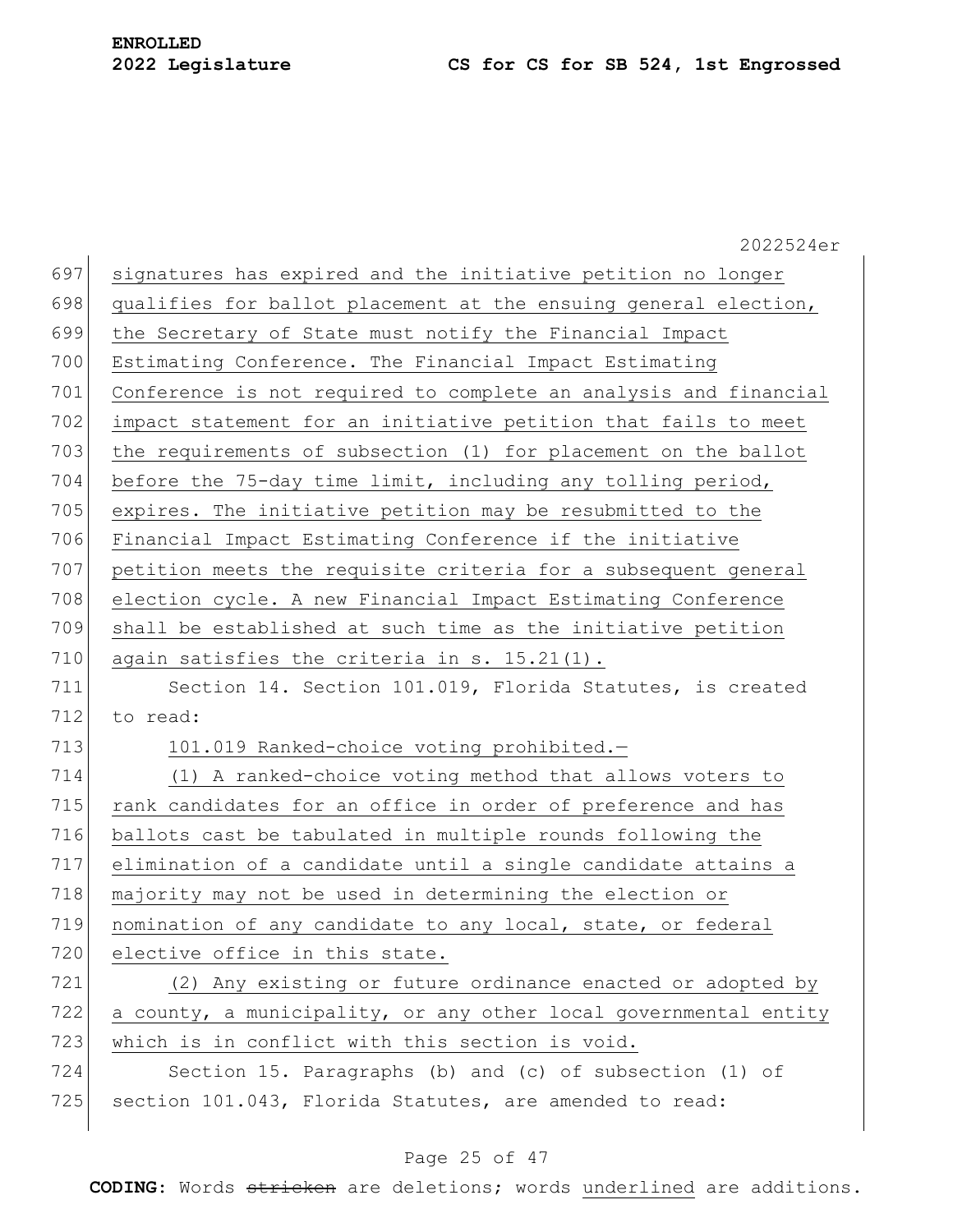|     | 2022524er                                                        |
|-----|------------------------------------------------------------------|
| 697 | signatures has expired and the initiative petition no longer     |
| 698 | qualifies for ballot placement at the ensuing general election,  |
| 699 | the Secretary of State must notify the Financial Impact          |
| 700 | Estimating Conference. The Financial Impact Estimating           |
| 701 | Conference is not required to complete an analysis and financial |
| 702 | impact statement for an initiative petition that fails to meet   |
| 703 | the requirements of subsection (1) for placement on the ballot   |
| 704 | before the 75-day time limit, including any tolling period,      |
| 705 | expires. The initiative petition may be resubmitted to the       |
| 706 | Financial Impact Estimating Conference if the initiative         |
| 707 | petition meets the requisite criteria for a subsequent general   |
| 708 | election cycle. A new Financial Impact Estimating Conference     |
| 709 | shall be established at such time as the initiative petition     |
| 710 | again satisfies the criteria in s. 15.21(1).                     |
| 711 | Section 14. Section 101.019, Florida Statutes, is created        |
| 712 | to read:                                                         |
| 713 | 101.019 Ranked-choice voting prohibited.-                        |
| 714 | (1) A ranked-choice voting method that allows voters to          |
| 715 | rank candidates for an office in order of preference and has     |
| 716 | ballots cast be tabulated in multiple rounds following the       |
| 717 | elimination of a candidate until a single candidate attains a    |
| 718 | majority may not be used in determining the election or          |
| 719 | nomination of any candidate to any local, state, or federal      |
| 720 | elective office in this state.                                   |
| 721 | (2) Any existing or future ordinance enacted or adopted by       |
| 722 | a county, a municipality, or any other local governmental entity |
| 723 | which is in conflict with this section is void.                  |
| 724 | Section 15. Paragraphs (b) and (c) of subsection (1) of          |
| 725 | section 101.043, Florida Statutes, are amended to read:          |
|     |                                                                  |

### Page 25 of 47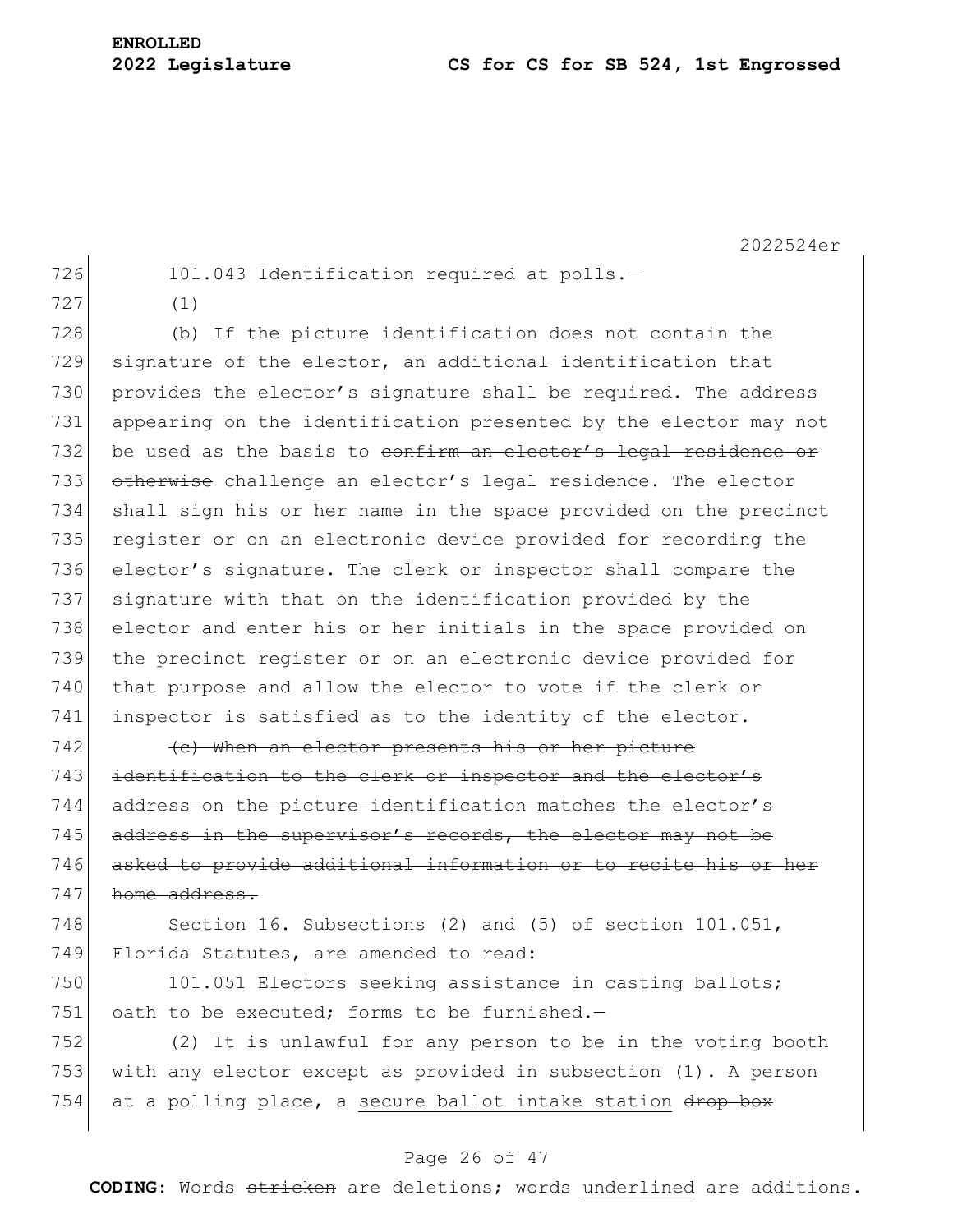726 101.043 Identification required at polls.-

727 (1)

728 (b) If the picture identification does not contain the 729 signature of the elector, an additional identification that 730 provides the elector's signature shall be required. The address 731 appearing on the identification presented by the elector may not 732 be used as the basis to confirm an elector's legal residence or 733 otherwise challenge an elector's legal residence. The elector 734 shall sign his or her name in the space provided on the precinct 735 register or on an electronic device provided for recording the 736 elector's signature. The clerk or inspector shall compare the 737 signature with that on the identification provided by the 738 elector and enter his or her initials in the space provided on 739 the precinct register or on an electronic device provided for 740 that purpose and allow the elector to vote if the clerk or 741 inspector is satisfied as to the identity of the elector.

 $742$  (c) When an elector presents his or her picture 743 identification to the clerk or inspector and the elector's 744 address on the picture identification matches the elector's 745 address in the supervisor's records, the elector may not be 746 asked to provide additional information or to recite his or her 747 home address.

748 Section 16. Subsections (2) and (5) of section 101.051, 749 Florida Statutes, are amended to read:

750 101.051 Electors seeking assistance in casting ballots; 751 oath to be executed: forms to be furnished. $-$ 

752 (2) It is unlawful for any person to be in the voting booth 753 with any elector except as provided in subsection (1). A person 754 at a polling place, a secure ballot intake station drop box

### Page 26 of 47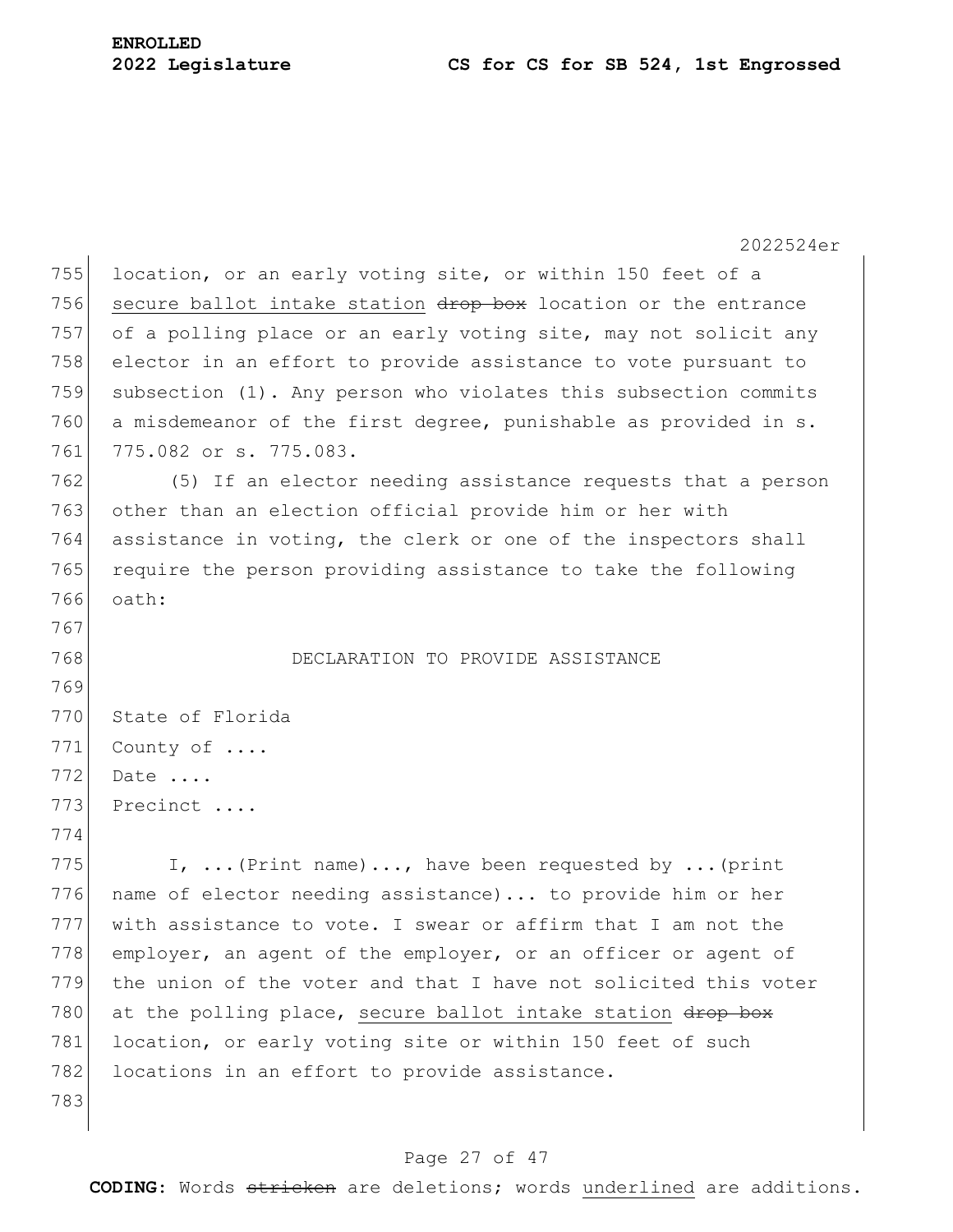2022524er 755 location, or an early voting site, or within 150 feet of a 756 secure ballot intake station drop box location or the entrance 757 of a polling place or an early voting site, may not solicit any 758 elector in an effort to provide assistance to vote pursuant to 759 subsection (1). Any person who violates this subsection commits 760 a misdemeanor of the first degree, punishable as provided in s. 761 775.082 or s. 775.083. 762 (5) If an elector needing assistance requests that a person 763 other than an election official provide him or her with 764 assistance in voting, the clerk or one of the inspectors shall 765 require the person providing assistance to take the following 766 oath: 767 768 DECLARATION TO PROVIDE ASSISTANCE 769 770 State of Florida 771 County of .... 772 Date .... 773 Precinct .... 774 775 I,  $\ldots$  (Print name)..., have been requested by ... (print 776 name of elector needing assistance)... to provide him or her 777 with assistance to vote. I swear or affirm that I am not the 778 employer, an agent of the employer, or an officer or agent of 779 the union of the voter and that I have not solicited this voter 780 at the polling place, secure ballot intake station  $\frac{d}{d}$ 781 location, or early voting site or within 150 feet of such 782 locations in an effort to provide assistance. 783

### Page 27 of 47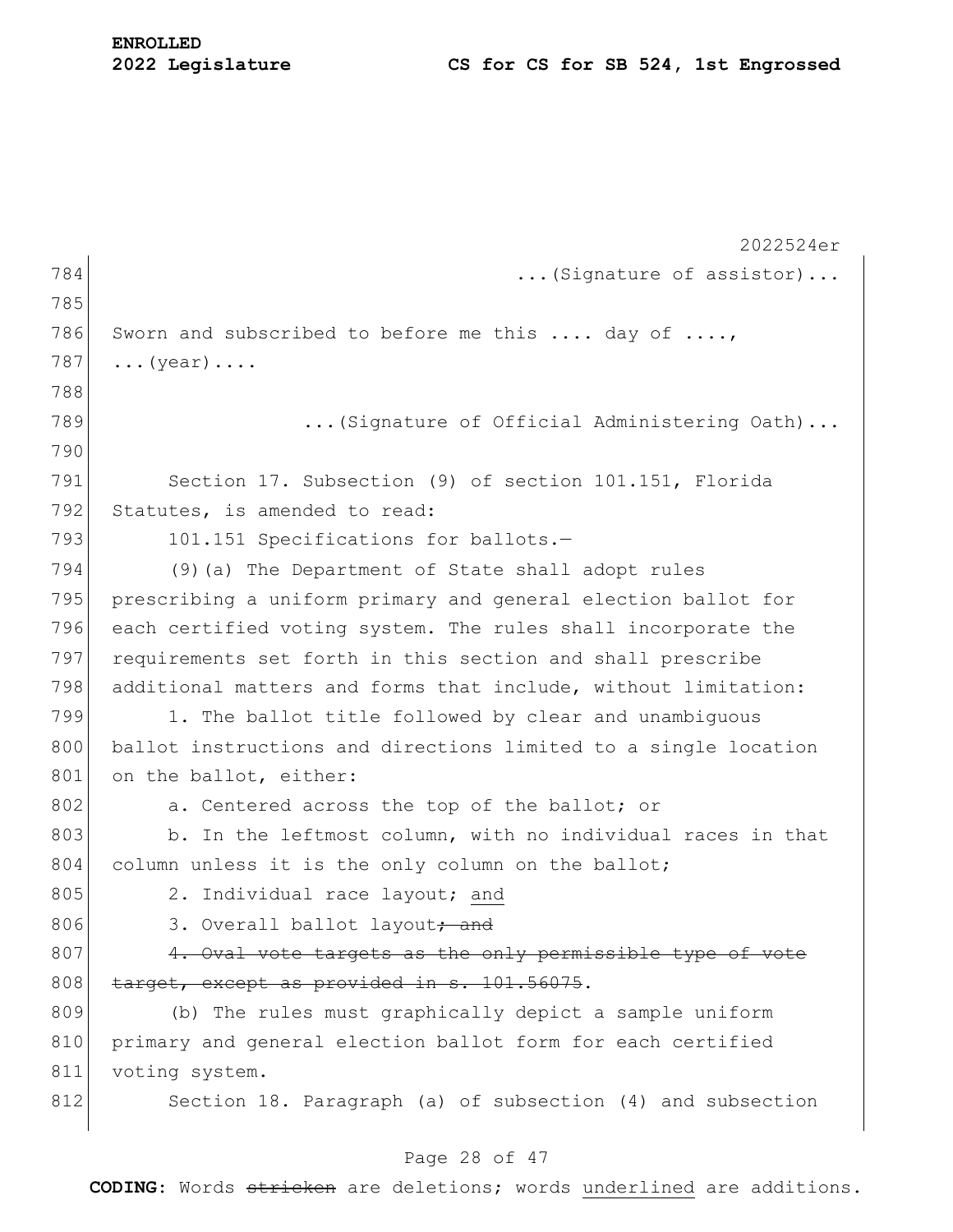|     | 2022524er                                                       |
|-----|-----------------------------------------------------------------|
| 784 | (Signature of assistor)                                         |
| 785 |                                                                 |
| 786 | Sworn and subscribed to before me this  day of ,                |
| 787 | $\ldots$ (year) $\ldots$ .                                      |
| 788 |                                                                 |
| 789 | (Signature of Official Administering Oath)                      |
| 790 |                                                                 |
| 791 | Section 17. Subsection (9) of section 101.151, Florida          |
| 792 | Statutes, is amended to read:                                   |
| 793 | 101.151 Specifications for ballots.-                            |
| 794 | (9) (a) The Department of State shall adopt rules               |
| 795 | prescribing a uniform primary and general election ballot for   |
| 796 | each certified voting system. The rules shall incorporate the   |
| 797 | requirements set forth in this section and shall prescribe      |
| 798 | additional matters and forms that include, without limitation:  |
| 799 | 1. The ballot title followed by clear and unambiguous           |
| 800 | ballot instructions and directions limited to a single location |
| 801 | on the ballot, either:                                          |
| 802 | a. Centered across the top of the ballot; or                    |
| 803 | b. In the leftmost column, with no individual races in that     |
| 804 | column unless it is the only column on the ballot;              |
| 805 | 2. Individual race layout; and                                  |
| 806 | 3. Overall ballot layout; and                                   |
| 807 | 4. Oval vote targets as the only permissible type of vote       |
| 808 | target, except as provided in s. 101.56075.                     |
| 809 | (b) The rules must graphically depict a sample uniform          |
| 810 | primary and general election ballot form for each certified     |
| 811 | voting system.                                                  |
| 812 | Section 18. Paragraph (a) of subsection (4) and subsection      |
|     |                                                                 |

### Page 28 of 47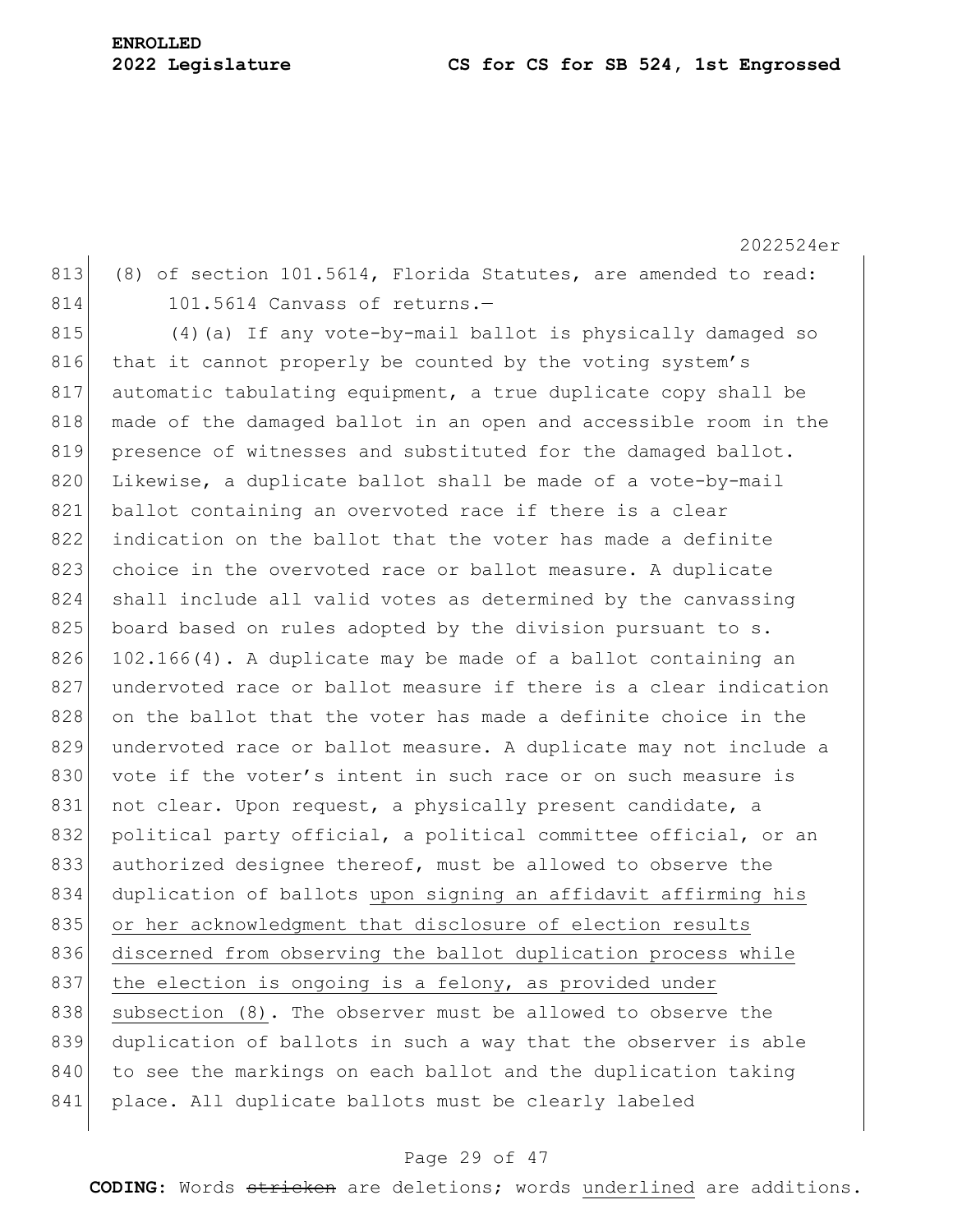2022524er 813 (8) of section 101.5614, Florida Statutes, are amended to read: 814 101.5614 Canvass of returns.-815 (4) (a) If any vote-by-mail ballot is physically damaged so 816 that it cannot properly be counted by the voting system's 817 automatic tabulating equipment, a true duplicate copy shall be 818 made of the damaged ballot in an open and accessible room in the 819 presence of witnesses and substituted for the damaged ballot. 820 Likewise, a duplicate ballot shall be made of a vote-by-mail 821 ballot containing an overvoted race if there is a clear 822 indication on the ballot that the voter has made a definite 823 choice in the overvoted race or ballot measure. A duplicate 824 shall include all valid votes as determined by the canvassing  $825$  board based on rules adopted by the division pursuant to s. 826 102.166(4). A duplicate may be made of a ballot containing an 827 undervoted race or ballot measure if there is a clear indication 828 on the ballot that the voter has made a definite choice in the 829 undervoted race or ballot measure. A duplicate may not include a 830 vote if the voter's intent in such race or on such measure is 831 not clear. Upon request, a physically present candidate, a 832 political party official, a political committee official, or an 833 authorized designee thereof, must be allowed to observe the 834 duplication of ballots upon signing an affidavit affirming his 835 or her acknowledgment that disclosure of election results 836 discerned from observing the ballot duplication process while 837 the election is ongoing is a felony, as provided under 838 subsection (8). The observer must be allowed to observe the 839 duplication of ballots in such a way that the observer is able 840 to see the markings on each ballot and the duplication taking 841 place. All duplicate ballots must be clearly labeled

### Page 29 of 47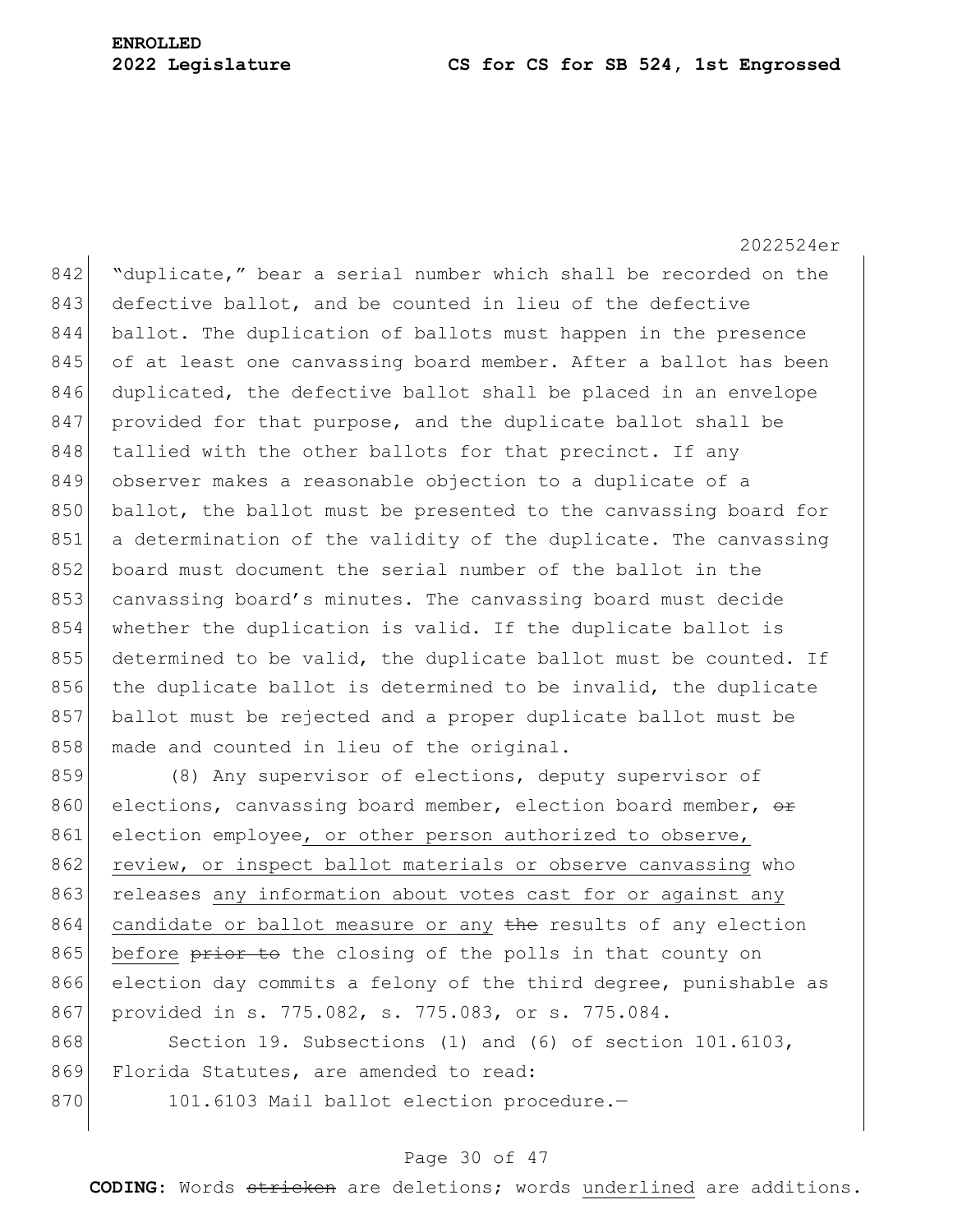2022524er 842 "duplicate," bear a serial number which shall be recorded on the 843 defective ballot, and be counted in lieu of the defective 844 ballot. The duplication of ballots must happen in the presence 845 of at least one canvassing board member. After a ballot has been 846 duplicated, the defective ballot shall be placed in an envelope 847 provided for that purpose, and the duplicate ballot shall be 848 tallied with the other ballots for that precinct. If any 849 observer makes a reasonable objection to a duplicate of a 850 ballot, the ballot must be presented to the canvassing board for 851 a determination of the validity of the duplicate. The canvassing 852 board must document the serial number of the ballot in the 853 canvassing board's minutes. The canvassing board must decide 854 whether the duplication is valid. If the duplicate ballot is 855 determined to be valid, the duplicate ballot must be counted. If 856 the duplicate ballot is determined to be invalid, the duplicate 857 ballot must be rejected and a proper duplicate ballot must be 858 made and counted in lieu of the original.

859 (8) Any supervisor of elections, deputy supervisor of 860 elections, canvassing board member, election board member,  $\theta$ r 861 election employee, or other person authorized to observe, 862 review, or inspect ballot materials or observe canvassing who 863 releases any information about votes cast for or against any 864 candidate or ballot measure or any the results of any election 865 before prior to the closing of the polls in that county on 866 election day commits a felony of the third degree, punishable as 867 provided in s. 775.082, s. 775.083, or s. 775.084.

868 Section 19. Subsections (1) and (6) of section 101.6103, 869 Florida Statutes, are amended to read:

870 101.6103 Mail ballot election procedure.-

### Page 30 of 47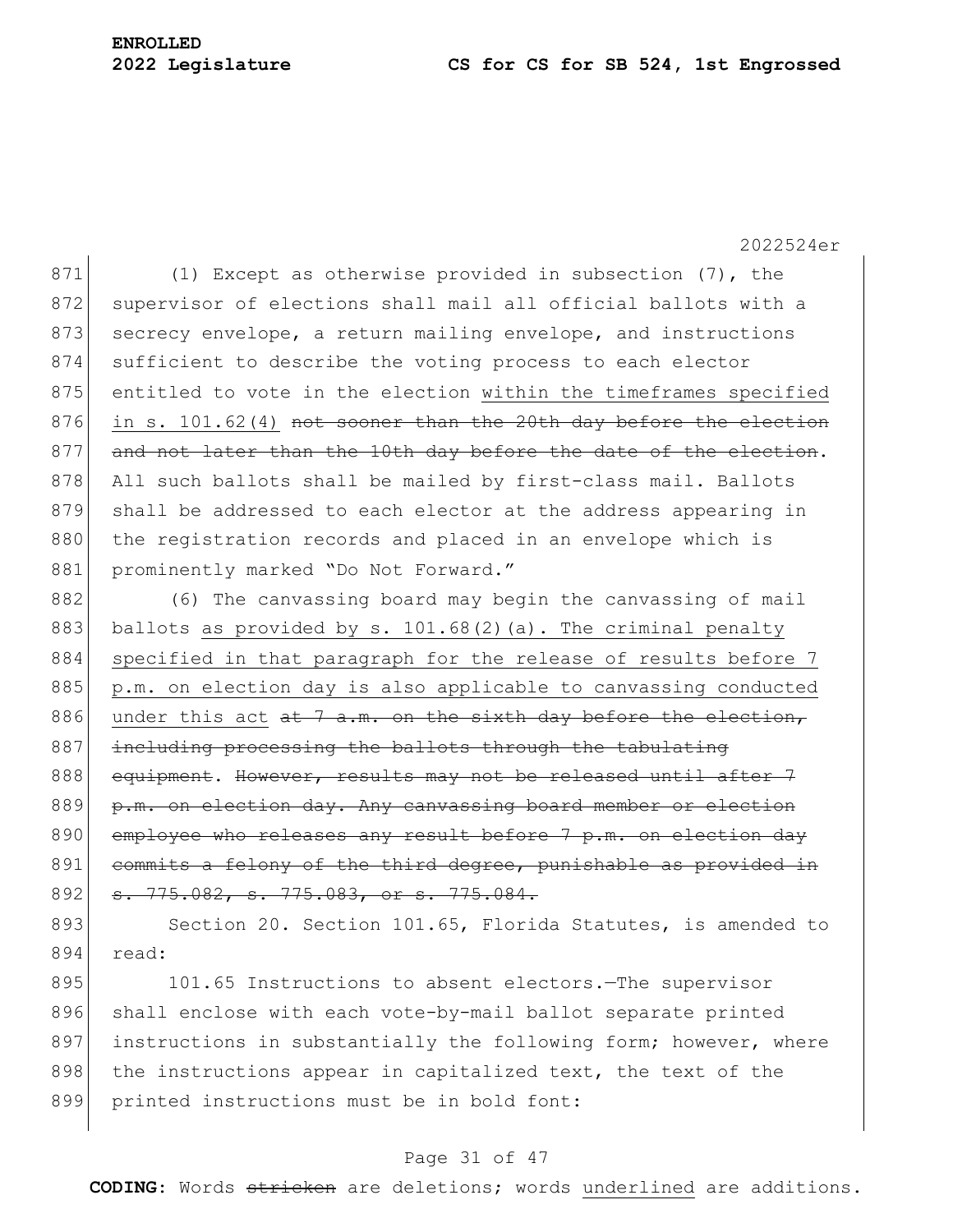871 (1) Except as otherwise provided in subsection (7), the 872 supervisor of elections shall mail all official ballots with a 873 secrecy envelope, a return mailing envelope, and instructions 874 sufficient to describe the voting process to each elector 875 entitled to vote in the election within the timeframes specified 876 in s. 101.62(4) not sooner than the 20th day before the election 877 and not later than the 10th day before the date of the election. 878 All such ballots shall be mailed by first-class mail. Ballots 879 shall be addressed to each elector at the address appearing in 880 the registration records and placed in an envelope which is 881 prominently marked "Do Not Forward."

882 (6) The canvassing board may begin the canvassing of mail 883 ballots as provided by s. 101.68(2)(a). The criminal penalty 884 specified in that paragraph for the release of results before 7 885 p.m. on election day is also applicable to canvassing conducted 886 under this act  $a t$  7 a.m. on the sixth day before the election, 887 including processing the ballots through the tabulating 888 equipment. However, results may not be released until after 7 889 p.m. on election day. Any canvassing board member or election 890 employee who releases any result before 7 p.m. on election day 891 commits a felony of the third degree, punishable as provided in 892 <del>s. 775.082, s. 775.083, or s. 775.084.</del>

893 Section 20. Section 101.65, Florida Statutes, is amended to 894 read:

895 101.65 Instructions to absent electors. The supervisor 896 shall enclose with each vote-by-mail ballot separate printed 897 instructions in substantially the following form; however, where 898 the instructions appear in capitalized text, the text of the 899 printed instructions must be in bold font:

### Page 31 of 47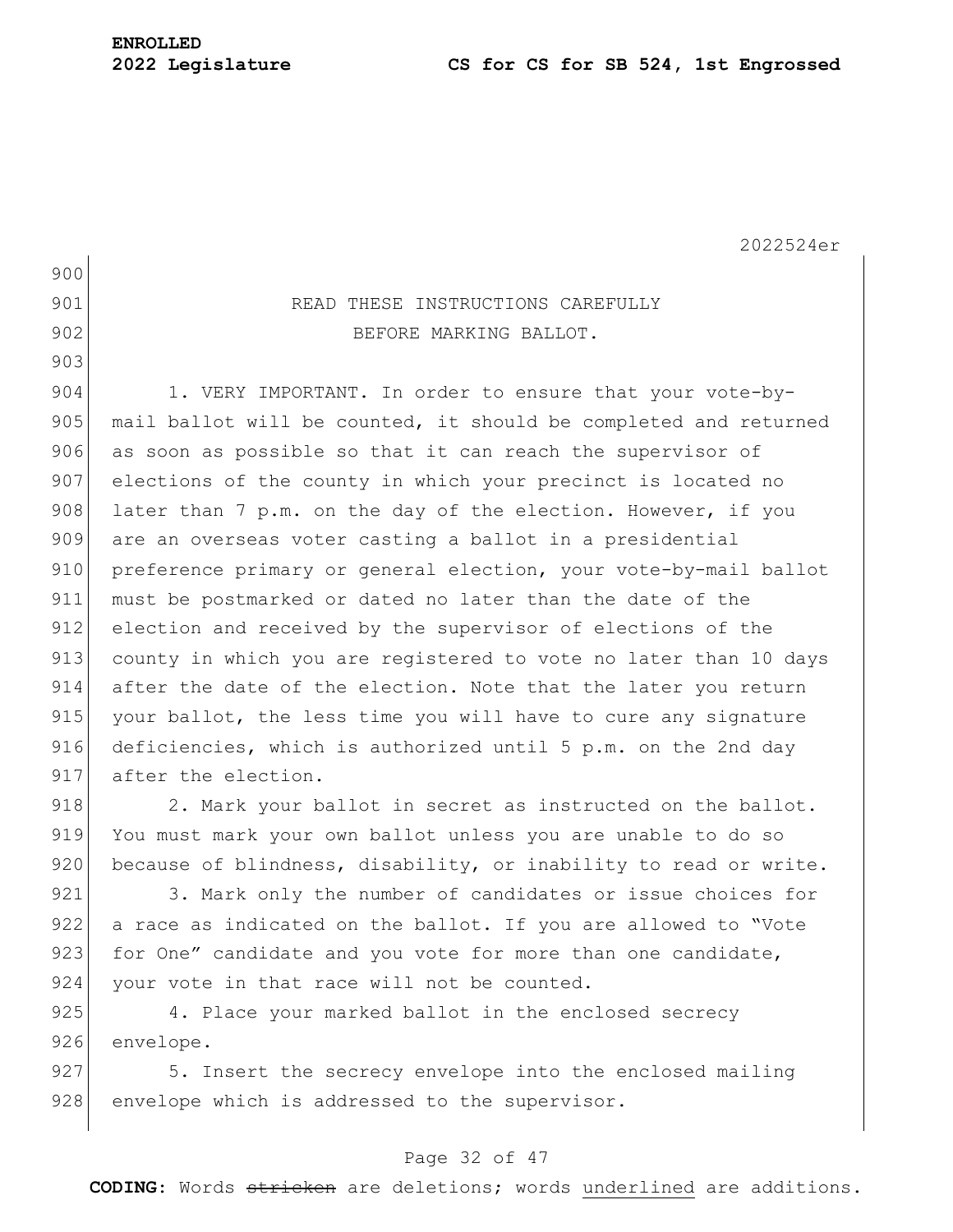2022524er 900 901 READ THESE INSTRUCTIONS CAREFULLY 902 BEFORE MARKING BALLOT. 903 904 1. VERY IMPORTANT. In order to ensure that your vote-by-905 mail ballot will be counted, it should be completed and returned 906 as soon as possible so that it can reach the supervisor of 907 elections of the county in which your precinct is located no 908 later than 7 p.m. on the day of the election. However, if you 909 are an overseas voter casting a ballot in a presidential 910 preference primary or general election, your vote-by-mail ballot 911 must be postmarked or dated no later than the date of the 912 election and received by the supervisor of elections of the 913 county in which you are registered to vote no later than 10 days 914 after the date of the election. Note that the later you return 915 your ballot, the less time you will have to cure any signature 916 deficiencies, which is authorized until 5 p.m. on the 2nd day 917 after the election.  $918$  2. Mark your ballot in secret as instructed on the ballot. 919 You must mark your own ballot unless you are unable to do so 920 because of blindness, disability, or inability to read or write. 921 3. Mark only the number of candidates or issue choices for

922 a race as indicated on the ballot. If you are allowed to "Vote 923 for One" candidate and you vote for more than one candidate, 924 your vote in that race will not be counted.

925 4. Place your marked ballot in the enclosed secrecy 926 envelope.

927 5. Insert the secrecy envelope into the enclosed mailing 928 envelope which is addressed to the supervisor.

### Page 32 of 47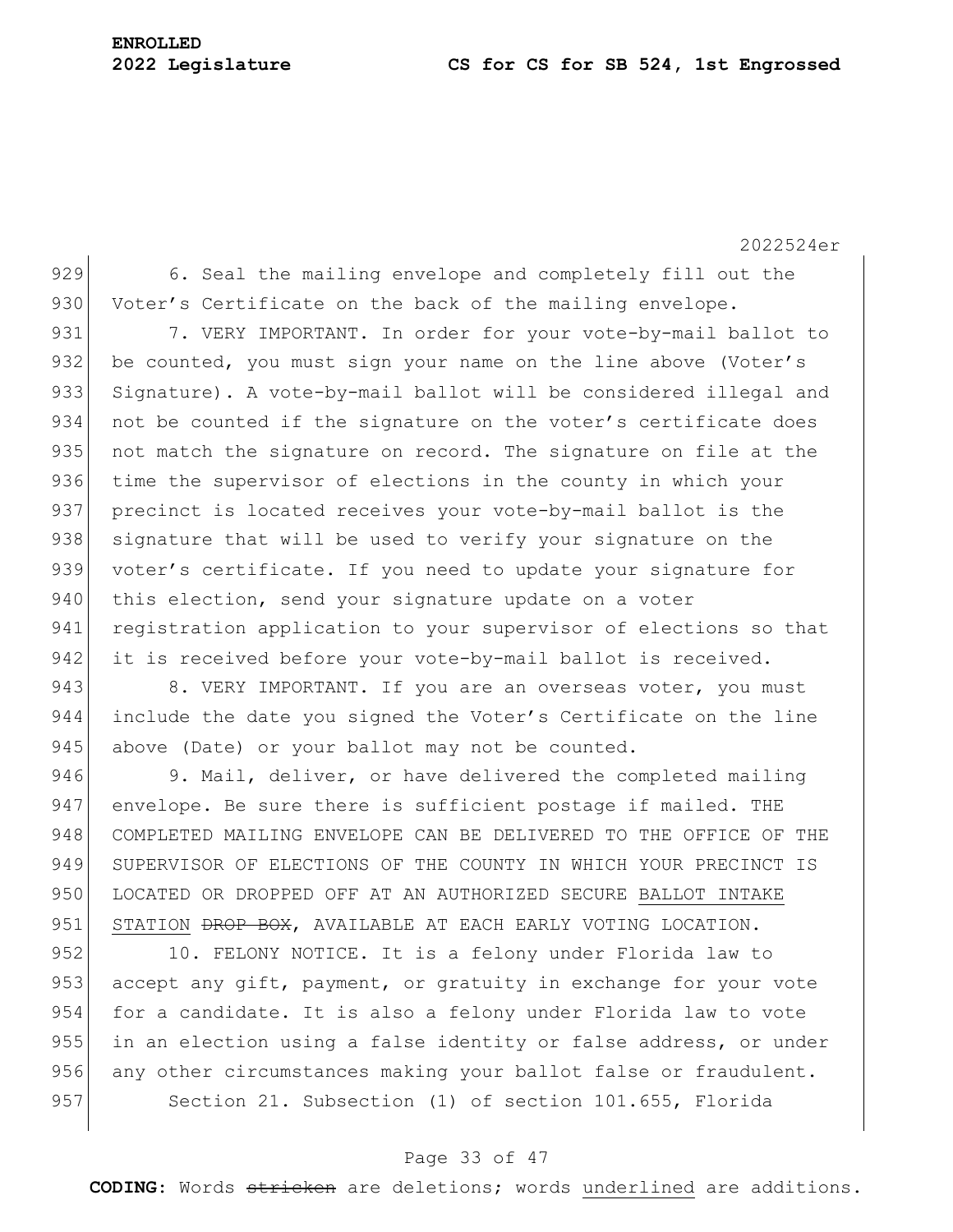2022524er

929 6. Seal the mailing envelope and completely fill out the 930 Voter's Certificate on the back of the mailing envelope.

931 7. VERY IMPORTANT. In order for your vote-by-mail ballot to 932 be counted, you must sign your name on the line above (Voter's 933 Signature). A vote-by-mail ballot will be considered illegal and 934 not be counted if the signature on the voter's certificate does 935 not match the signature on record. The signature on file at the 936 time the supervisor of elections in the county in which your 937 precinct is located receives your vote-by-mail ballot is the 938 signature that will be used to verify your signature on the 939 voter's certificate. If you need to update your signature for 940 this election, send your signature update on a voter 941 registration application to your supervisor of elections so that 942 it is received before your vote-by-mail ballot is received.

943 8. VERY IMPORTANT. If you are an overseas voter, you must 944 include the date you signed the Voter's Certificate on the line 945 above (Date) or your ballot may not be counted.

946 9. Mail, deliver, or have delivered the completed mailing 947 envelope. Be sure there is sufficient postage if mailed. THE 948 COMPLETED MAILING ENVELOPE CAN BE DELIVERED TO THE OFFICE OF THE 949 SUPERVISOR OF ELECTIONS OF THE COUNTY IN WHICH YOUR PRECINCT IS 950 LOCATED OR DROPPED OFF AT AN AUTHORIZED SECURE BALLOT INTAKE 951 STATION <del>DROP BOX</del>, AVAILABLE AT EACH EARLY VOTING LOCATION.

952 10. FELONY NOTICE. It is a felony under Florida law to 953 accept any gift, payment, or gratuity in exchange for your vote 954 for a candidate. It is also a felony under Florida law to vote 955 in an election using a false identity or false address, or under 956 any other circumstances making your ballot false or fraudulent. 957 Section 21. Subsection (1) of section 101.655, Florida

### Page 33 of 47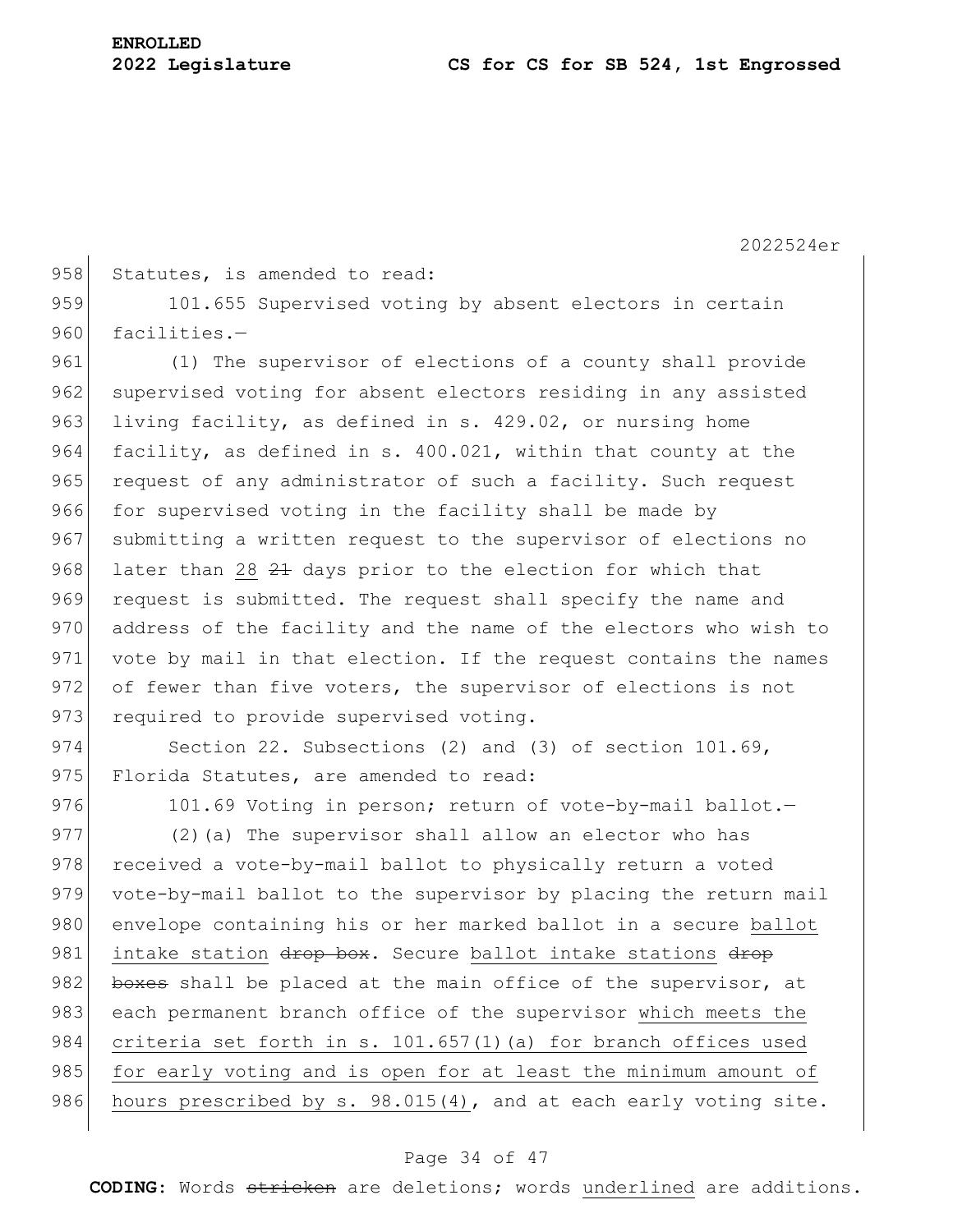2022524er 958 Statutes, is amended to read: 959 101.655 Supervised voting by absent electors in certain 960 facilities.-961 (1) The supervisor of elections of a county shall provide 962 supervised voting for absent electors residing in any assisted 963 living facility, as defined in s. 429.02, or nursing home 964 facility, as defined in s. 400.021, within that county at the 965 request of any administrator of such a facility. Such request 966 for supervised voting in the facility shall be made by 967 submitting a written request to the supervisor of elections no 968 later than 28 21 days prior to the election for which that 969 request is submitted. The request shall specify the name and 970 address of the facility and the name of the electors who wish to 971 vote by mail in that election. If the request contains the names 972 of fewer than five voters, the supervisor of elections is not 973 required to provide supervised voting. 974 Section 22. Subsections (2) and (3) of section 101.69, 975 Florida Statutes, are amended to read: 976 101.69 Voting in person; return of vote-by-mail ballot.-977 (2) (a) The supervisor shall allow an elector who has 978 received a vote-by-mail ballot to physically return a voted 979 vote-by-mail ballot to the supervisor by placing the return mail 980 envelope containing his or her marked ballot in a secure ballot

981 intake station drop box. Secure ballot intake stations drop 982 boxes shall be placed at the main office of the supervisor, at 983 each permanent branch office of the supervisor which meets the 984 criteria set forth in s. 101.657(1)(a) for branch offices used 985 for early voting and is open for at least the minimum amount of 986 hours prescribed by s. 98.015(4), and at each early voting site.

### Page 34 of 47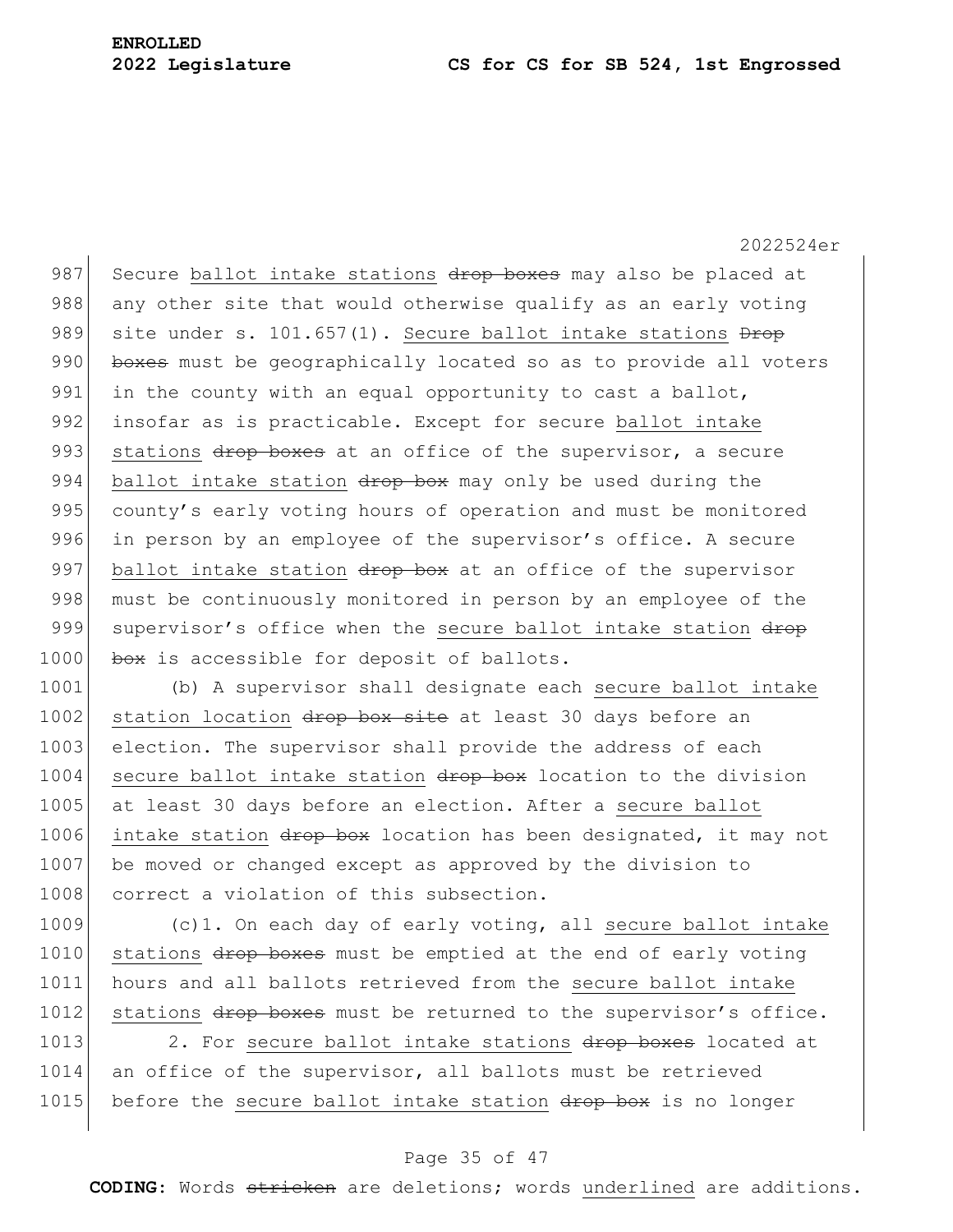2022524er 987 Secure ballot intake stations drop boxes may also be placed at 988 any other site that would otherwise qualify as an early voting 989 site under s. 101.657(1). Secure ballot intake stations  $\frac{D}{D}$ 990 boxes must be geographically located so as to provide all voters 991 in the county with an equal opportunity to cast a ballot, 992 insofar as is practicable. Except for secure ballot intake 993 stations drop boxes at an office of the supervisor, a secure 994 ballot intake station drop box may only be used during the 995 county's early voting hours of operation and must be monitored 996 in person by an employee of the supervisor's office. A secure 997 ballot intake station drop box at an office of the supervisor 998 must be continuously monitored in person by an employee of the 999 supervisor's office when the secure ballot intake station drop 1000 box is accessible for deposit of ballots.

1001 (b) A supervisor shall designate each secure ballot intake 1002 station location drop box site at least 30 days before an 1003 election. The supervisor shall provide the address of each 1004 secure ballot intake station drop box location to the division 1005 at least 30 days before an election. After a secure ballot 1006 intake station drop box location has been designated, it may not 1007 be moved or changed except as approved by the division to 1008 correct a violation of this subsection.

1009 (c)1. On each day of early voting, all secure ballot intake 1010 stations drop boxes must be emptied at the end of early voting 1011 hours and all ballots retrieved from the secure ballot intake 1012 stations drop boxes must be returned to the supervisor's office.

1013 2. For secure ballot intake stations drop boxes located at 1014 an office of the supervisor, all ballots must be retrieved 1015 before the secure ballot intake station drop box is no longer

#### Page 35 of 47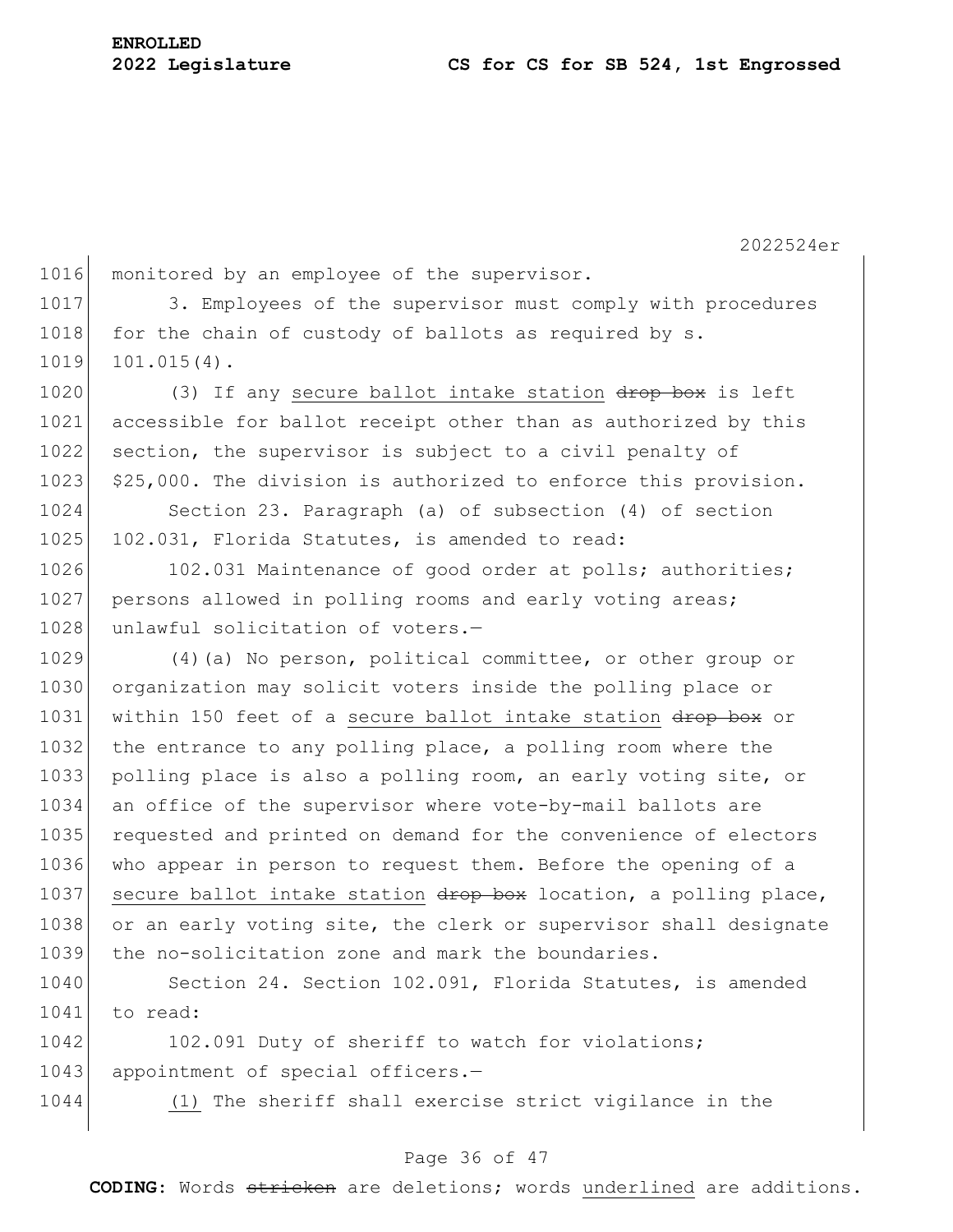2022524er 1016 monitored by an employee of the supervisor. 1017 3. Employees of the supervisor must comply with procedures 1018 for the chain of custody of ballots as required by s. 1019 101.015(4). 1020 (3) If any secure ballot intake station drop box is left 1021 accessible for ballot receipt other than as authorized by this 1022 section, the supervisor is subject to a civil penalty of 1023 \$25,000. The division is authorized to enforce this provision. 1024 Section 23. Paragraph (a) of subsection (4) of section 1025 102.031, Florida Statutes, is amended to read: 1026 102.031 Maintenance of good order at polls; authorities; 1027 persons allowed in polling rooms and early voting areas; 1028 unlawful solicitation of voters.-1029 (4)(a) No person, political committee, or other group or 1030 organization may solicit voters inside the polling place or 1031 within 150 feet of a secure ballot intake station drop box or 1032 the entrance to any polling place, a polling room where the 1033 polling place is also a polling room, an early voting site, or 1034 an office of the supervisor where vote-by-mail ballots are 1035 requested and printed on demand for the convenience of electors 1036 who appear in person to request them. Before the opening of a 1037 secure ballot intake station  $\frac{d}{d}$  box location, a polling place, 1038 or an early voting site, the clerk or supervisor shall designate 1039 the no-solicitation zone and mark the boundaries. 1040 Section 24. Section 102.091, Florida Statutes, is amended

1042 102.091 Duty of sheriff to watch for violations; 1043 appointment of special officers.-

1041 to read:

1044 (1) The sheriff shall exercise strict vigilance in the

### Page 36 of 47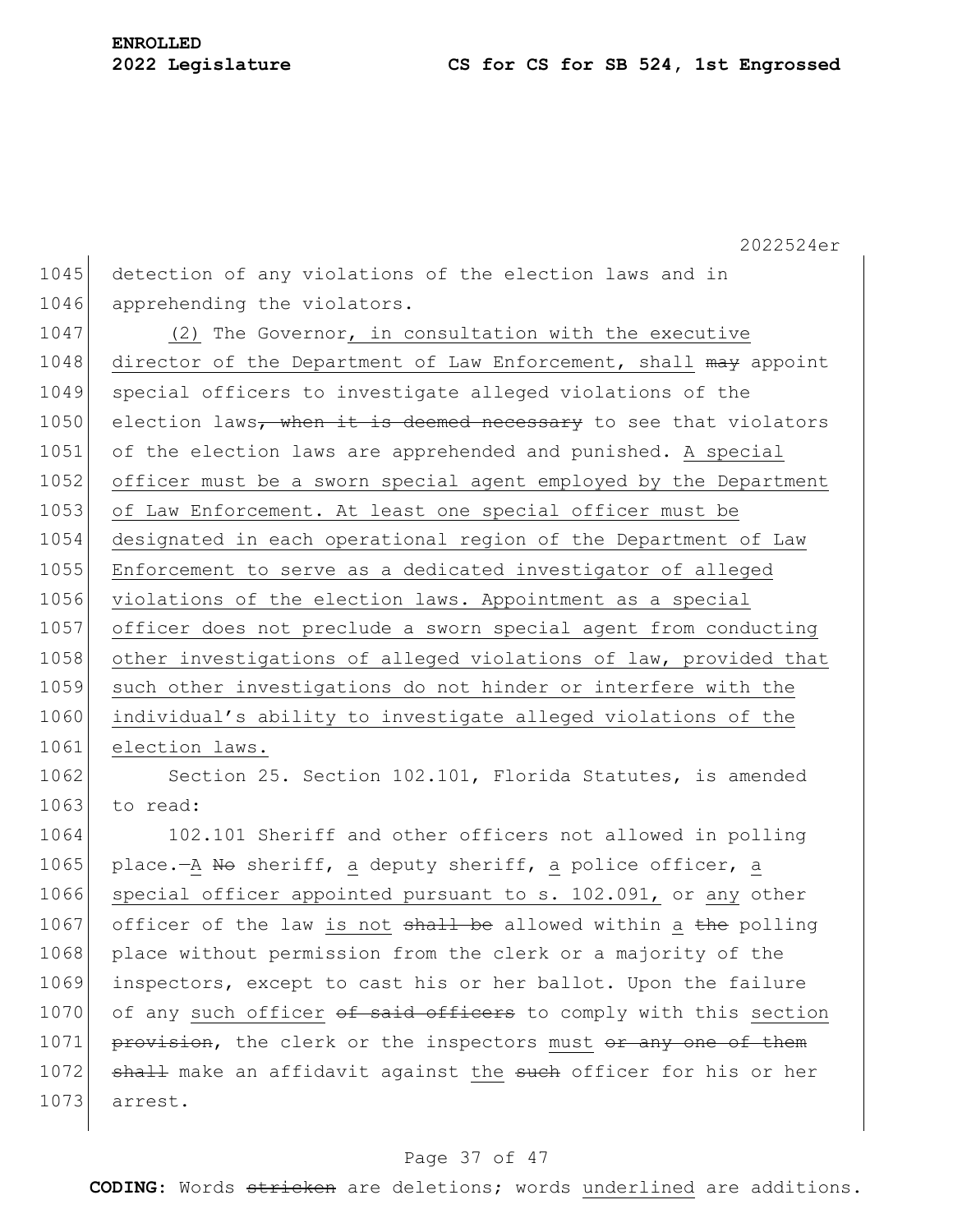2022524er 1045 detection of any violations of the election laws and in 1046 apprehending the violators. 1047 (2) The Governor, in consultation with the executive 1048 director of the Department of Law Enforcement, shall may appoint 1049 special officers to investigate alleged violations of the 1050 election laws, when it is deemed necessary to see that violators 1051 of the election laws are apprehended and punished. A special 1052 officer must be a sworn special agent employed by the Department 1053 of Law Enforcement. At least one special officer must be 1054 designated in each operational region of the Department of Law 1055 Enforcement to serve as a dedicated investigator of alleged 1056 violations of the election laws. Appointment as a special 1057 officer does not preclude a sworn special agent from conducting 1058 other investigations of alleged violations of law, provided that 1059 such other investigations do not hinder or interfere with the 1060 individual's ability to investigate alleged violations of the 1061 election laws.

1062 Section 25. Section 102.101, Florida Statutes, is amended  $1063$  to read:

1064 102.101 Sheriff and other officers not allowed in polling 1065 place.—A No sheriff, a deputy sheriff, a police officer, a 1066 special officer appointed pursuant to s. 102.091, or any other 1067 officer of the law is not  $shall$  be allowed within a the polling 1068 place without permission from the clerk or a majority of the 1069 inspectors, except to cast his or her ballot. Upon the failure 1070 of any such officer of said officers to comply with this section 1071 provision, the clerk or the inspectors must or any one of them 1072 shall make an affidavit against the such officer for his or her 1073 arrest.

#### Page 37 of 47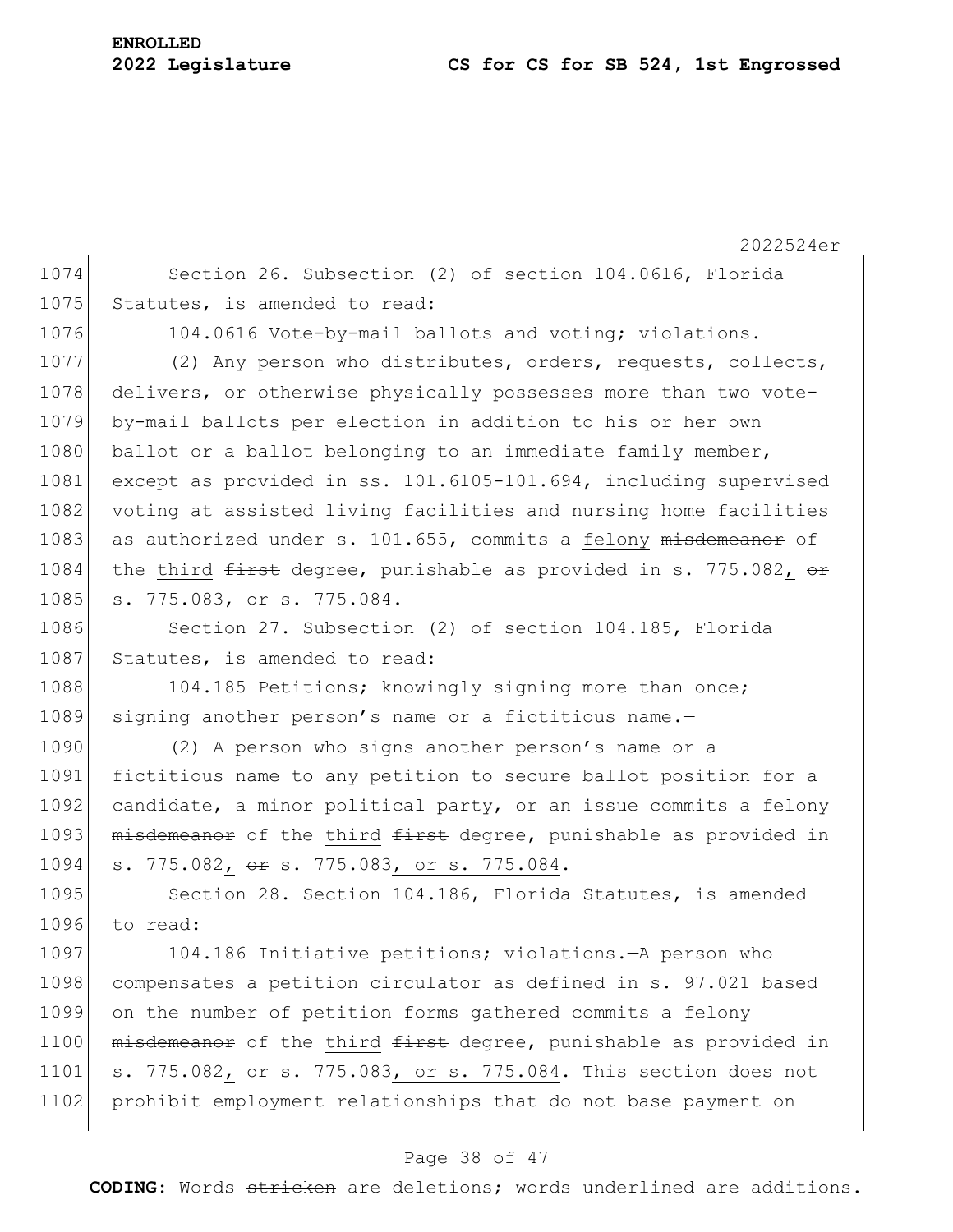2022524er 1074 Section 26. Subsection (2) of section 104.0616, Florida 1075 Statutes, is amended to read: 1076 104.0616 Vote-by-mail ballots and voting; violations.-1077 (2) Any person who distributes, orders, requests, collects, 1078 delivers, or otherwise physically possesses more than two vote-1079 by-mail ballots per election in addition to his or her own 1080 ballot or a ballot belonging to an immediate family member, 1081 except as provided in ss. 101.6105-101.694, including supervised 1082 voting at assisted living facilities and nursing home facilities 1083 as authorized under s. 101.655, commits a felony  $m$ isdemeanor of 1084 the third  $f$ irst degree, punishable as provided in s. 775.082,  $\Theta$ r 1085 s. 775.083, or s. 775.084. 1086 Section 27. Subsection (2) of section 104.185, Florida 1087 Statutes, is amended to read: 1088 104.185 Petitions; knowingly signing more than once; 1089 signing another person's name or a fictitious name.-1090 (2) A person who signs another person's name or a 1091 fictitious name to any petition to secure ballot position for a 1092 candidate, a minor political party, or an issue commits a felony 1093 misdemeanor of the third first degree, punishable as provided in 1094 s. 775.082, or s. 775.083, or s. 775.084. 1095 Section 28. Section 104.186, Florida Statutes, is amended 1096 to read: 1097 104.186 Initiative petitions; violations.—A person who 1098 compensates a petition circulator as defined in s. 97.021 based 1099 on the number of petition forms gathered commits a felony 1100 misdemeanor of the third first degree, punishable as provided in 1101 s. 775.082, or s. 775.083, or s. 775.084. This section does not 1102 prohibit employment relationships that do not base payment on

### Page 38 of 47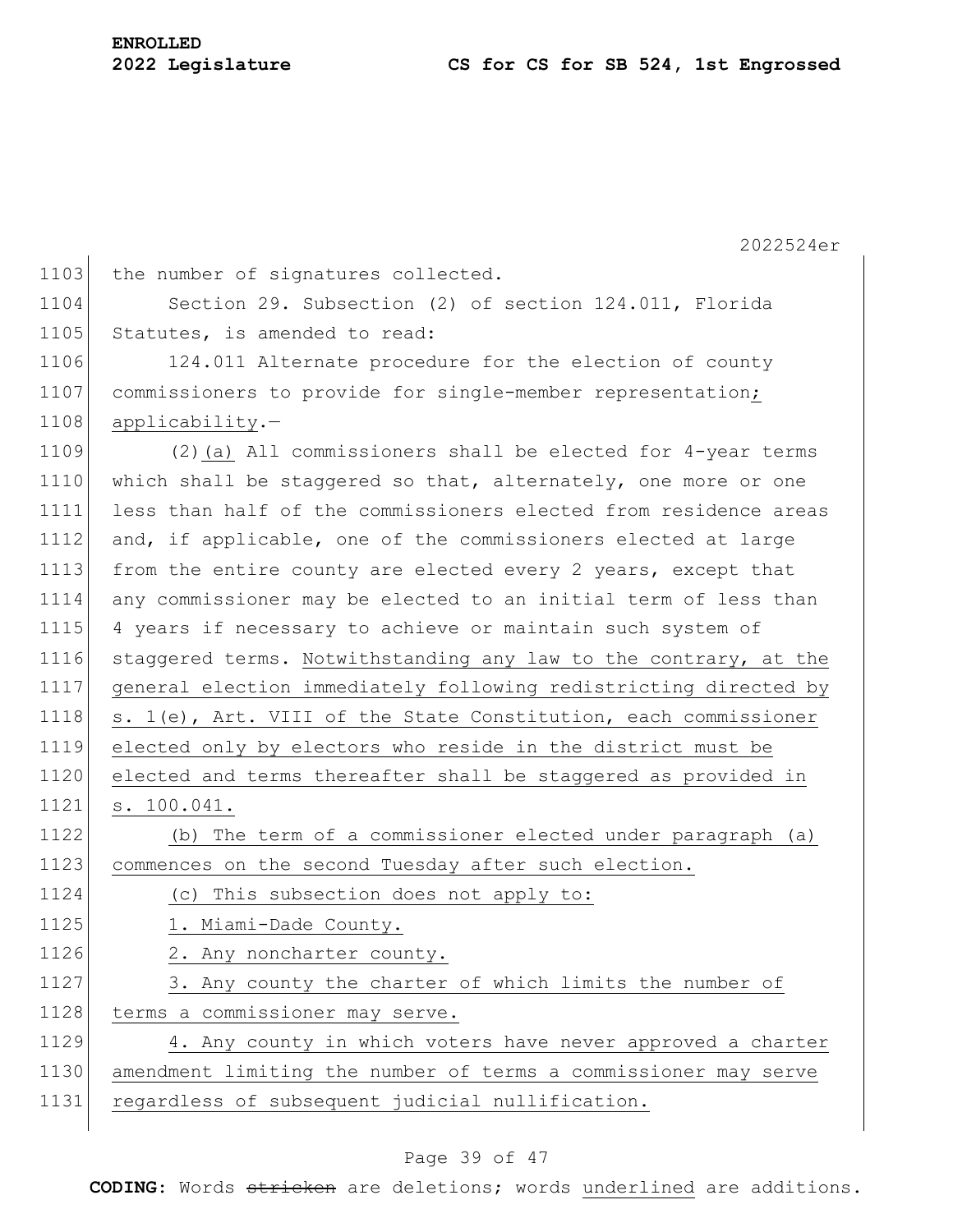|      | 2022524er                                                        |
|------|------------------------------------------------------------------|
| 1103 | the number of signatures collected.                              |
| 1104 | Section 29. Subsection (2) of section 124.011, Florida           |
| 1105 | Statutes, is amended to read:                                    |
| 1106 | 124.011 Alternate procedure for the election of county           |
| 1107 | commissioners to provide for single-member representation;       |
| 1108 | applicability.-                                                  |
| 1109 | $(2)$ (a) All commissioners shall be elected for 4-year terms    |
| 1110 | which shall be staggered so that, alternately, one more or one   |
| 1111 | less than half of the commissioners elected from residence areas |
| 1112 | and, if applicable, one of the commissioners elected at large    |
| 1113 | from the entire county are elected every 2 years, except that    |
| 1114 | any commissioner may be elected to an initial term of less than  |
| 1115 | 4 years if necessary to achieve or maintain such system of       |
| 1116 | staggered terms. Notwithstanding any law to the contrary, at the |
| 1117 | general election immediately following redistricting directed by |
| 1118 | s. 1(e), Art. VIII of the State Constitution, each commissioner  |
| 1119 | elected only by electors who reside in the district must be      |
| 1120 | elected and terms thereafter shall be staggered as provided in   |
| 1121 | s. 100.041.                                                      |
| 1122 | (b) The term of a commissioner elected under paragraph (a)       |
| 1123 | commences on the second Tuesday after such election.             |
| 1124 | (c) This subsection does not apply to:                           |
| 1125 | 1. Miami-Dade County.                                            |
| 1126 | 2. Any noncharter county.                                        |
| 1127 | 3. Any county the charter of which limits the number of          |
| 1128 | terms a commissioner may serve.                                  |
| 1129 | 4. Any county in which voters have never approved a charter      |
| 1130 | amendment limiting the number of terms a commissioner may serve  |
| 1131 | regardless of subsequent judicial nullification.                 |

### Page 39 of 47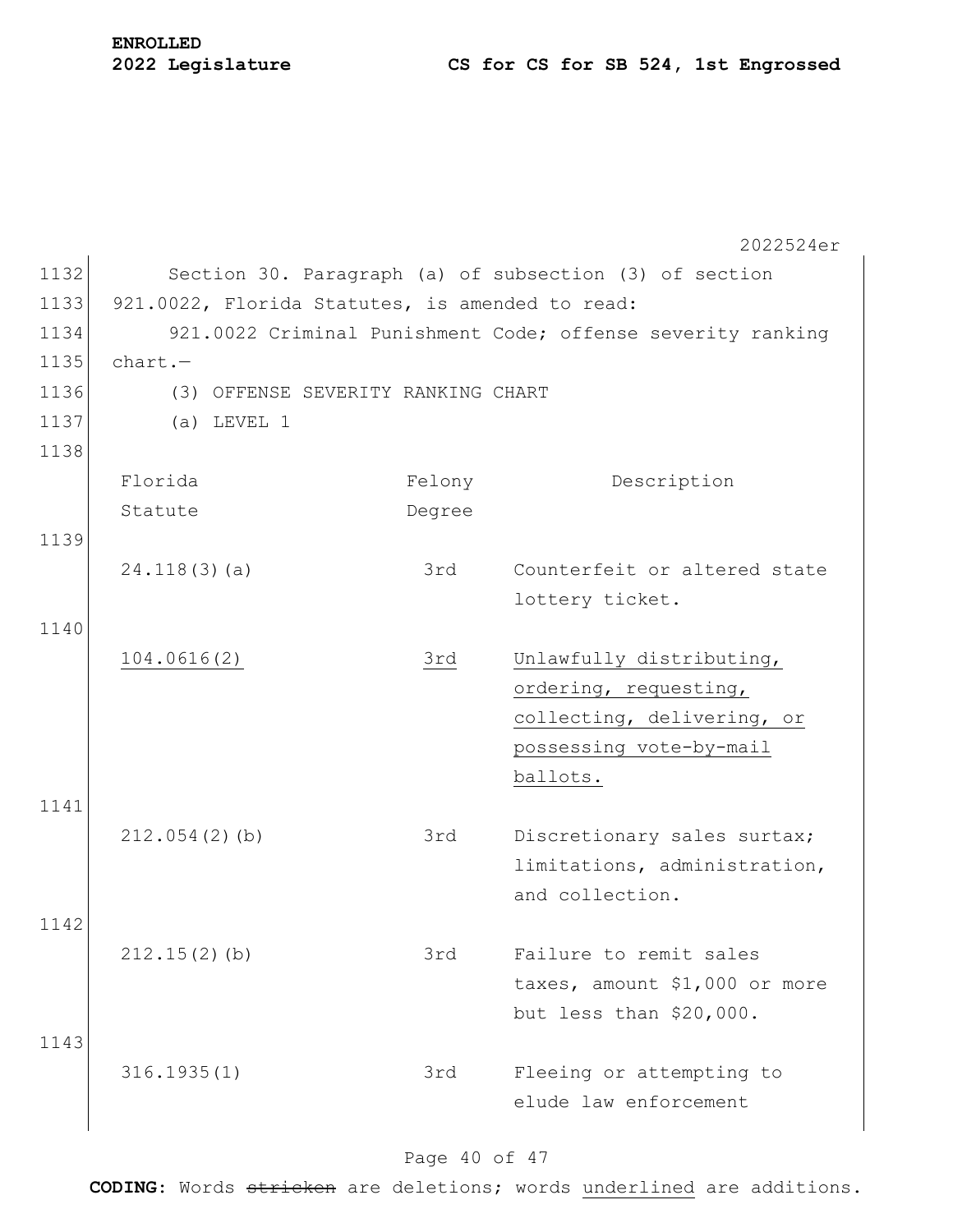# **ENROLLED**

## **2022 Legislature CS for CS for SB 524, 1st Engrossed**

|      |                                                 |                                    | 2022524er                                                   |
|------|-------------------------------------------------|------------------------------------|-------------------------------------------------------------|
| 1132 |                                                 |                                    | Section 30. Paragraph (a) of subsection (3) of section      |
| 1133 | 921.0022, Florida Statutes, is amended to read: |                                    |                                                             |
| 1134 |                                                 |                                    | 921.0022 Criminal Punishment Code; offense severity ranking |
| 1135 | $chart.$ -                                      |                                    |                                                             |
| 1136 |                                                 | (3) OFFENSE SEVERITY RANKING CHART |                                                             |
| 1137 | $(a)$ LEVEL 1                                   |                                    |                                                             |
| 1138 |                                                 |                                    |                                                             |
|      | Florida                                         | Felony                             | Description                                                 |
|      | Statute                                         | Degree                             |                                                             |
| 1139 |                                                 |                                    |                                                             |
|      | 24.118(3)(a)                                    | 3rd                                | Counterfeit or altered state                                |
|      |                                                 |                                    | lottery ticket.                                             |
| 1140 |                                                 |                                    |                                                             |
|      | 104.0616(2)                                     | 3rd                                | Unlawfully distributing,                                    |
|      |                                                 |                                    | ordering, requesting,                                       |
|      |                                                 |                                    | collecting, delivering, or                                  |
|      |                                                 |                                    | possessing vote-by-mail                                     |
|      |                                                 |                                    | ballots.                                                    |
| 1141 |                                                 |                                    |                                                             |
|      | $212.054(2)$ (b)                                | 3rd                                | Discretionary sales surtax;                                 |
|      |                                                 |                                    | limitations, administration,                                |
|      |                                                 |                                    | and collection.                                             |
| 1142 |                                                 |                                    |                                                             |
|      | $212.15(2)$ (b)                                 | 3rd                                | Failure to remit sales                                      |
|      |                                                 |                                    | taxes, amount \$1,000 or more                               |
| 1143 |                                                 |                                    | but less than \$20,000.                                     |
|      |                                                 |                                    |                                                             |
|      | 316.1935(1)                                     | 3rd                                | Fleeing or attempting to<br>elude law enforcement           |
|      |                                                 |                                    |                                                             |

### Page 40 of 47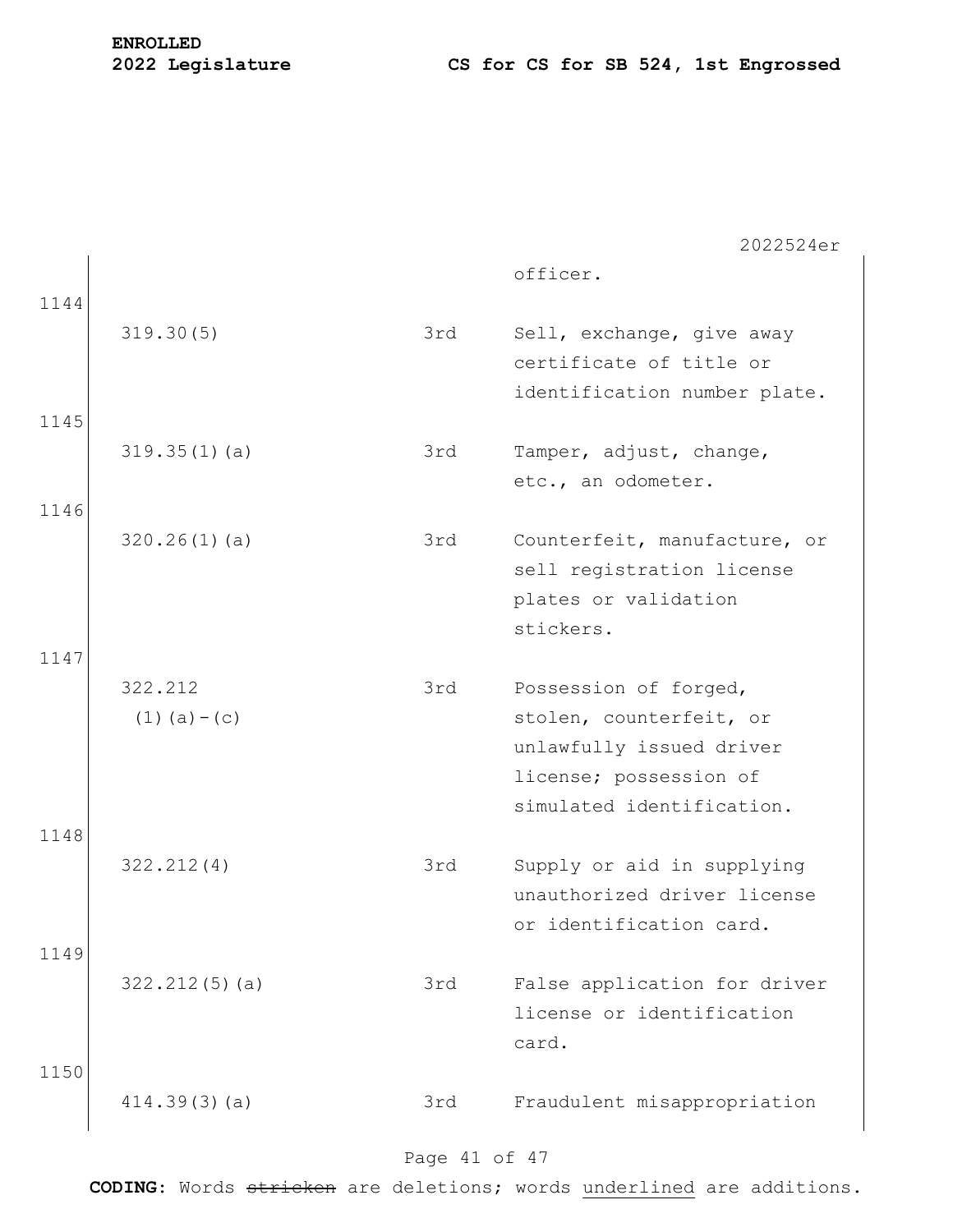officer.

| 1144 |                            |     |                                                                                      |
|------|----------------------------|-----|--------------------------------------------------------------------------------------|
|      | 319.30(5)                  | 3rd | Sell, exchange, give away<br>certificate of title or<br>identification number plate. |
| 1145 |                            |     |                                                                                      |
|      | 319.35(1)(a)               | 3rd | Tamper, adjust, change,<br>etc., an odometer.                                        |
| 1146 |                            |     |                                                                                      |
|      | 320.26(1)(a)               | 3rd | Counterfeit, manufacture, or<br>sell registration license<br>plates or validation    |
|      |                            |     | stickers.                                                                            |
| 1147 |                            |     |                                                                                      |
|      | 322.212<br>$(1)$ (a) – (c) | 3rd | Possession of forged,                                                                |
|      |                            |     | stolen, counterfeit, or<br>unlawfully issued driver                                  |
|      |                            |     | license; possession of                                                               |
|      |                            |     | simulated identification.                                                            |
| 1148 |                            |     |                                                                                      |
|      | 322.212(4)                 | 3rd | Supply or aid in supplying<br>unauthorized driver license                            |
|      |                            |     | or identification card.                                                              |
| 1149 |                            |     |                                                                                      |
|      | 322.212(5)(a)              | 3rd | False application for driver                                                         |
|      |                            |     | license or identification<br>card.                                                   |
| 1150 |                            |     |                                                                                      |
|      | 414.39(3)(a)               | 3rd | Fraudulent misappropriation                                                          |

### Page 41 of 47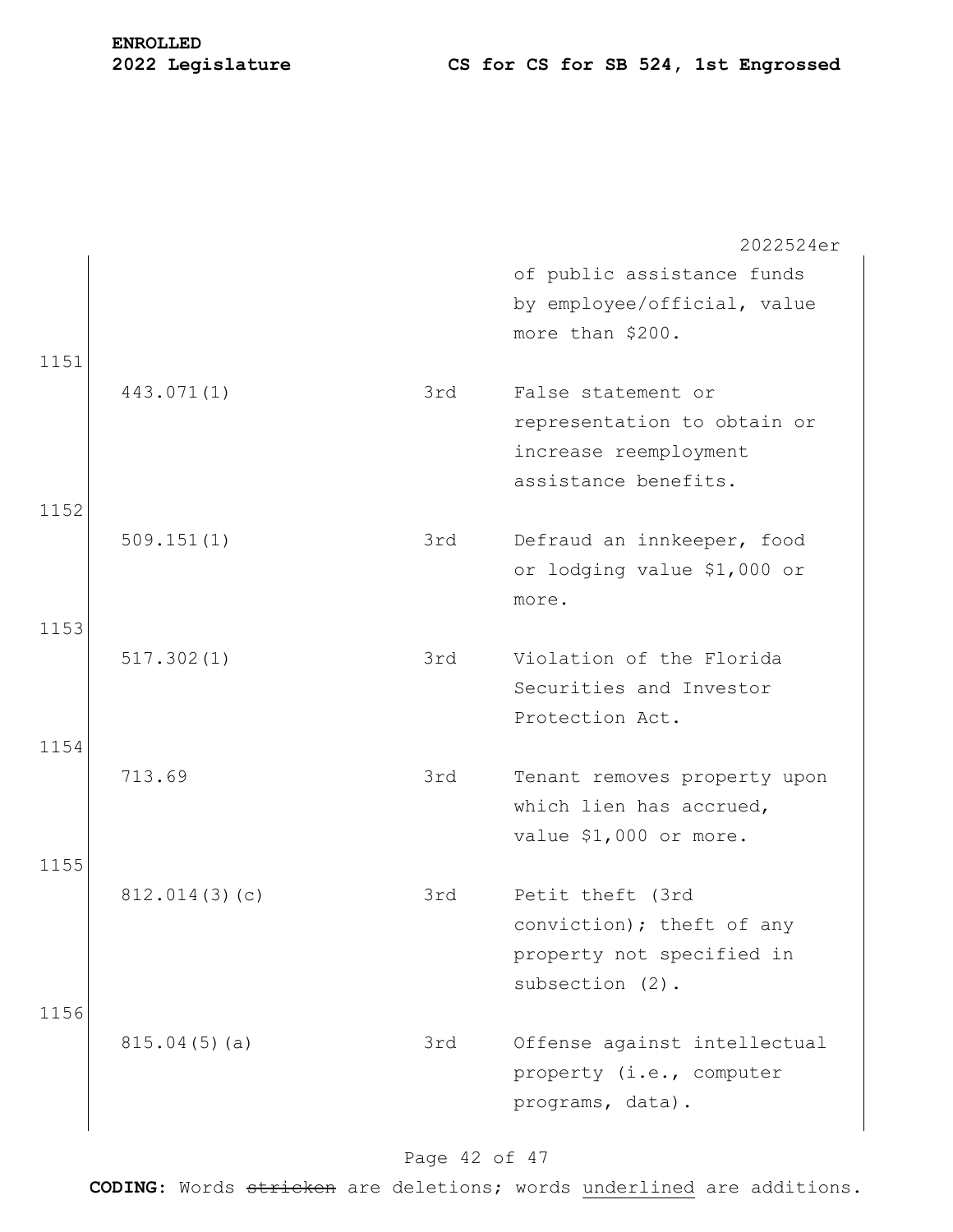# **ENROLLED**

|      |               |     | 2022524er                                               |
|------|---------------|-----|---------------------------------------------------------|
|      |               |     | of public assistance funds                              |
|      |               |     | by employee/official, value                             |
|      |               |     | more than \$200.                                        |
| 1151 |               |     |                                                         |
|      | 443.071(1)    | 3rd | False statement or                                      |
|      |               |     | representation to obtain or                             |
|      |               |     | increase reemployment                                   |
|      |               |     | assistance benefits.                                    |
| 1152 |               |     |                                                         |
|      | 509.151(1)    | 3rd | Defraud an innkeeper, food                              |
|      |               |     | or lodging value \$1,000 or                             |
|      |               |     | more.                                                   |
| 1153 |               |     |                                                         |
|      | 517.302(1)    | 3rd | Violation of the Florida                                |
|      |               |     | Securities and Investor                                 |
| 1154 |               |     | Protection Act.                                         |
|      | 713.69        | 3rd |                                                         |
|      |               |     | Tenant removes property upon<br>which lien has accrued, |
|      |               |     | value \$1,000 or more.                                  |
| 1155 |               |     |                                                         |
|      | 812.014(3)(c) | 3rd | Petit theft (3rd                                        |
|      |               |     | conviction); theft of any                               |
|      |               |     | property not specified in                               |
|      |               |     | subsection (2).                                         |
| 1156 |               |     |                                                         |
|      | 815.04(5)(a)  | 3rd | Offense against intellectual                            |
|      |               |     | property (i.e., computer                                |
|      |               |     | programs, data).                                        |
|      |               |     |                                                         |

### Page 42 of 47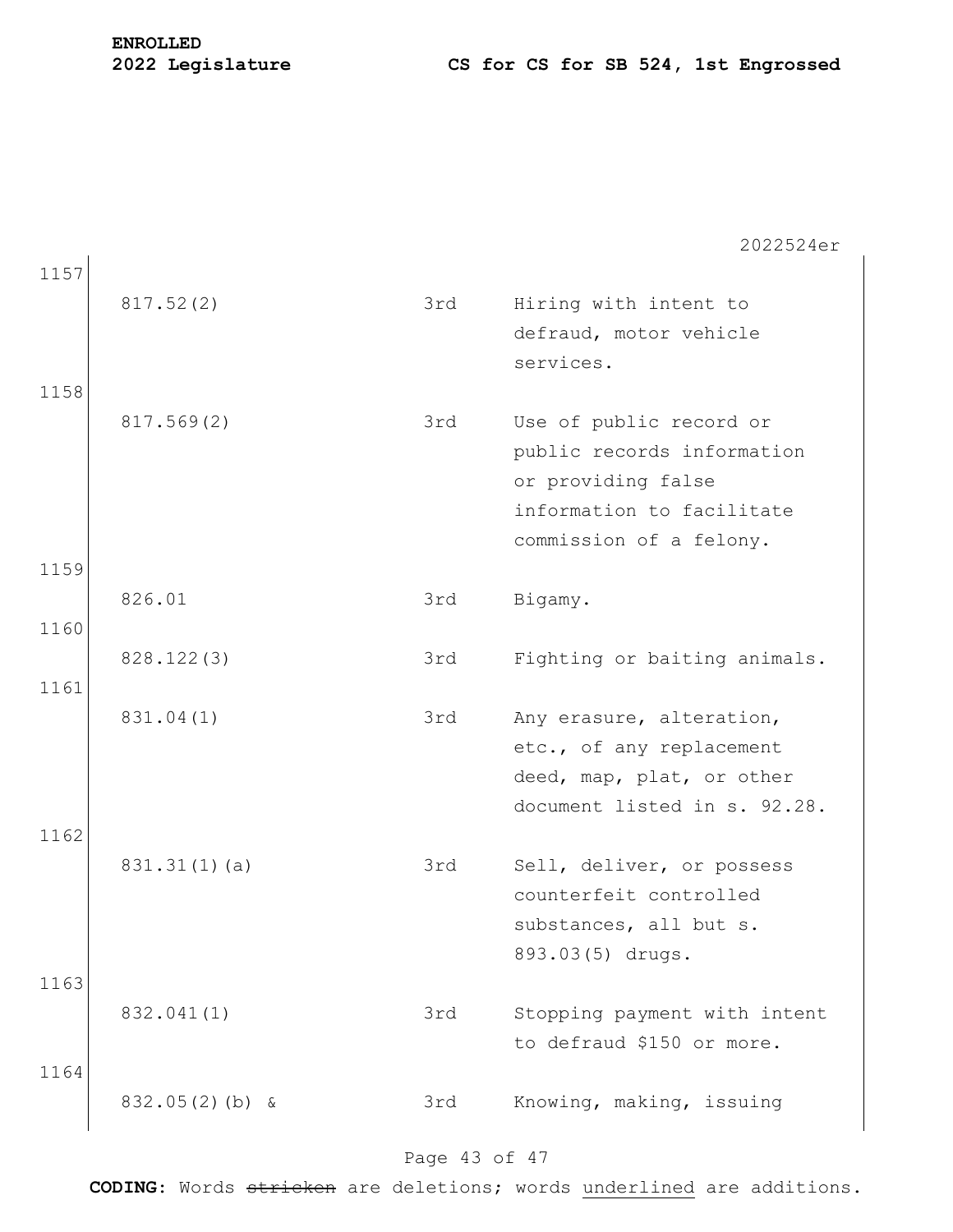| 1157<br>1158 | 817.52(2)         | 3rd | Hiring with intent to<br>defraud, motor vehicle<br>services.                                                                        |
|--------------|-------------------|-----|-------------------------------------------------------------------------------------------------------------------------------------|
|              | 817.569(2)        | 3rd | Use of public record or<br>public records information<br>or providing false<br>information to facilitate<br>commission of a felony. |
| 1159         |                   |     |                                                                                                                                     |
| 1160         | 826.01            | 3rd | Bigamy.                                                                                                                             |
|              | 828.122(3)        | 3rd | Fighting or baiting animals.                                                                                                        |
| 1161<br>1162 | 831.04(1)         | 3rd | Any erasure, alteration,<br>etc., of any replacement<br>deed, map, plat, or other<br>document listed in s. 92.28.                   |
|              | 831.31(1)(a)      | 3rd | Sell, deliver, or possess<br>counterfeit controlled<br>substances, all but s.<br>893.03(5) drugs.                                   |
| 1163         | 832.041(1)        | 3rd | Stopping payment with intent<br>to defraud \$150 or more.                                                                           |
| 1164         | $832.05(2)$ (b) & | 3rd | Knowing, making, issuing                                                                                                            |

### Page 43 of 47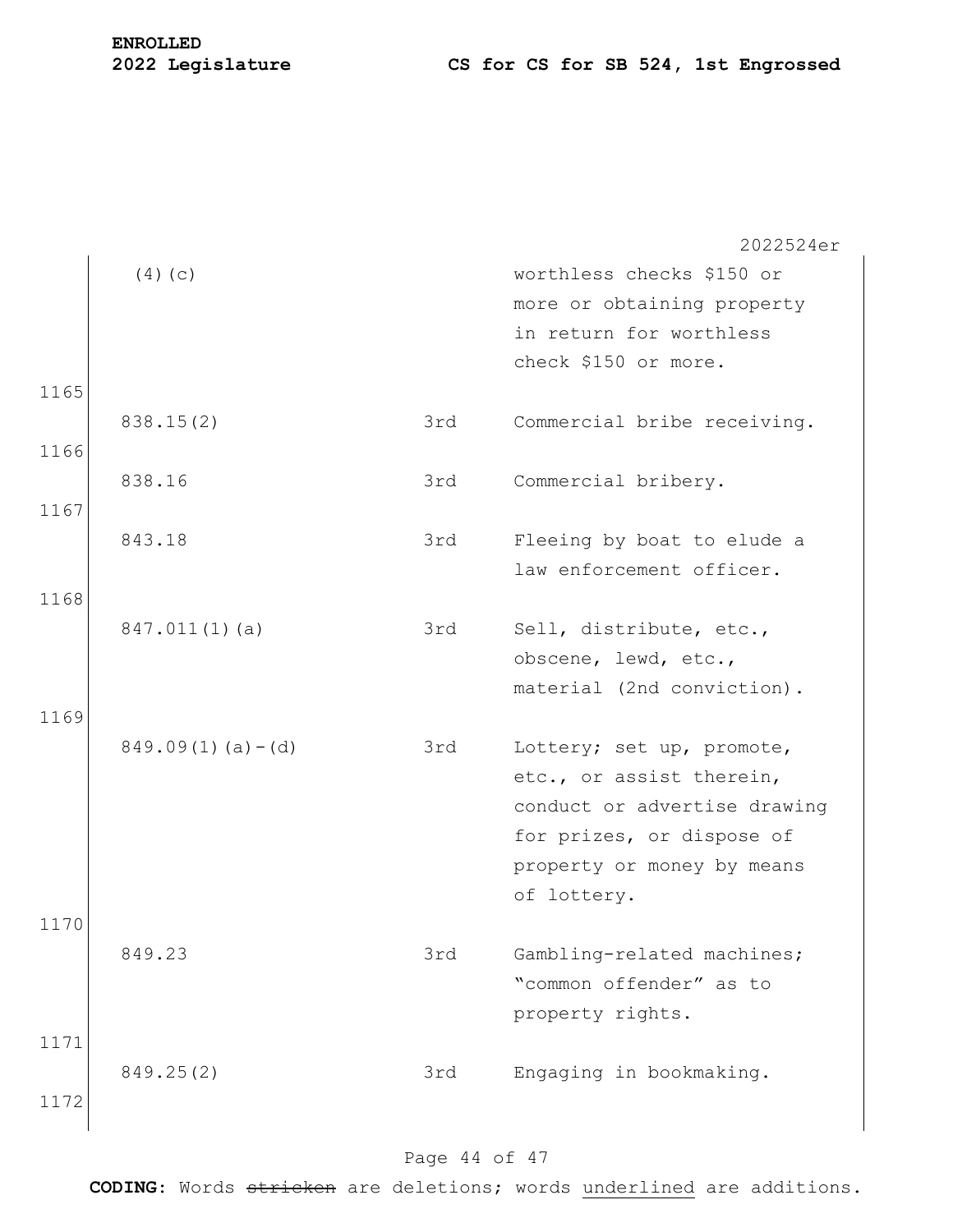|      |                        |     | 2022524er                    |
|------|------------------------|-----|------------------------------|
|      | (4)(c)                 |     | worthless checks \$150 or    |
|      |                        |     | more or obtaining property   |
|      |                        |     | in return for worthless      |
|      |                        |     | check \$150 or more.         |
| 1165 |                        |     |                              |
|      | 838.15(2)              | 3rd | Commercial bribe receiving.  |
| 1166 |                        |     |                              |
|      | 838.16                 | 3rd | Commercial bribery.          |
| 1167 |                        |     |                              |
|      | 843.18                 | 3rd | Fleeing by boat to elude a   |
|      |                        |     | law enforcement officer.     |
| 1168 |                        |     |                              |
|      | 847.011(1)(a)          | 3rd | Sell, distribute, etc.,      |
|      |                        |     | obscene, lewd, etc.,         |
|      |                        |     | material (2nd conviction).   |
| 1169 |                        |     |                              |
|      | $849.09(1)$ (a) $-(d)$ | 3rd | Lottery; set up, promote,    |
|      |                        |     | etc., or assist therein,     |
|      |                        |     | conduct or advertise drawing |
|      |                        |     | for prizes, or dispose of    |
|      |                        |     | property or money by means   |
|      |                        |     | of lottery.                  |
| 1170 | 849.23                 |     |                              |
|      |                        | 3rd | Gambling-related machines;   |
|      |                        |     | "common offender" as to      |
| 1171 |                        |     | property rights.             |
|      | 849.25(2)              | 3rd | Engaging in bookmaking.      |
| 1172 |                        |     |                              |
|      |                        |     |                              |
|      |                        |     |                              |

### Page 44 of 47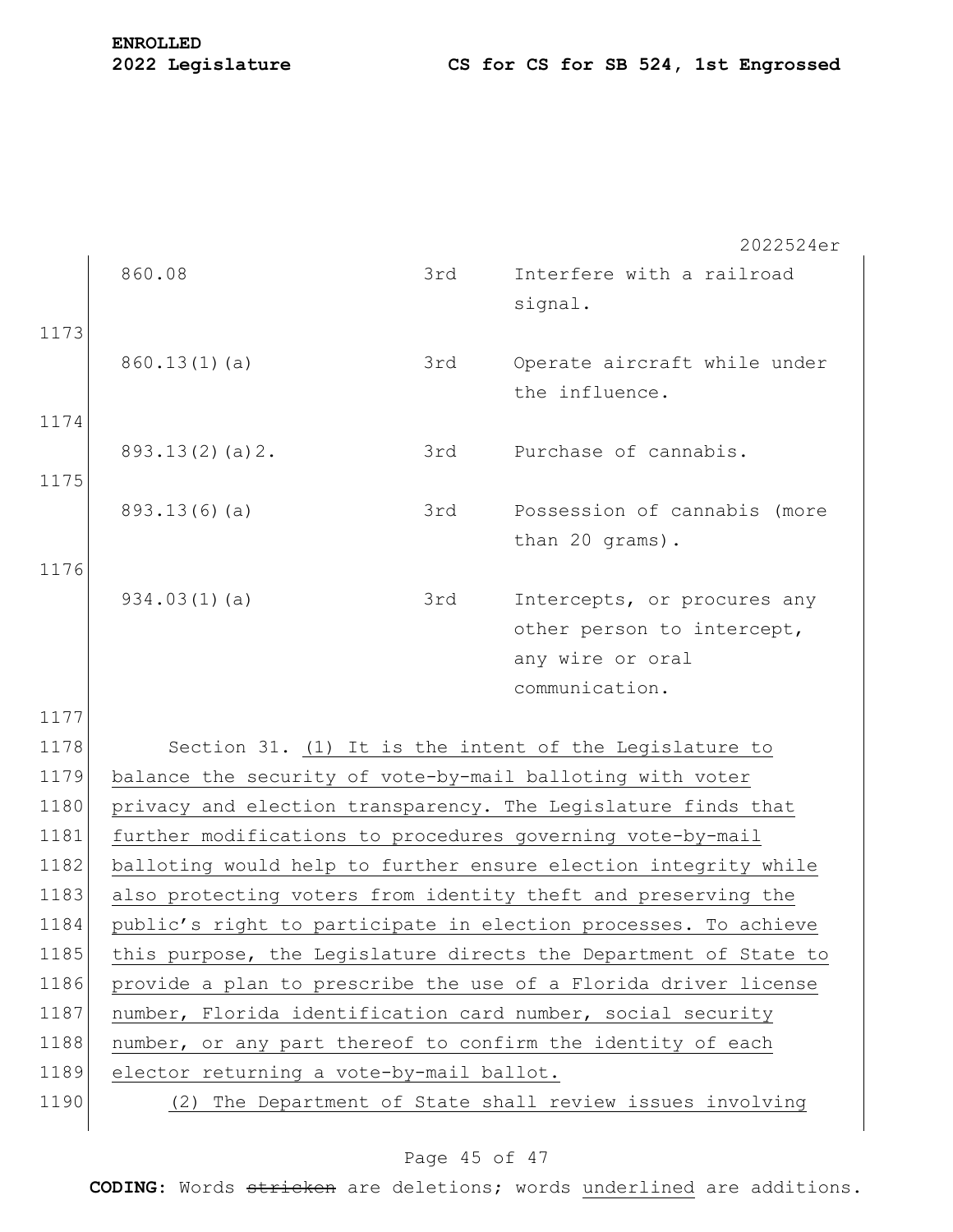**ENROLLED**

2022524er

860.08 3rd Interfere with a railroad signal. 1173 860.13(1)(a) 3rd Operate aircraft while under the influence. 1174 893.13(2)(a)2. 3rd Purchase of cannabis. 1175 893.13(6)(a) 3rd Possession of cannabis (more than 20 grams). 1176 934.03(1)(a) 3rd Intercepts, or procures any other person to intercept, any wire or oral communication. 1177 1178 Section 31. (1) It is the intent of the Legislature to 1179 balance the security of vote-by-mail balloting with voter 1180 privacy and election transparency. The Legislature finds that 1181 further modifications to procedures governing vote-by-mail 1182 balloting would help to further ensure election integrity while 1183 also protecting voters from identity theft and preserving the 1184 public's right to participate in election processes. To achieve 1185 this purpose, the Legislature directs the Department of State to 1186 provide a plan to prescribe the use of a Florida driver license 1187 number, Florida identification card number, social security 1188 | number, or any part thereof to confirm the identity of each 1189 elector returning a vote-by-mail ballot. 1190 (2) The Department of State shall review issues involving

### Page 45 of 47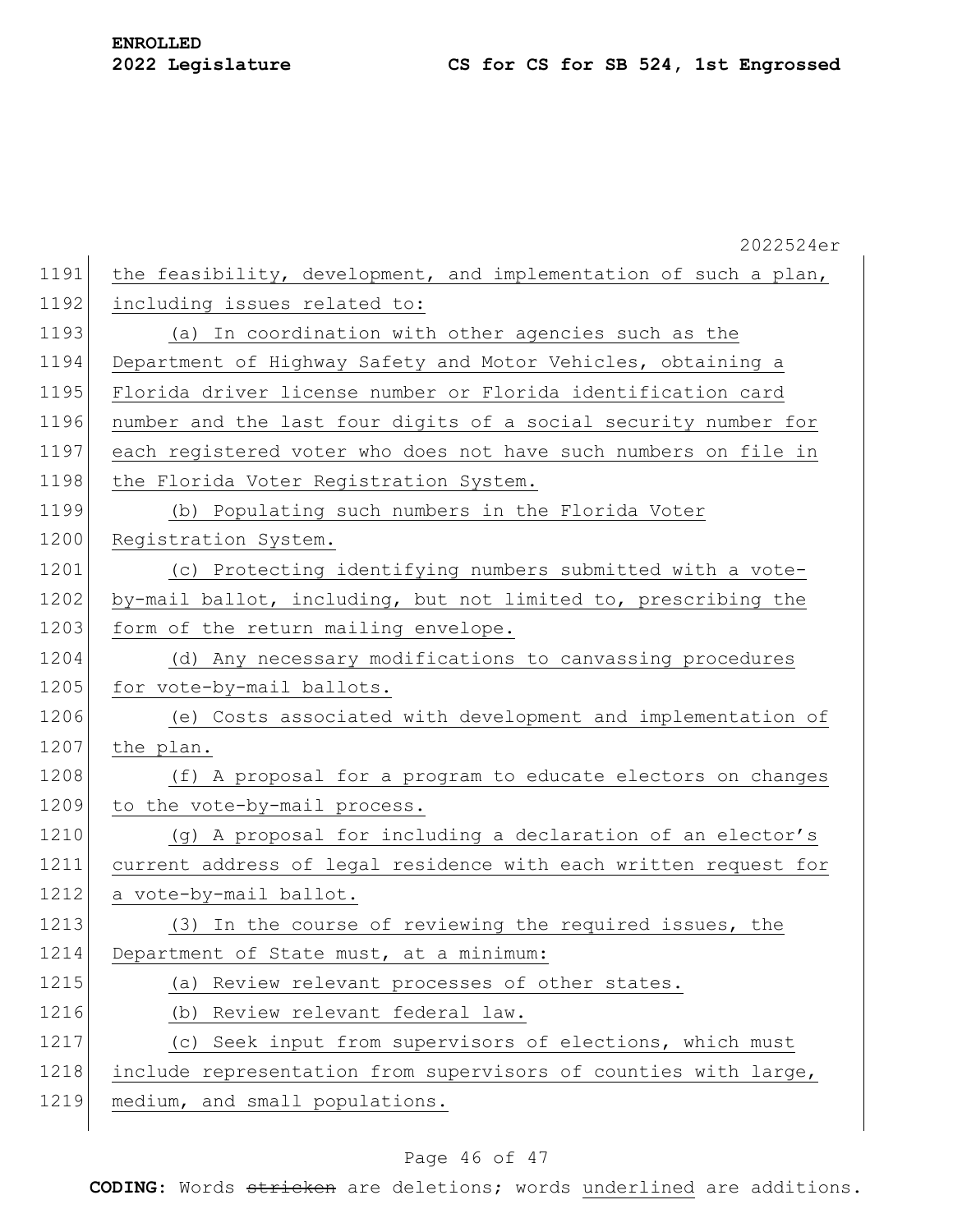|      | 2022524er                                                        |
|------|------------------------------------------------------------------|
| 1191 | the feasibility, development, and implementation of such a plan, |
| 1192 | including issues related to:                                     |
| 1193 | (a) In coordination with other agencies such as the              |
| 1194 | Department of Highway Safety and Motor Vehicles, obtaining a     |
| 1195 | Florida driver license number or Florida identification card     |
| 1196 | number and the last four digits of a social security number for  |
| 1197 | each registered voter who does not have such numbers on file in  |
| 1198 | the Florida Voter Registration System.                           |
| 1199 | (b) Populating such numbers in the Florida Voter                 |
| 1200 | Registration System.                                             |
| 1201 | (c) Protecting identifying numbers submitted with a vote-        |
| 1202 | by-mail ballot, including, but not limited to, prescribing the   |
| 1203 | form of the return mailing envelope.                             |
| 1204 | (d) Any necessary modifications to canvassing procedures         |
| 1205 | for vote-by-mail ballots.                                        |
| 1206 | (e) Costs associated with development and implementation of      |
| 1207 | the plan.                                                        |
| 1208 | (f) A proposal for a program to educate electors on changes      |
| 1209 | to the vote-by-mail process.                                     |
| 1210 | (g) A proposal for including a declaration of an elector's       |
| 1211 | current address of legal residence with each written request for |
| 1212 | a vote-by-mail ballot.                                           |
| 1213 | (3) In the course of reviewing the required issues, the          |
| 1214 | Department of State must, at a minimum:                          |
| 1215 | (a) Review relevant processes of other states.                   |
| 1216 | Review relevant federal law.<br>(b)                              |
| 1217 | (c) Seek input from supervisors of elections, which must         |
| 1218 | include representation from supervisors of counties with large,  |
| 1219 | medium, and small populations.                                   |
|      |                                                                  |

### Page 46 of 47